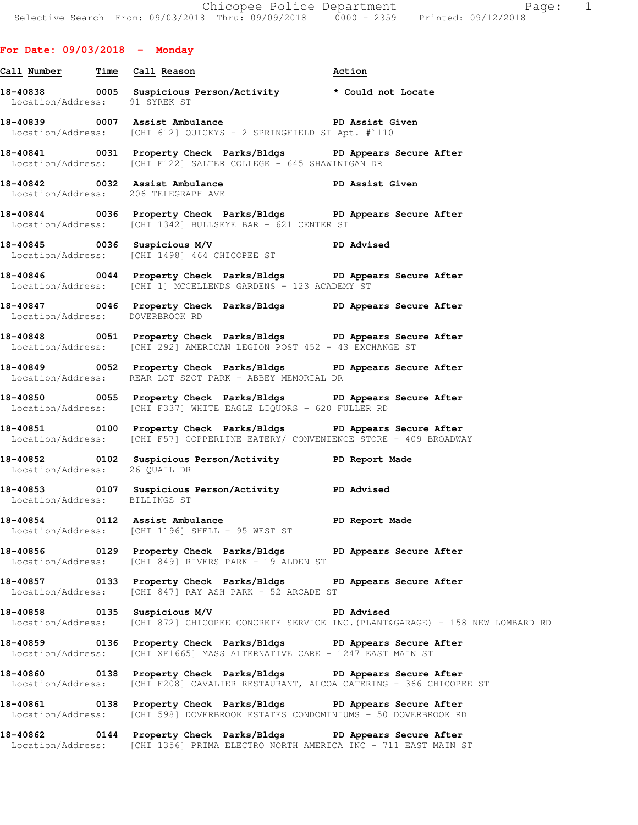## **For Date: 09/03/2018 - Monday**

**Call Number Time Call Reason Action 18-40838 0005 Suspicious Person/Activity \* Could not Locate**  Location/Address: **18-40839 0007 Assist Ambulance PD Assist Given**  Location/Address: [CHI 612] QUICKYS - 2 SPRINGFIELD ST Apt. #`110 **18-40841 0031 Property Check Parks/Bldgs PD Appears Secure After**  Location/Address: [CHI F122] SALTER COLLEGE - 645 SHAWINIGAN DR **18-40842 0032 Assist Ambulance PD Assist Given**  Location/Address: 206 TELEGRAPH AVE **18-40844 0036 Property Check Parks/Bldgs PD Appears Secure After**  Location/Address: [CHI 1342] BULLSEYE BAR - 621 CENTER ST **18-40845 0036 Suspicious M/V PD Advised**  Location/Address: [CHI 1498] 464 CHICOPEE ST **18-40846 0044 Property Check Parks/Bldgs PD Appears Secure After**  Location/Address: [CHI 1] MCCELLENDS GARDENS - 123 ACADEMY ST **18-40847 0046 Property Check Parks/Bldgs PD Appears Secure After**  Location/Address: DOVERBROOK RD **18-40848 0051 Property Check Parks/Bldgs PD Appears Secure After**  Location/Address: [CHI 292] AMERICAN LEGION POST 452 - 43 EXCHANGE ST **18-40849 0052 Property Check Parks/Bldgs PD Appears Secure After**  Location/Address: REAR LOT SZOT PARK - ABBEY MEMORIAL DR **18-40850 0055 Property Check Parks/Bldgs PD Appears Secure After**  Location/Address: [CHI F337] WHITE EAGLE LIQUORS - 620 FULLER RD **18-40851 0100 Property Check Parks/Bldgs PD Appears Secure After**  Location/Address: [CHI F57] COPPERLINE EATERY/ CONVENIENCE STORE - 409 BROADWAY **18-40852 0102 Suspicious Person/Activity PD Report Made**  Location/Address: 26 QUAIL DR **18-40853 0107 Suspicious Person/Activity PD Advised**  Location/Address: BILLINGS ST **18-40854 0112 Assist Ambulance PD Report Made**  Location/Address: [CHI 1196] SHELL - 95 WEST ST **18-40856 0129 Property Check Parks/Bldgs PD Appears Secure After**  Location/Address: [CHI 849] RIVERS PARK - 19 ALDEN ST **18-40857 0133 Property Check Parks/Bldgs PD Appears Secure After**  Location/Address: [CHI 847] RAY ASH PARK - 52 ARCADE ST

**18-40858 0135 Suspicious M/V PD Advised**  Location/Address: [CHI 872] CHICOPEE CONCRETE SERVICE INC.(PLANT&GARAGE) - 158 NEW LOMBARD RD

**18-40859 0136 Property Check Parks/Bldgs PD Appears Secure After**  Location/Address: [CHI XF1665] MASS ALTERNATIVE CARE - 1247 EAST MAIN ST

**18-40860 0138 Property Check Parks/Bldgs PD Appears Secure After**  Location/Address: [CHI F208] CAVALIER RESTAURANT, ALCOA CATERING - 366 CHICOPEE ST

**18-40861 0138 Property Check Parks/Bldgs PD Appears Secure After**  Location/Address: [CHI 598] DOVERBROOK ESTATES CONDOMINIUMS - 50 DOVERBROOK RD

**18-40862 0144 Property Check Parks/Bldgs PD Appears Secure After**  Location/Address: [CHI 1356] PRIMA ELECTRO NORTH AMERICA INC - 711 EAST MAIN ST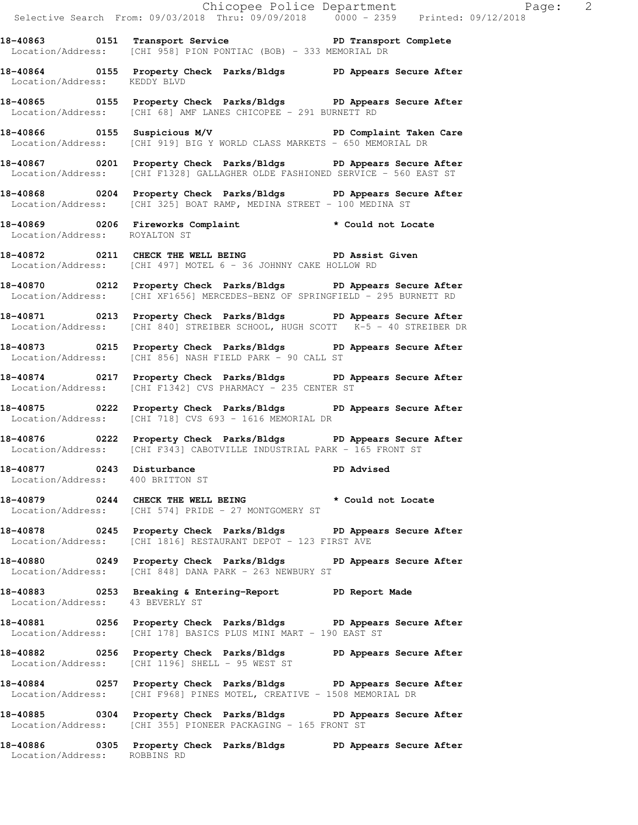Chicopee Police Department Fage: 2 Selective Search From: 09/03/2018 Thru: 09/09/2018 0000 - 2359 Printed: 09/12/2018 **18-40863 0151 Transport Service PD Transport Complete**  Location/Address: [CHI 958] PION PONTIAC (BOB) - 333 MEMORIAL DR **18-40864 0155 Property Check Parks/Bldgs PD Appears Secure After**  Location/Address: KEDDY BLVD **18-40865 0155 Property Check Parks/Bldgs PD Appears Secure After**  Location/Address: [CHI 68] AMF LANES CHICOPEE - 291 BURNETT RD **18-40866 0155 Suspicious M/V PD Complaint Taken Care**  Location/Address: [CHI 919] BIG Y WORLD CLASS MARKETS - 650 MEMORIAL DR **18-40867 0201 Property Check Parks/Bldgs PD Appears Secure After**  Location/Address: [CHI F1328] GALLAGHER OLDE FASHIONED SERVICE - 560 EAST ST **18-40868 0204 Property Check Parks/Bldgs PD Appears Secure After**  Location/Address: [CHI 325] BOAT RAMP, MEDINA STREET - 100 MEDINA ST **18-40869 0206 Fireworks Complaint \* Could not Locate**  Location/Address: ROYALTON ST **18-40872 0211 CHECK THE WELL BEING PD Assist Given**  Location/Address: [CHI 497] MOTEL 6 - 36 JOHNNY CAKE HOLLOW RD **18-40870 0212 Property Check Parks/Bldgs PD Appears Secure After**  Location/Address: [CHI XF1656] MERCEDES-BENZ OF SPRINGFIELD - 295 BURNETT RD **18-40871 0213 Property Check Parks/Bldgs PD Appears Secure After**  Location/Address: [CHI 840] STREIBER SCHOOL, HUGH SCOTT K-5 - 40 STREIBER DR **18-40873 0215 Property Check Parks/Bldgs PD Appears Secure After**  Location/Address: [CHI 856] NASH FIELD PARK - 90 CALL ST **18-40874 0217 Property Check Parks/Bldgs PD Appears Secure After**  Location/Address: [CHI F1342] CVS PHARMACY - 235 CENTER ST **18-40875 0222 Property Check Parks/Bldgs PD Appears Secure After**  Location/Address: [CHI 718] CVS 693 - 1616 MEMORIAL DR **18-40876 0222 Property Check Parks/Bldgs PD Appears Secure After**  Location/Address: [CHI F343] CABOTVILLE INDUSTRIAL PARK - 165 FRONT ST **18-40877 0243 Disturbance PD Advised**  Location/Address: 400 BRITTON ST **18-40879 0244 CHECK THE WELL BEING \* Could not Locate**  Location/Address: [CHI 574] PRIDE - 27 MONTGOMERY ST **18-40878 0245 Property Check Parks/Bldgs PD Appears Secure After**  Location/Address: [CHI 1816] RESTAURANT DEPOT - 123 FIRST AVE **18-40880 0249 Property Check Parks/Bldgs PD Appears Secure After**  Location/Address: [CHI 848] DANA PARK - 263 NEWBURY ST **18-40883 0253 Breaking & Entering-Report PD Report Made**  Location/Address: 43 BEVERLY ST **18-40881 0256 Property Check Parks/Bldgs PD Appears Secure After**  Location/Address: [CHI 178] BASICS PLUS MINI MART - 190 EAST ST **18-40882 0256 Property Check Parks/Bldgs PD Appears Secure After**  Location/Address: [CHI 1196] SHELL - 95 WEST ST **18-40884 0257 Property Check Parks/Bldgs PD Appears Secure After**  Location/Address: [CHI F968] PINES MOTEL, CREATIVE - 1508 MEMORIAL DR **18-40885 0304 Property Check Parks/Bldgs PD Appears Secure After**  Location/Address: [CHI 355] PIONEER PACKAGING - 165 FRONT ST

**18-40886 0305 Property Check Parks/Bldgs PD Appears Secure After** 

Location/Address: ROBBINS RD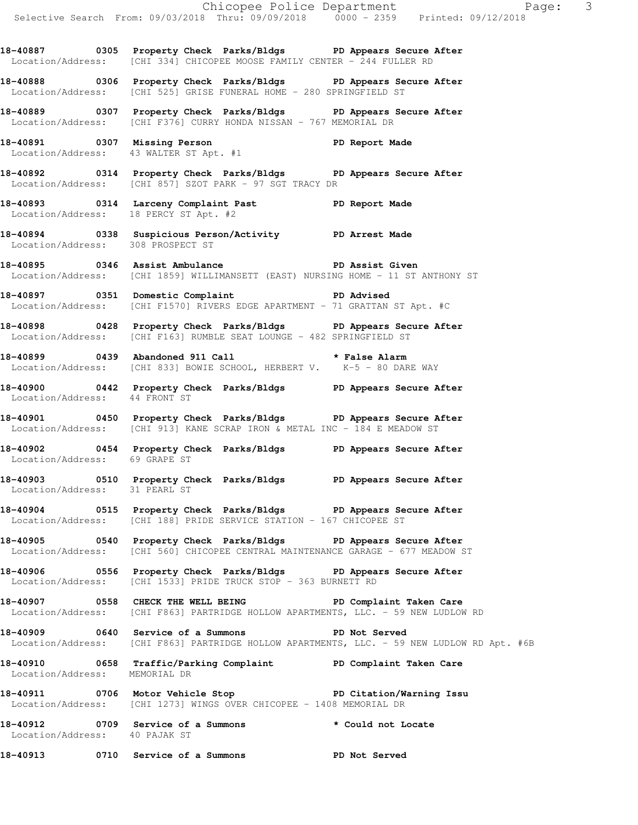**18-40887 0305 Property Check Parks/Bldgs PD Appears Secure After**  Location/Address: [CHI 334] CHICOPEE MOOSE FAMILY CENTER - 244 FULLER RD

**18-40888 0306 Property Check Parks/Bldgs PD Appears Secure After**  Location/Address: [CHI 525] GRISE FUNERAL HOME - 280 SPRINGFIELD ST

**18-40889 0307 Property Check Parks/Bldgs PD Appears Secure After**  Location/Address: [CHI F376] CURRY HONDA NISSAN - 767 MEMORIAL DR

**18-40891 0307 Missing Person PD Report Made**  Location/Address: 43 WALTER ST Apt. #1

**18-40892 0314 Property Check Parks/Bldgs PD Appears Secure After**  Location/Address: [CHI 857] SZOT PARK - 97 SGT TRACY DR

**18-40893 0314 Larceny Complaint Past PD Report Made**  Location/Address: 18 PERCY ST Apt. #2

**18-40894 0338 Suspicious Person/Activity PD Arrest Made**  Location/Address: 308 PROSPECT ST

**18-40895 0346 Assist Ambulance PD Assist Given**  Location/Address: [CHI 1859] WILLIMANSETT (EAST) NURSING HOME - 11 ST ANTHONY ST

**18-40897 0351 Domestic Complaint PD Advised**  Location/Address: [CHI F1570] RIVERS EDGE APARTMENT - 71 GRATTAN ST Apt. #C

**18-40898 0428 Property Check Parks/Bldgs PD Appears Secure After**  Location/Address: [CHI F163] RUMBLE SEAT LOUNGE - 482 SPRINGFIELD ST

**18-40899 0439 Abandoned 911 Call \* False Alarm**  Location/Address: [CHI 833] BOWIE SCHOOL, HERBERT V. K-5 - 80 DARE WAY

**18-40900 0442 Property Check Parks/Bldgs PD Appears Secure After**  Location/Address: 44 FRONT ST

**18-40901 0450 Property Check Parks/Bldgs PD Appears Secure After**  Location/Address: [CHI 913] KANE SCRAP IRON & METAL INC - 184 E MEADOW ST

**18-40902 0454 Property Check Parks/Bldgs PD Appears Secure After**  Location/Address: 69 GRAPE ST

**18-40903 0510 Property Check Parks/Bldgs PD Appears Secure After**  Location/Address: 31 PEARL ST

**18-40904 0515 Property Check Parks/Bldgs PD Appears Secure After**  Location/Address: [CHI 188] PRIDE SERVICE STATION - 167 CHICOPEE ST

**18-40905 0540 Property Check Parks/Bldgs PD Appears Secure After**  Location/Address: [CHI 560] CHICOPEE CENTRAL MAINTENANCE GARAGE - 677 MEADOW ST

**18-40906 0556 Property Check Parks/Bldgs PD Appears Secure After**  Location/Address: [CHI 1533] PRIDE TRUCK STOP - 363 BURNETT RD

**18-40907 0558 CHECK THE WELL BEING PD Complaint Taken Care**  Location/Address: [CHI F863] PARTRIDGE HOLLOW APARTMENTS, LLC. - 59 NEW LUDLOW RD

**18-40909 0640 Service of a Summons PD Not Served**  Location/Address: [CHI F863] PARTRIDGE HOLLOW APARTMENTS, LLC. - 59 NEW LUDLOW RD Apt. #6B

**18-40910 0658 Traffic/Parking Complaint PD Complaint Taken Care**  Location/Address: MEMORIAL DR

**18-40911 0706 Motor Vehicle Stop PD Citation/Warning Issu**  Location/Address: [CHI 1273] WINGS OVER CHICOPEE - 1408 MEMORIAL DR

18-40912 **0709** Service of a Summons **\*** Could not Locate Location/Address: 40 PAJAK ST

**18-40913 0710 Service of a Summons PD Not Served**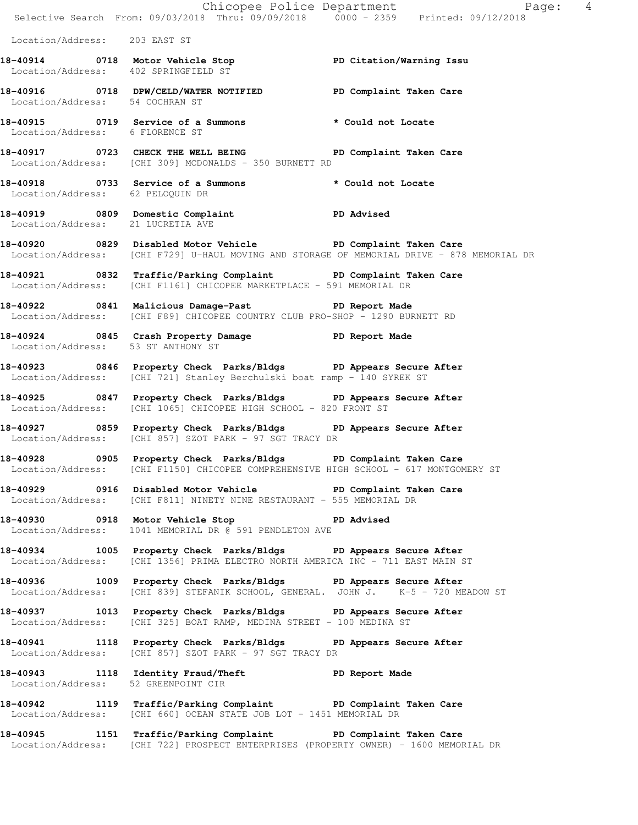Chicopee Police Department Page: 4 Selective Search From: 09/03/2018 Thru: 09/09/2018 0000 - 2359 Printed: 09/12/2018 Location/Address: 203 EAST ST **18-40914 0718 Motor Vehicle Stop PD Citation/Warning Issu**  Location/Address: 402 SPRINGFIELD ST **18-40916 0718 DPW/CELD/WATER NOTIFIED PD Complaint Taken Care**  Location/Address: 54 COCHRAN ST **18-40915 0719 Service of a Summons \* Could not Locate**  Location/Address: 6 FLORENCE ST 18-40917 **18-40917** 0723 CHECK THE WELL BEING **PD** Complaint Taken Care Location/Address: [CHI 309] MCDONALDS - 350 BURNETT RD **18-40918 0733 Service of a Summons \* Could not Locate**  Location/Address: 62 PELOQUIN DR **18-40919 0809 Domestic Complaint PD Advised**  Location/Address: 21 LUCRETIA AVE **18-40920 0829 Disabled Motor Vehicle PD Complaint Taken Care**  Location/Address: [CHI F729] U-HAUL MOVING AND STORAGE OF MEMORIAL DRIVE - 878 MEMORIAL DR **18-40921 0832 Traffic/Parking Complaint PD Complaint Taken Care**  Location/Address: [CHI F1161] CHICOPEE MARKETPLACE - 591 MEMORIAL DR **18-40922 0841 Malicious Damage-Past PD Report Made**  Location/Address: [CHI F89] CHICOPEE COUNTRY CLUB PRO-SHOP - 1290 BURNETT RD **18-40924 0845 Crash Property Damage PD Report Made**  Location/Address: 53 ST ANTHONY ST **18-40923 0846 Property Check Parks/Bldgs PD Appears Secure After**  Location/Address: [CHI 721] Stanley Berchulski boat ramp - 140 SYREK ST **18-40925 0847 Property Check Parks/Bldgs PD Appears Secure After**  Location/Address: [CHI 1065] CHICOPEE HIGH SCHOOL - 820 FRONT ST **18-40927 0859 Property Check Parks/Bldgs PD Appears Secure After**  Location/Address: [CHI 857] SZOT PARK - 97 SGT TRACY DR **18-40928 0905 Property Check Parks/Bldgs PD Complaint Taken Care**  Location/Address: [CHI F1150] CHICOPEE COMPREHENSIVE HIGH SCHOOL - 617 MONTGOMERY ST **18-40929 0916 Disabled Motor Vehicle PD Complaint Taken Care**  Location/Address: [CHI F811] NINETY NINE RESTAURANT - 555 MEMORIAL DR **18-40930 0918 Motor Vehicle Stop PD Advised**  Location/Address: 1041 MEMORIAL DR @ 591 PENDLETON AVE **18-40934 1005 Property Check Parks/Bldgs PD Appears Secure After**  Location/Address: [CHI 1356] PRIMA ELECTRO NORTH AMERICA INC - 711 EAST MAIN ST **18-40936 1009 Property Check Parks/Bldgs PD Appears Secure After**  Location/Address: [CHI 839] STEFANIK SCHOOL, GENERAL. JOHN J. K-5 - 720 MEADOW ST **18-40937 1013 Property Check Parks/Bldgs PD Appears Secure After**  Location/Address: [CHI 325] BOAT RAMP, MEDINA STREET - 100 MEDINA ST **18-40941 1118 Property Check Parks/Bldgs PD Appears Secure After**  Location/Address: [CHI 857] SZOT PARK - 97 SGT TRACY DR **18-40943 1118 Identity Fraud/Theft PD Report Made**  Location/Address: 52 GREENPOINT CIR **18-40942 1119 Traffic/Parking Complaint PD Complaint Taken Care**  Location/Address: [CHI 660] OCEAN STATE JOB LOT - 1451 MEMORIAL DR **18-40945 1151 Traffic/Parking Complaint PD Complaint Taken Care**  Location/Address: [CHI 722] PROSPECT ENTERPRISES (PROPERTY OWNER) - 1600 MEMORIAL DR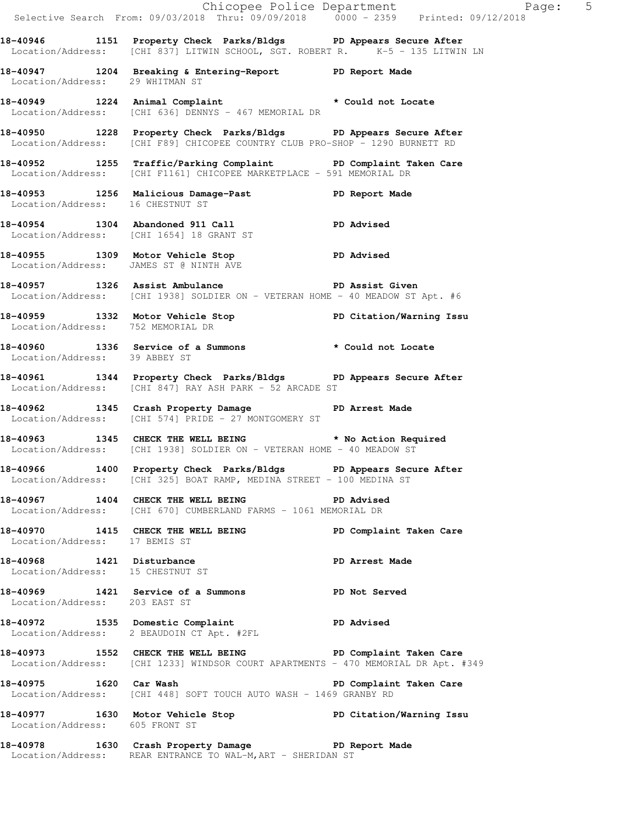|                                   |                                                                                                                                                     | Chicopee Police Department<br>Selective Search From: 09/03/2018 Thru: 09/09/2018 0000 - 2359 Printed: 09/12/2018 |
|-----------------------------------|-----------------------------------------------------------------------------------------------------------------------------------------------------|------------------------------------------------------------------------------------------------------------------|
|                                   | 18-40946 1151 Property Check Parks/Bldgs PD Appears Secure After<br>Location/Address: [CHI 837] LITWIN SCHOOL, SGT. ROBERT R. $K-5 - 135$ LITWIN LN |                                                                                                                  |
| Location/Address: 29 WHITMAN ST   | 18-40947 1204 Breaking & Entering-Report TPD Report Made                                                                                            |                                                                                                                  |
|                                   | 18-40949 1224 Animal Complaint * Could not Locate<br>Location/Address: [CHI 636] DENNYS - 467 MEMORIAL DR                                           |                                                                                                                  |
|                                   | 18-40950 1228 Property Check Parks/Bldgs PD Appears Secure After<br>Location/Address: [CHI F89] CHICOPEE COUNTRY CLUB PRO-SHOP - 1290 BURNETT RD    |                                                                                                                  |
|                                   | 18-40952 1255 Traffic/Parking Complaint PD Complaint Taken Care<br>Location/Address: [CHI F1161] CHICOPEE MARKETPLACE - 591 MEMORIAL DR             |                                                                                                                  |
| Location/Address: 16 CHESTNUT ST  | 18-40953 1256 Malicious Damage-Past 18-40953                                                                                                        |                                                                                                                  |
|                                   | 18-40954 1304 Abandoned 911 Call PD Advised<br>Location/Address: [CHI 1654] 18 GRANT ST                                                             |                                                                                                                  |
|                                   | 18-40955 1309 Motor Vehicle Stop 5 PD Advised<br>Location/Address: JAMES ST @ NINTH AVE                                                             |                                                                                                                  |
|                                   | 18-40957 1326 Assist Ambulance New PD Assist Given<br>Location/Address: [CHI 1938] SOLDIER ON - VETERAN HOME - 40 MEADOW ST Apt. #6                 |                                                                                                                  |
| Location/Address: 752 MEMORIAL DR | 18-40959 1332 Motor Vehicle Stop North PD Citation/Warning Issu                                                                                     |                                                                                                                  |
| Location/Address: 39 ABBEY ST     | 18-40960 1336 Service of a Summons * Could not Locate                                                                                               |                                                                                                                  |
|                                   | 18-40961 1344 Property Check Parks/Bldgs PD Appears Secure After<br>Location/Address: [CHI 847] RAY ASH PARK - 52 ARCADE ST                         |                                                                                                                  |
|                                   | 18-40962 1345 Crash Property Damage 5 PD Arrest Made<br>Location/Address: [CHI 574] PRIDE - 27 MONTGOMERY ST                                        |                                                                                                                  |
|                                   | 18-40963 1345 CHECK THE WELL BEING * No Action Required<br>Location/Address: [CHI 1938] SOLDIER ON - VETERAN HOME - 40 MEADOW ST                    |                                                                                                                  |
|                                   | 18-40966 1400 Property Check Parks/Bldgs PD Appears Secure After<br>Location/Address: [CHI 325] BOAT RAMP, MEDINA STREET - 100 MEDINA ST            |                                                                                                                  |
|                                   | 18-40967 1404 CHECK THE WELL BEING PD Advised<br>Location/Address: [CHI 670] CUMBERLAND FARMS - 1061 MEMORIAL DR                                    |                                                                                                                  |
| Location/Address: 17 BEMIS ST     | 18-40970 1415 CHECK THE WELL BEING PD Complaint Taken Care                                                                                          |                                                                                                                  |
| Location/Address: 15 CHESTNUT ST  | 18-40968 1421 Disturbance                                                                                                                           | PD Arrest Made                                                                                                   |
| Location/Address: 203 EAST ST     | 18-40969 1421 Service of a Summons PD Not Served                                                                                                    |                                                                                                                  |
|                                   | 18-40972 1535 Domestic Complaint PD Advised<br>Location/Address: 2 BEAUDOIN CT Apt. #2FL                                                            |                                                                                                                  |
|                                   | 18-40973 1552 CHECK THE WELL BEING PD Complaint Taken Care<br>Location/Address: [CHI 1233] WINDSOR COURT APARTMENTS - 470 MEMORIAL DR Apt. #349     |                                                                                                                  |
|                                   | 18-40975 1620 Car Wash 18 PD Complaint Taken Care<br>Location/Address: [CHI 448] SOFT TOUCH AUTO WASH - 1469 GRANBY RD                              |                                                                                                                  |
| Location/Address: 605 FRONT ST    | 18-40977 1630 Motor Vehicle Stop North PD Citation/Warning Issu                                                                                     |                                                                                                                  |
|                                   | 18-40978 1630 Crash Property Damage PD Report Made<br>Location/Address: REAR ENTRANCE TO WAL-M, ART - SHERIDAN ST                                   |                                                                                                                  |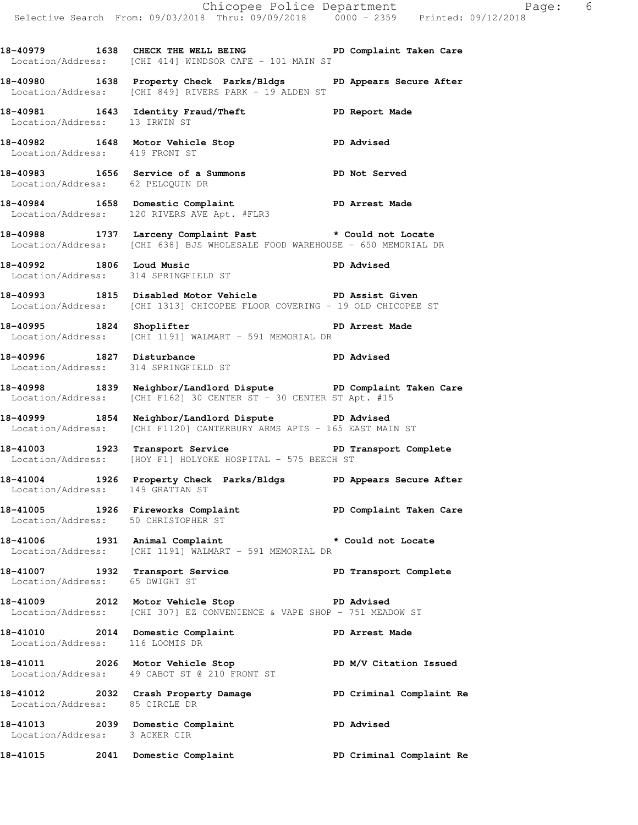18-40979 **1638** CHECK THE WELL BEING **PD** Complaint Taken Care Location/Address: [CHI 414] WINDSOR CAFE - 101 MAIN ST

**18-40980 1638 Property Check Parks/Bldgs PD Appears Secure After**  Location/Address: [CHI 849] RIVERS PARK - 19 ALDEN ST

**18-40981 1643 Identity Fraud/Theft PD Report Made**  Location/Address: 13 IRWIN ST

**18-40982 1648 Motor Vehicle Stop PD Advised**  Location/Address: 419 FRONT ST **18-40983 1656 Service of a Summons PD Not Served** 

 Location/Address: 62 PELOQUIN DR **18-40984 1658 Domestic Complaint PD Arrest Made** 

**18-40988 1737 Larceny Complaint Past \* Could not Locate**  Location/Address: [CHI 638] BJS WHOLESALE FOOD WAREHOUSE - 650 MEMORIAL DR

18-40992 1806 Loud Music **PD Advised** Location/Address: 314 SPRINGFIELD ST

Location/Address: 120 RIVERS AVE Apt. #FLR3

**18-40993 1815 Disabled Motor Vehicle PD Assist Given**  Location/Address: [CHI 1313] CHICOPEE FLOOR COVERING - 19 OLD CHICOPEE ST

**18-40995 1824 Shoplifter PD Arrest Made**  Location/Address: [CHI 1191] WALMART - 591 MEMORIAL DR

**18-40996 1827 Disturbance PD Advised**  Location/Address: 314 SPRINGFIELD ST

**18-40998 1839 Neighbor/Landlord Dispute PD Complaint Taken Care**   $Location/Address:$  [CHI F162] 30 CENTER ST - 30 CENTER ST Apt. #15

**18-40999 1854 Neighbor/Landlord Dispute PD Advised**  Location/Address: [CHI F1120] CANTERBURY ARMS APTS - 165 EAST MAIN ST

**18-41003 1923 Transport Service PD Transport Complete**  Location/Address: [HOY F1] HOLYOKE HOSPITAL - 575 BEECH ST

**18-41004 1926 Property Check Parks/Bldgs PD Appears Secure After**  Location/Address: 149 GRATTAN ST

18-41005 1926 Fireworks Complaint **PD Complaint Taken Care** Location/Address: 50 CHRISTOPHER ST

**18-41006 1931 Animal Complaint \* Could not Locate**  Location/Address: [CHI 1191] WALMART - 591 MEMORIAL DR

18-41007 1932 Transport Service **PED PERS** PD Transport Complete Location/Address: 65 DWIGHT ST

**18-41009 2012 Motor Vehicle Stop PD Advised**  Location/Address: [CHI 307] EZ CONVENIENCE & VAPE SHOP - 751 MEADOW ST

**18-41010 2014 Domestic Complaint PD Arrest Made**  Location/Address: 116 LOOMIS DR

18-41011 **2026** Motor Vehicle Stop **PD M/V Citation Issued** Location/Address: 49 CABOT ST @ 210 FRONT ST

**18-41012 2032 Crash Property Damage PD Criminal Complaint Re**  Location/Address: 85 CIRCLE DR

**18-41013 2039 Domestic Complaint PD Advised**  Location/Address: 3 ACKER CIR

**18-41015 2041 Domestic Complaint PD Criminal Complaint Re**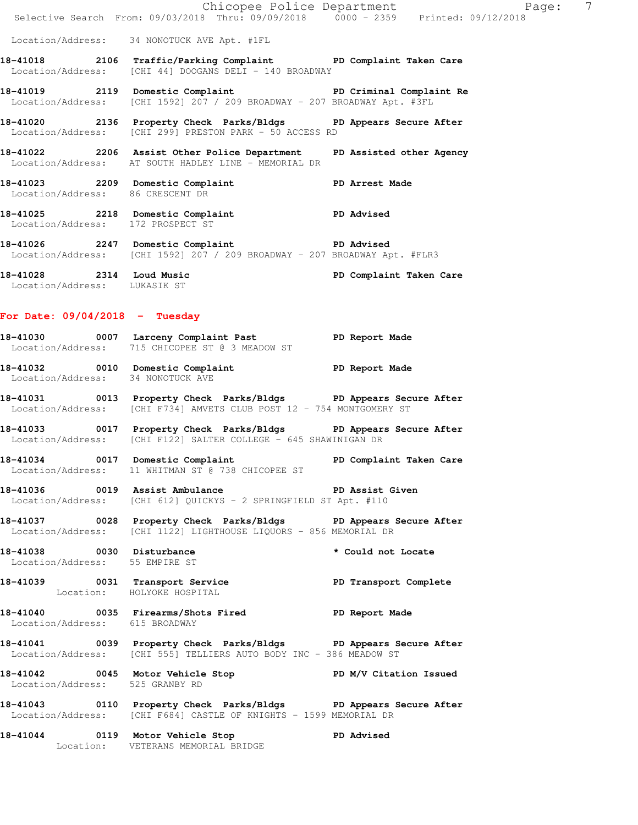|                                   |                                                                                                                                                       | Chicopee Police Department | 7<br>Page: |
|-----------------------------------|-------------------------------------------------------------------------------------------------------------------------------------------------------|----------------------------|------------|
|                                   | Selective Search From: 09/03/2018 Thru: 09/09/2018 0000 - 2359 Printed: 09/12/2018                                                                    |                            |            |
|                                   | Location/Address: 34 NONOTUCK AVE Apt. #1FL                                                                                                           |                            |            |
|                                   | 18-41018 2106 Traffic/Parking Complaint PD Complaint Taken Care<br>Location/Address: [CHI 44] DOOGANS DELI - 140 BROADWAY                             |                            |            |
|                                   | 18-41019 2119 Domestic Complaint <b>18-41019</b> PD Criminal Complaint Re<br>Location/Address: [CHI 1592] 207 / 209 BROADWAY - 207 BROADWAY Apt. #3FL |                            |            |
|                                   | 18-41020 2136 Property Check Parks/Bldgs PD Appears Secure After<br>Location/Address: [CHI 299] PRESTON PARK - 50 ACCESS RD                           |                            |            |
|                                   | 18-41022 2206 Assist Other Police Department PD Assisted other Agency<br>Location/Address: AT SOUTH HADLEY LINE - MEMORIAL DR                         |                            |            |
| Location/Address: 86 CRESCENT DR  | 18-41023 2209 Domestic Complaint                                                                                                                      | PD Arrest Made             |            |
| Location/Address: 172 PROSPECT ST | 18-41025 2218 Domestic Complaint                                                                                                                      | <b>PD Advised</b>          |            |
|                                   | 18-41026 2247 Domestic Complaint PD Advised<br>Location/Address: [CHI 1592] 207 / 209 BROADWAY - 207 BROADWAY Apt. #FLR3                              |                            |            |
| 18-41028                          | 2314 Loud Music                                                                                                                                       | PD Complaint Taken Care    |            |

Location/Address: LUKASIK ST

### **For Date: 09/04/2018 - Tuesday**

| 18-41030          | 0007 | Larceny Complaint Past        |  |  |  | PD Report Made |  |
|-------------------|------|-------------------------------|--|--|--|----------------|--|
| Location/Address: |      | 715 CHICOPEE ST @ 3 MEADOW ST |  |  |  |                |  |

- **18-41032 0010 Domestic Complaint PD Report Made**  Location/Address: 34 NONOTUCK AVE
- **18-41031 0013 Property Check Parks/Bldgs PD Appears Secure After**  Location/Address: [CHI F734] AMVETS CLUB POST 12 - 754 MONTGOMERY ST
- **18-41033 0017 Property Check Parks/Bldgs PD Appears Secure After**  Location/Address: [CHI F122] SALTER COLLEGE - 645 SHAWINIGAN DR
- **18-41034 0017 Domestic Complaint PD Complaint Taken Care**  Location/Address: 11 WHITMAN ST @ 738 CHICOPEE ST
- **18-41036 0019 Assist Ambulance PD Assist Given**  Location/Address: [CHI 612] QUICKYS - 2 SPRINGFIELD ST Apt. #110
- **18-41037 0028 Property Check Parks/Bldgs PD Appears Secure After**  Location/Address: [CHI 1122] LIGHTHOUSE LIQUORS - 856 MEMORIAL DR
- **18-41038 0030 Disturbance \* Could not Locate**  Location/Address: 55 EMPIRE ST
- **18-41039 0031 Transport Service PD Transport Complete**  Location: HOLYOKE HOSPITAL
- **18-41040 0035 Firearms/Shots Fired PD Report Made**  Location/Address: 615 BROADWAY
- **18-41041 0039 Property Check Parks/Bldgs PD Appears Secure After**  Location/Address: [CHI 555] TELLIERS AUTO BODY INC - 386 MEADOW ST
- **18-41042 0045 Motor Vehicle Stop PD M/V Citation Issued**  Location/Address: 525 GRANBY RD
- **18-41043 0110 Property Check Parks/Bldgs PD Appears Secure After**  Location/Address: [CHI F684] CASTLE OF KNIGHTS - 1599 MEMORIAL DR
- **18-41044 0119 Motor Vehicle Stop PD Advised**  Location: VETERANS MEMORIAL BRIDGE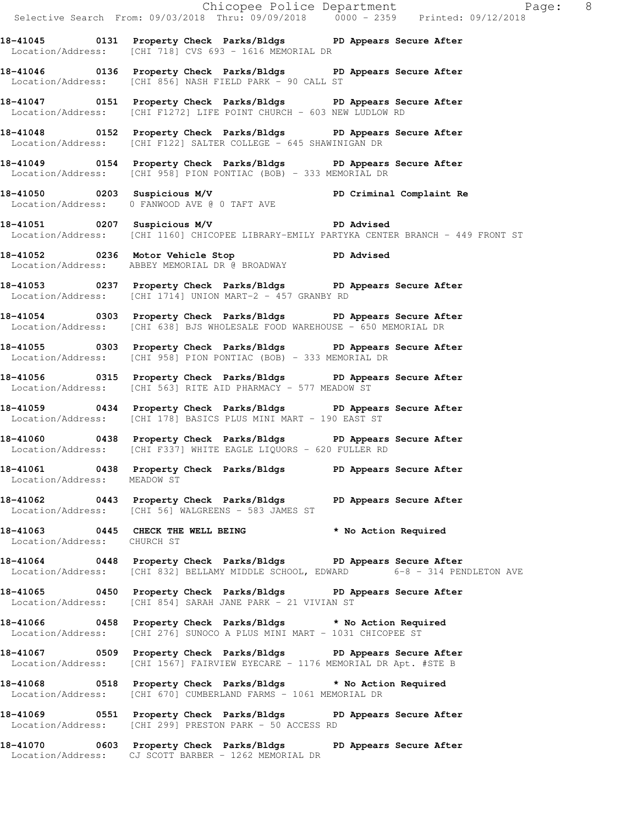|                             |                                                                                                                                                       | Chicopee Police Department<br>Selective Search From: 09/03/2018 Thru: 09/09/2018 0000 - 2359 Printed: 09/12/2018 |
|-----------------------------|-------------------------------------------------------------------------------------------------------------------------------------------------------|------------------------------------------------------------------------------------------------------------------|
|                             | 18-41045 0131 Property Check Parks/Bldgs PD Appears Secure After<br>Location/Address: [CHI 718] CVS 693 - 1616 MEMORIAL DR                            |                                                                                                                  |
|                             | 18-41046 0136 Property Check Parks/Bldgs PD Appears Secure After<br>Location/Address: [CHI 856] NASH FIELD PARK - 90 CALL ST                          |                                                                                                                  |
|                             | 18-41047 0151 Property Check Parks/Bldgs PD Appears Secure After<br>Location/Address: [CHI F1272] LIFE POINT CHURCH - 603 NEW LUDLOW RD               |                                                                                                                  |
|                             | 18-41048 0152 Property Check Parks/Bldgs PD Appears Secure After<br>Location/Address: [CHI F122] SALTER COLLEGE - 645 SHAWINIGAN DR                   |                                                                                                                  |
|                             | 18-41049 0154 Property Check Parks/Bldgs PD Appears Secure After<br>Location/Address: [CHI 958] PION PONTIAC (BOB) - 333 MEMORIAL DR                  |                                                                                                                  |
|                             | 18-41050 0203 Suspicious M/V PD Criminal Complaint Re<br>Location/Address: 0 FANWOOD AVE @ 0 TAFT AVE                                                 |                                                                                                                  |
|                             | 18-41051 0207 Suspicious M/V PD Advised<br>Location/Address: [CHI 1160] CHICOPEE LIBRARY-EMILY PARTYKA CENTER BRANCH - 449 FRONT ST                   |                                                                                                                  |
|                             | 18-41052 0236 Motor Vehicle Stop CD Advised<br>Location/Address: ABBEY MEMORIAL DR @ BROADWAY                                                         |                                                                                                                  |
|                             | 18-41053 0237 Property Check Parks/Bldgs PD Appears Secure After<br>Location/Address: [CHI 1714] UNION MART-2 - 457 GRANBY RD                         |                                                                                                                  |
|                             | 18-41054 0303 Property Check Parks/Bldgs PD Appears Secure After<br>Location/Address: [CHI 638] BJS WHOLESALE FOOD WAREHOUSE - 650 MEMORIAL DR        |                                                                                                                  |
|                             | 18-41055 0303 Property Check Parks/Bldgs PD Appears Secure After<br>Location/Address: [CHI 958] PION PONTIAC (BOB) - 333 MEMORIAL DR                  |                                                                                                                  |
|                             | 18-41056 0315 Property Check Parks/Bldgs PD Appears Secure After<br>Location/Address: [CHI 563] RITE AID PHARMACY - 577 MEADOW ST                     |                                                                                                                  |
|                             | 18-41059 0434 Property Check Parks/Bldgs PD Appears Secure After<br>Location/Address: [CHI 178] BASICS PLUS MINI MART - 190 EAST ST                   |                                                                                                                  |
|                             | 18-41060 0438 Property Check Parks/Bldgs PD Appears Secure After<br>Location/Address: [CHI F337] WHITE EAGLE LIQUORS - 620 FULLER RD                  |                                                                                                                  |
| Location/Address: MEADOW ST | 18-41061 		 0438 Property Check Parks/Bldgs 		 PD Appears Secure After                                                                                |                                                                                                                  |
|                             | 18-41062 0443 Property Check Parks/Bldgs PD Appears Secure After<br>Location/Address: [CHI 56] WALGREENS - 583 JAMES ST                               |                                                                                                                  |
| Location/Address: CHURCH ST | 18-41063 0445 CHECK THE WELL BEING * No Action Required                                                                                               |                                                                                                                  |
|                             | 18-41064 0448 Property Check Parks/Bldgs PD Appears Secure After<br>Location/Address: [CHI 832] BELLAMY MIDDLE SCHOOL, EDWARD 6-8 - 314 PENDLETON AVE |                                                                                                                  |
|                             | 18-41065 0450 Property Check Parks/Bldgs PD Appears Secure After<br>Location/Address: [CHI 854] SARAH JANE PARK - 21 VIVIAN ST                        |                                                                                                                  |
|                             | 18-41066 0458 Property Check Parks/Bldgs * No Action Required<br>Location/Address: [CHI 276] SUNOCO A PLUS MINI MART - 1031 CHICOPEE ST               |                                                                                                                  |
|                             | 18-41067 0509 Property Check Parks/Bldgs PD Appears Secure After<br>Location/Address: [CHI 1567] FAIRVIEW EYECARE - 1176 MEMORIAL DR Apt. #STE B      |                                                                                                                  |
|                             | 18-41068 0518 Property Check Parks/Bldgs * No Action Required<br>Location/Address: [CHI 670] CUMBERLAND FARMS - 1061 MEMORIAL DR                      |                                                                                                                  |
|                             | 18-41069 0551 Property Check Parks/Bldgs PD Appears Secure After<br>Location/Address: [CHI 299] PRESTON PARK - 50 ACCESS RD                           |                                                                                                                  |
|                             | 18-41070 0603 Property Check Parks/Bldgs PD Appears Secure After<br>Location/Address: CJ SCOTT BARBER - 1262 MEMORIAL DR                              |                                                                                                                  |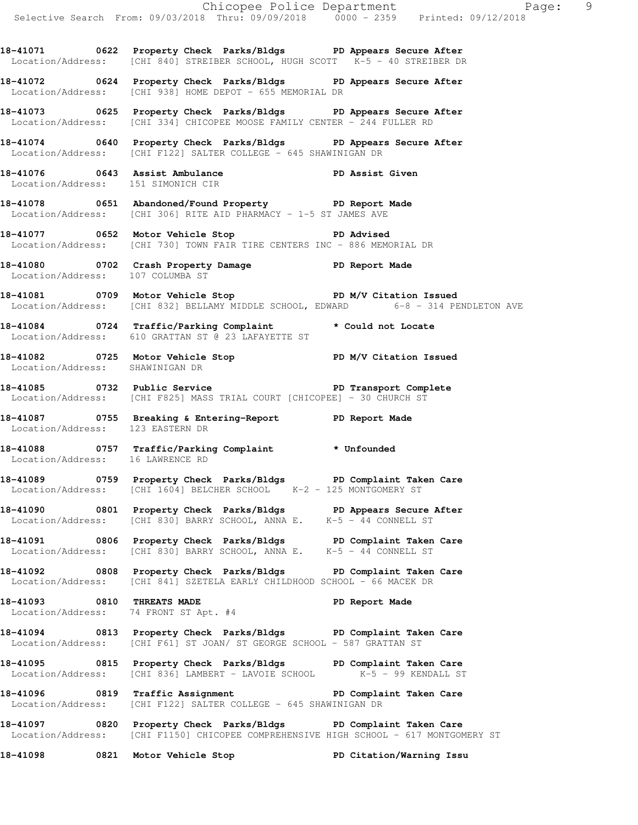Chicopee Police Department Page: 9 Selective Search From: 09/03/2018 Thru: 09/09/2018 0000 - 2359 Printed: 09/12/2018 **18-41071 0622 Property Check Parks/Bldgs PD Appears Secure After**  Location/Address: [CHI 840] STREIBER SCHOOL, HUGH SCOTT K-5 - 40 STREIBER DR **18-41072 0624 Property Check Parks/Bldgs PD Appears Secure After**  Location/Address: [CHI 938] HOME DEPOT - 655 MEMORIAL DR **18-41073 0625 Property Check Parks/Bldgs PD Appears Secure After**  Location/Address: [CHI 334] CHICOPEE MOOSE FAMILY CENTER - 244 FULLER RD **18-41074 0640 Property Check Parks/Bldgs PD Appears Secure After**  Location/Address: [CHI F122] SALTER COLLEGE - 645 SHAWINIGAN DR **18-41076 0643 Assist Ambulance PD Assist Given**  Location/Address: 151 SIMONICH CIR **18-41078 0651 Abandoned/Found Property PD Report Made**  Location/Address: [CHI 306] RITE AID PHARMACY - 1-5 ST JAMES AVE **18-41077 0652 Motor Vehicle Stop PD Advised**  Location/Address: [CHI 730] TOWN FAIR TIRE CENTERS INC - 886 MEMORIAL DR **18-41080 0702 Crash Property Damage PD Report Made**  Location/Address: 107 COLUMBA ST **18-41081 0709 Motor Vehicle Stop PD M/V Citation Issued**  Location/Address: [CHI 832] BELLAMY MIDDLE SCHOOL, EDWARD 6-8 - 314 PENDLETON AVE **18-41084 0724 Traffic/Parking Complaint \* Could not Locate**  Location/Address: 610 GRATTAN ST @ 23 LAFAYETTE ST **18-41082 0725 Motor Vehicle Stop PD M/V Citation Issued**  Location/Address: SHAWINIGAN DR **18-41085 0732 Public Service PD Transport Complete**  Location/Address: [CHI F825] MASS TRIAL COURT [CHICOPEE] - 30 CHURCH ST 18-41087 **0755** Breaking & Entering-Report **PD** Report Made Location/Address: 123 EASTERN DR **18-41088 0757 Traffic/Parking Complaint \* Unfounded**  Location/Address: 16 LAWRENCE RD **18-41089 0759 Property Check Parks/Bldgs PD Complaint Taken Care**  Location/Address: [CHI 1604] BELCHER SCHOOL K-2 - 125 MONTGOMERY ST **18-41090 0801 Property Check Parks/Bldgs PD Appears Secure After**  Location/Address: [CHI 830] BARRY SCHOOL, ANNA E. K-5 - 44 CONNELL ST **18-41091 0806 Property Check Parks/Bldgs PD Complaint Taken Care**  Location/Address: [CHI 830] BARRY SCHOOL, ANNA E. K-5 - 44 CONNELL ST **18-41092 0808 Property Check Parks/Bldgs PD Complaint Taken Care**  Location/Address: [CHI 841] SZETELA EARLY CHILDHOOD SCHOOL - 66 MACEK DR **18-41093 0810 THREATS MADE PD Report Made**  Location/Address: 74 FRONT ST Apt. #4 **18-41094 0813 Property Check Parks/Bldgs PD Complaint Taken Care**  Location/Address: [CHI F61] ST JOAN/ ST GEORGE SCHOOL - 587 GRATTAN ST **18-41095 0815 Property Check Parks/Bldgs PD Complaint Taken Care**  Location/Address: [CHI 836] LAMBERT - LAVOIE SCHOOL K-5 - 99 KENDALL ST 18-41096 **0819** Traffic Assignment **PD Complaint Taken Care** 

Location/Address: [CHI F122] SALTER COLLEGE - 645 SHAWINIGAN DR

**18-41097 0820 Property Check Parks/Bldgs PD Complaint Taken Care**  Location/Address: [CHI F1150] CHICOPEE COMPREHENSIVE HIGH SCHOOL - 617 MONTGOMERY ST

**18-41098 0821 Motor Vehicle Stop PD Citation/Warning Issu**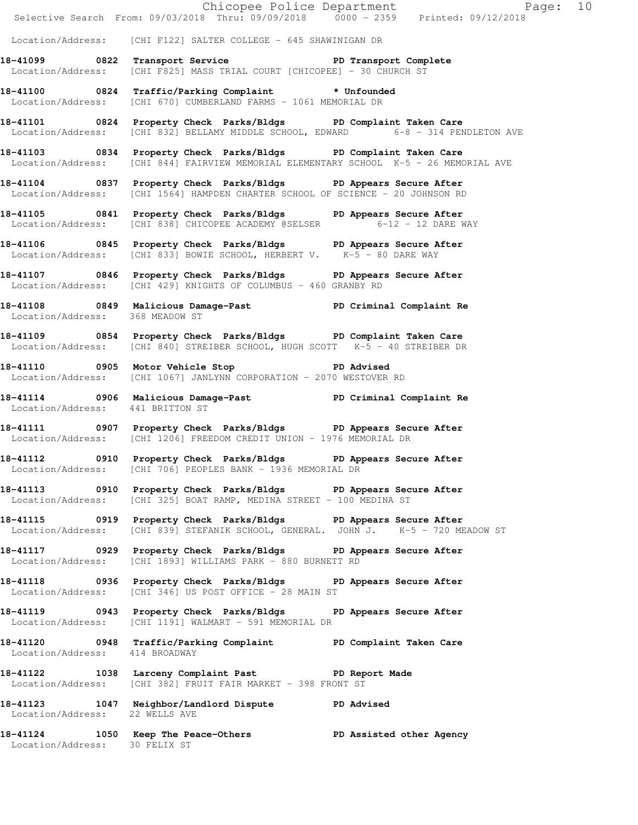|                                  |                                                                                                                                                           | Chicopee Police Department<br>Selective Search From: 09/03/2018 Thru: 09/09/2018 0000 - 2359 Printed: 09/12/2018 |  |
|----------------------------------|-----------------------------------------------------------------------------------------------------------------------------------------------------------|------------------------------------------------------------------------------------------------------------------|--|
|                                  | Location/Address: [CHI F122] SALTER COLLEGE - 645 SHAWINIGAN DR                                                                                           |                                                                                                                  |  |
|                                  | 18-41099 0822 Transport Service The PD Transport Complete<br>Location/Address: [CHI F825] MASS TRIAL COURT [CHICOPEE] - 30 CHURCH ST                      |                                                                                                                  |  |
|                                  | 18-41100 0824 Traffic/Parking Complaint * Unfounded<br>Location/Address: [CHI 670] CUMBERLAND FARMS - 1061 MEMORIAL DR                                    |                                                                                                                  |  |
|                                  | 18-41101 0824 Property Check Parks/Bldgs PD Complaint Taken Care<br>Location/Address: [CHI 832] BELLAMY MIDDLE SCHOOL, EDWARD 6-8 - 314 PENDLETON AVE     |                                                                                                                  |  |
|                                  | 18-41103 0834 Property Check Parks/Bldgs PD Complaint Taken Care<br>Location/Address: [CHI 844] FAIRVIEW MEMORIAL ELEMENTARY SCHOOL K-5 - 26 MEMORIAL AVE |                                                                                                                  |  |
|                                  | 18-41104 0837 Property Check Parks/Bldgs PD Appears Secure After<br>Location/Address: [CHI 1564] HAMPDEN CHARTER SCHOOL OF SCIENCE - 20 JOHNSON RD        |                                                                                                                  |  |
|                                  | 18-41105 0841 Property Check Parks/Bldgs PD Appears Secure After<br>Location/Address: [CHI 838] CHICOPEE ACADEMY @SELSER 6-12 - 12 DARE WAY               |                                                                                                                  |  |
|                                  | 18-41106 0845 Property Check Parks/Bldgs PD Appears Secure After<br>Location/Address: [CHI 833] BOWIE SCHOOL, HERBERT V. K-5 - 80 DARE WAY                |                                                                                                                  |  |
|                                  | 18-41107 0846 Property Check Parks/Bldgs PD Appears Secure After<br>Location/Address: [CHI 429] KNIGHTS OF COLUMBUS - 460 GRANBY RD                       |                                                                                                                  |  |
| Location/Address: 368 MEADOW ST  | 18-41108 1849 Malicious Damage-Past 1990 PD Criminal Complaint Re                                                                                         |                                                                                                                  |  |
|                                  | 18-41109 0854 Property Check Parks/Bldgs PD Complaint Taken Care<br>Location/Address: [CHI 840] STREIBER SCHOOL, HUGH SCOTT K-5 - 40 STREIBER DR          |                                                                                                                  |  |
|                                  | 18-41110 0905 Motor Vehicle Stop 50 PD Advised<br>Location/Address: [CHI 1067] JANLYNN CORPORATION - 2070 WESTOVER RD                                     |                                                                                                                  |  |
| Location/Address: 441 BRITTON ST | 18-41114 19906 Malicious Damage-Past 1990 PD Criminal Complaint Re                                                                                        |                                                                                                                  |  |
|                                  | 18-41111 		 0907 Property Check Parks/Bldgs 		 PD Appears Secure After<br>Location/Address: [CHI 1206] FREEDOM CREDIT UNION - 1976 MEMORIAL DR            |                                                                                                                  |  |
|                                  | 18-41112 0910 Property Check Parks/Bldgs PD Appears Secure After<br>Location/Address: [CHI 706] PEOPLES BANK - 1936 MEMORIAL DR                           |                                                                                                                  |  |
|                                  | 18-41113 0910 Property Check Parks/Bldgs PD Appears Secure After<br>Location/Address: [CHI 325] BOAT RAMP, MEDINA STREET - 100 MEDINA ST                  |                                                                                                                  |  |
|                                  | 18-41115 0919 Property Check Parks/Bldgs PD Appears Secure After<br>Location/Address: [CHI 839] STEFANIK SCHOOL, GENERAL. JOHN J. K-5 - 720 MEADOW ST     |                                                                                                                  |  |
|                                  | 18-41117 0929 Property Check Parks/Bldgs PD Appears Secure After<br>Location/Address: [CHI 1893] WILLIAMS PARK - 880 BURNETT RD                           |                                                                                                                  |  |
|                                  | 18-41118 		 0936 Property Check Parks/Bldgs 		 PD Appears Secure After<br>Location/Address: [CHI 346] US POST OFFICE - 28 MAIN ST                         |                                                                                                                  |  |
|                                  | 18-41119 		 0943 Property Check Parks/Bldgs 		 PD Appears Secure After<br>Location/Address: [CHI 1191] WALMART - 591 MEMORIAL DR                          |                                                                                                                  |  |
| Location/Address: 414 BROADWAY   | 18-41120 		 0948 Traffic/Parking Complaint 		 PD Complaint Taken Care                                                                                     |                                                                                                                  |  |
|                                  | 18-41122 1038 Larceny Complaint Past PD Report Made<br>Location/Address: [CHI 382] FRUIT FAIR MARKET - 398 FRONT ST                                       |                                                                                                                  |  |
| Location/Address: 22 WELLS AVE   | 18-41123 1047 Neighbor/Landlord Dispute PD Advised                                                                                                        |                                                                                                                  |  |
| Location/Address: 30 FELIX ST    | 18-41124 1050 Keep The Peace-Others PD Assisted other Agency                                                                                              |                                                                                                                  |  |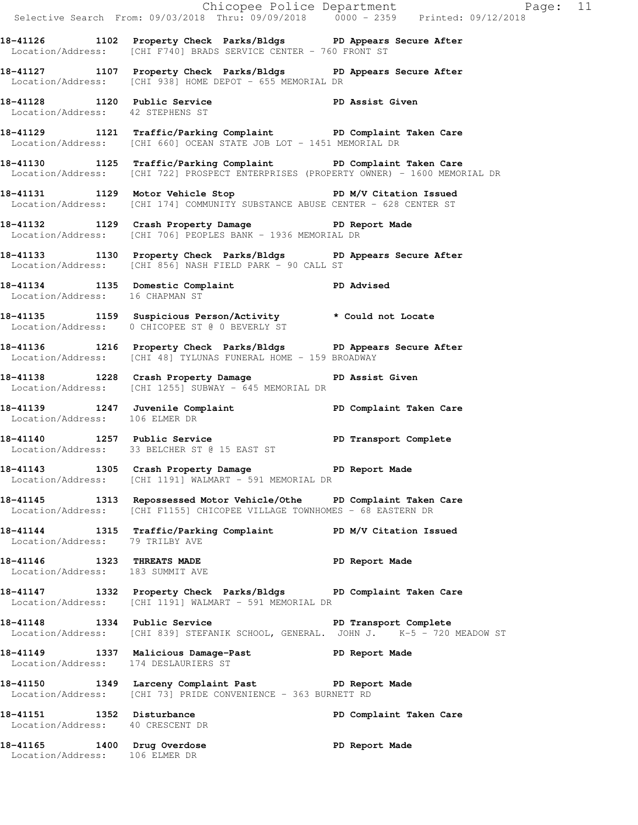|                                                                |                                                                                                                                                         | Chicopee Police Department<br>Selective Search From: 09/03/2018 Thru: 09/09/2018 0000 - 2359 Printed: 09/12/2018 |  |
|----------------------------------------------------------------|---------------------------------------------------------------------------------------------------------------------------------------------------------|------------------------------------------------------------------------------------------------------------------|--|
|                                                                | 18-41126 1102 Property Check Parks/Bldgs PD Appears Secure After<br>Location/Address: [CHI F740] BRADS SERVICE CENTER - 760 FRONT ST                    |                                                                                                                  |  |
|                                                                | 18-41127 1107 Property Check Parks/Bldgs PD Appears Secure After<br>Location/Address: [CHI 938] HOME DEPOT - 655 MEMORIAL DR                            |                                                                                                                  |  |
| Location/Address: 42 STEPHENS ST                               | 18-41128 1120 Public Service PD Assist Given                                                                                                            |                                                                                                                  |  |
|                                                                | 18-41129 1121 Traffic/Parking Complaint PD Complaint Taken Care<br>Location/Address: [CHI 660] OCEAN STATE JOB LOT - 1451 MEMORIAL DR                   |                                                                                                                  |  |
|                                                                | 18-41130 1125 Traffic/Parking Complaint PD Complaint Taken Care<br>Location/Address: [CHI 722] PROSPECT ENTERPRISES (PROPERTY OWNER) - 1600 MEMORIAL DR |                                                                                                                  |  |
|                                                                | 18-41131 1129 Motor Vehicle Stop N/V Citation Issued<br>Location/Address: [CHI 174] COMMUNITY SUBSTANCE ABUSE CENTER - 628 CENTER ST                    |                                                                                                                  |  |
|                                                                | 18-41132 1129 Crash Property Damage PD Report Made<br>Location/Address: [CHI 706] PEOPLES BANK - 1936 MEMORIAL DR                                       |                                                                                                                  |  |
|                                                                | 18-41133 1130 Property Check Parks/Bldgs PD Appears Secure After<br>Location/Address: [CHI 856] NASH FIELD PARK - 90 CALL ST                            |                                                                                                                  |  |
| Location/Address: 16 CHAPMAN ST                                | 18-41134 1135 Domestic Complaint PD Advised<br>Location/Address: 16 CHAPMAN ST                                                                          |                                                                                                                  |  |
|                                                                | 18-41135 1159 Suspicious Person/Activity * Could not Locate<br>Location/Address: 0 CHICOPEE ST @ 0 BEVERLY ST                                           |                                                                                                                  |  |
|                                                                | 18-41136 1216 Property Check Parks/Bldgs PD Appears Secure After<br>Location/Address: [CHI 48] TYLUNAS FUNERAL HOME - 159 BROADWAY                      |                                                                                                                  |  |
|                                                                | 18-41138 1228 Crash Property Damage PD Assist Given<br>Location/Address: [CHI 1255] SUBWAY - 645 MEMORIAL DR                                            |                                                                                                                  |  |
| Location/Address: 106 ELMER DR                                 | 18-41139 1247 Juvenile Complaint (1898) PD Complaint Taken Care                                                                                         |                                                                                                                  |  |
|                                                                | 18-41140 1257 Public Service<br>Location/Address: 33 BELCHER ST @ 15 EAST ST                                                                            | PD Transport Complete                                                                                            |  |
|                                                                | 18-41143 1305 Crash Property Damage The PD Report Made<br>Location/Address: [CHI 1191] WALMART - 591 MEMORIAL DR                                        |                                                                                                                  |  |
|                                                                | 18-41145 1313 Repossessed Motor Vehicle/Othe PD Complaint Taken Care<br>Location/Address: [CHI F1155] CHICOPEE VILLAGE TOWNHOMES - 68 EASTERN DR        |                                                                                                                  |  |
| Location/Address: 79 TRILBY AVE                                | 18-41144 1315 Traffic/Parking Complaint PD M/V Citation Issued                                                                                          |                                                                                                                  |  |
| 18-41146 1323 THREATS MADE<br>Location/Address: 183 SUMMIT AVE |                                                                                                                                                         | PD Report Made                                                                                                   |  |
|                                                                | 18-41147 1332 Property Check Parks/Bldgs PD Complaint Taken Care<br>Location/Address: [CHI 1191] WALMART - 591 MEMORIAL DR                              |                                                                                                                  |  |
|                                                                | 18-41148 1334 Public Service <b>128 PD</b> Transport Complete<br>Location/Address: [CHI 839] STEFANIK SCHOOL, GENERAL. JOHN J. K-5 - 720 MEADOW ST      |                                                                                                                  |  |
| Location/Address: 174 DESLAURIERS ST                           | 18-41149 1337 Malicious Damage-Past PD Report Made                                                                                                      |                                                                                                                  |  |
|                                                                | 18-41150 1349 Larceny Complaint Past PD Report Made<br>Location/Address: [CHI 73] PRIDE CONVENIENCE - 363 BURNETT RD                                    |                                                                                                                  |  |
| 18-41151 1352 Disturbance<br>Location/Address: 40 CRESCENT DR  |                                                                                                                                                         | PD Complaint Taken Care                                                                                          |  |
| 18-41165 1400 Drug Overdose<br>Location/Address: 106 ELMER DR  |                                                                                                                                                         | PD Report Made                                                                                                   |  |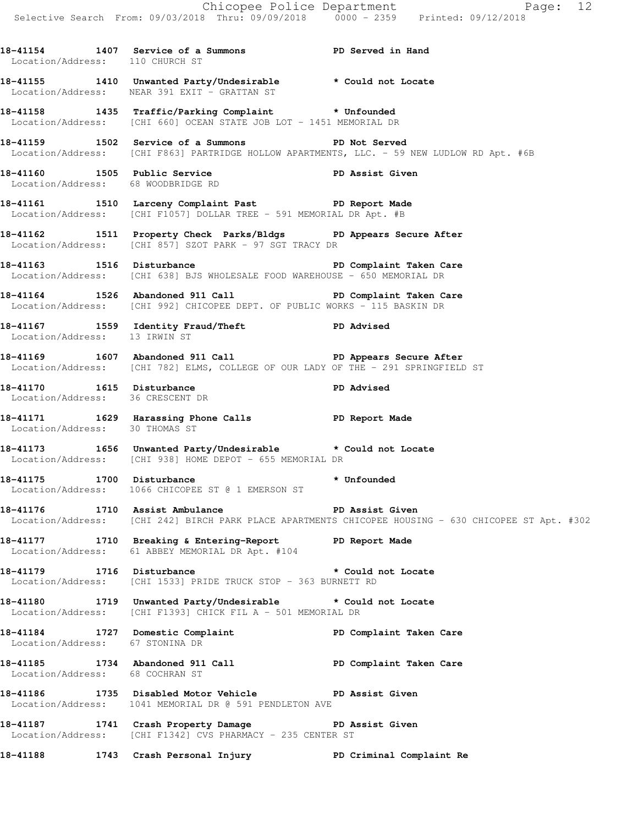Chicopee Police Department Page: 12 Selective Search From: 09/03/2018 Thru: 09/09/2018 0000 - 2359 Printed: 09/12/2018 **18-41154 1407 Service of a Summons PD Served in Hand**  Location/Address: 110 CHURCH ST **18-41155 1410 Unwanted Party/Undesirable \* Could not Locate**  Location/Address: NEAR 391 EXIT - GRATTAN ST **18-41158 1435 Traffic/Parking Complaint \* Unfounded**  Location/Address: [CHI 660] OCEAN STATE JOB LOT - 1451 MEMORIAL DR **18-41159 1502 Service of a Summons PD Not Served**  Location/Address: [CHI F863] PARTRIDGE HOLLOW APARTMENTS, LLC. - 59 NEW LUDLOW RD Apt. #6B **18-41160 1505 Public Service PD Assist Given**  Location/Address: 68 WOODBRIDGE RD **18-41161 1510 Larceny Complaint Past PD Report Made**  Location/Address: [CHI F1057] DOLLAR TREE - 591 MEMORIAL DR Apt. #B **18-41162 1511 Property Check Parks/Bldgs PD Appears Secure After**  Location/Address: [CHI 857] SZOT PARK - 97 SGT TRACY DR 18-41163 1516 Disturbance **1516** PD Complaint Taken Care Location/Address: [CHI 638] BJS WHOLESALE FOOD WAREHOUSE - 650 MEMORIAL DR **18-41164 1526 Abandoned 911 Call PD Complaint Taken Care**  Location/Address: [CHI 992] CHICOPEE DEPT. OF PUBLIC WORKS - 115 BASKIN DR **18-41167 1559 Identity Fraud/Theft PD Advised**  Location/Address: 13 IRWIN ST **18-41169 1607 Abandoned 911 Call PD Appears Secure After**  Location/Address: [CHI 782] ELMS, COLLEGE OF OUR LADY OF THE - 291 SPRINGFIELD ST **18-41170 1615 Disturbance PD Advised**  Location/Address: 36 CRESCENT DR **18-41171 1629 Harassing Phone Calls PD Report Made**  Location/Address: 30 THOMAS ST **18-41173 1656 Unwanted Party/Undesirable \* Could not Locate**  Location/Address: [CHI 938] HOME DEPOT - 655 MEMORIAL DR **18-41175 1700 Disturbance \* Unfounded**  Location/Address: 1066 CHICOPEE ST @ 1 EMERSON ST **18-41176 1710 Assist Ambulance PD Assist Given**  Location/Address: [CHI 242] BIRCH PARK PLACE APARTMENTS CHICOPEE HOUSING - 630 CHICOPEE ST Apt. #302 **18-41177 1710 Breaking & Entering-Report PD Report Made**  Location/Address: 61 ABBEY MEMORIAL DR Apt. #104 **18-41179 1716 Disturbance \* Could not Locate**  Location/Address: [CHI 1533] PRIDE TRUCK STOP - 363 BURNETT RD **18-41180 1719 Unwanted Party/Undesirable \* Could not Locate**  Location/Address: [CHI F1393] CHICK FIL A - 501 MEMORIAL DR **18-41184 1727 Domestic Complaint PD Complaint Taken Care**  Location/Address: 67 STONINA DR **18-41185 1734 Abandoned 911 Call PD Complaint Taken Care** 

**18-41186 1735 Disabled Motor Vehicle PD Assist Given**  Location/Address: 1041 MEMORIAL DR @ 591 PENDLETON AVE

Location/Address: 68 COCHRAN ST

**18-41187 1741 Crash Property Damage PD Assist Given**  Location/Address: [CHI F1342] CVS PHARMACY - 235 CENTER ST

**18-41188 1743 Crash Personal Injury PD Criminal Complaint Re**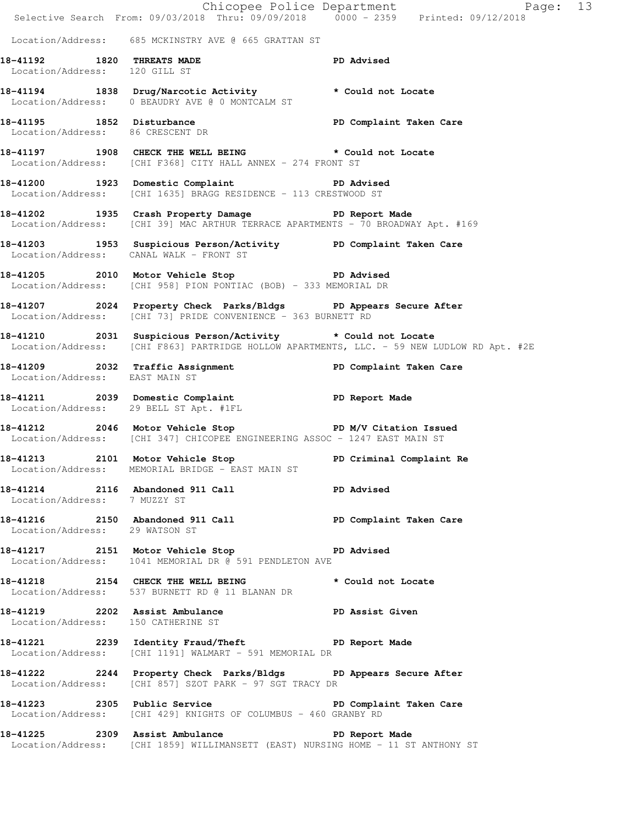|                                    | E Chicopee Police Department<br>Selective Search From: 09/03/2018 Thru: 09/09/2018 0000 - 2359 Printed: 09/12/2018                         | Page: 13                                                                                   |  |
|------------------------------------|--------------------------------------------------------------------------------------------------------------------------------------------|--------------------------------------------------------------------------------------------|--|
|                                    | Location/Address: 685 MCKINSTRY AVE @ 665 GRATTAN ST                                                                                       |                                                                                            |  |
| Location/Address: 120 GILL ST      | 18-41192 1820 THREATS MADE                                                                                                                 | PD Advised                                                                                 |  |
|                                    | 18-41194 1838 Drug/Narcotic Activity * Could not Locate<br>Location/Address: 0 BEAUDRY AVE @ 0 MONTCALM ST                                 |                                                                                            |  |
|                                    | 18-41195 1852 Disturbance PD Complaint Taken Care<br>Location/Address: 86 CRESCENT DR                                                      |                                                                                            |  |
|                                    | 18-41197 1908 CHECK THE WELL BEING * Could not Locate<br>Location/Address: [CHI F368] CITY HALL ANNEX - 274 FRONT ST                       |                                                                                            |  |
|                                    | 18-41200 1923 Domestic Complaint PD Advised<br>Location/Address: [CHI 1635] BRAGG RESIDENCE - 113 CRESTWOOD ST                             |                                                                                            |  |
|                                    | 18-41202 1935 Crash Property Damage PD Report Made<br>Location/Address: [CHI 39] MAC ARTHUR TERRACE APARTMENTS - 70 BROADWAY Apt. #169     |                                                                                            |  |
|                                    | 18-41203 1953 Suspicious Person/Activity PD Complaint Taken Care<br>Location/Address: CANAL WALK - FRONT ST                                |                                                                                            |  |
|                                    | 18-41205 2010 Motor Vehicle Stop 50 PD Advised<br>Location/Address: [CHI 958] PION PONTIAC (BOB) - 333 MEMORIAL DR                         |                                                                                            |  |
|                                    | 18-41207 18-41207 2024 Property Check Parks/Bldgs PD Appears Secure After<br>Location/Address: [CHI 73] PRIDE CONVENIENCE - 363 BURNETT RD |                                                                                            |  |
|                                    | 18-41210 2031 Suspicious Person/Activity * Could not Locate                                                                                | Location/Address: [CHI F863] PARTRIDGE HOLLOW APARTMENTS, LLC. - 59 NEW LUDLOW RD Apt. #2E |  |
| Location/Address: EAST MAIN ST     | 18-41209 2032 Traffic Assignment New PD Complaint Taken Care                                                                               |                                                                                            |  |
|                                    | 18-41211 2039 Domestic Complaint PD Report Made<br>Location/Address: 29 BELL ST Apt. #1FL                                                  |                                                                                            |  |
|                                    | 18-41212 2046 Motor Vehicle Stop N/V Citation Issued<br>Location/Address: [CHI 347] CHICOPEE ENGINEERING ASSOC - 1247 EAST MAIN ST         |                                                                                            |  |
|                                    | 18-41213 2101 Motor Vehicle Stop PD Criminal Complaint Re<br>Location/Address: MEMORIAL BRIDGE - EAST MAIN ST                              |                                                                                            |  |
| Location/Address: 7 MUZZY ST       | 18-41214 2116 Abandoned 911 Call PD Advised                                                                                                |                                                                                            |  |
|                                    | 18-41216   2150   Abandoned 911   Call   PD Complaint Taken Care<br>Location/Address: 29 WATSON ST                                         |                                                                                            |  |
|                                    | 18-41217 2151 Motor Vehicle Stop PD Advised<br>Location/Address: 1041 MEMORIAL DR @ 591 PENDLETON AVE                                      |                                                                                            |  |
|                                    | 18-41218 2154 CHECK THE WELL BEING<br>Location/Address: 537 BURNETT RD @ 11 BLANAN DR                                                      | * Could not Locate                                                                         |  |
| Location/Address: 150 CATHERINE ST | 18-41219 2202 Assist Ambulance No PD Assist Given                                                                                          |                                                                                            |  |
|                                    | 18-41221 2239 Identity Fraud/Theft 5 PD Report Made<br>Location/Address: [CHI 1191] WALMART - 591 MEMORIAL DR                              |                                                                                            |  |
|                                    | 18-41222 2244 Property Check Parks/Bldgs PD Appears Secure After<br>Location/Address: [CHI 857] SZOT PARK - 97 SGT TRACY DR                |                                                                                            |  |
|                                    | 18-41223 2305 Public Service 2008 PD Complaint Taken Care<br>Location/Address: [CHI 429] KNIGHTS OF COLUMBUS - 460 GRANBY RD               |                                                                                            |  |
|                                    | 18-41225 2309 Assist Ambulance No PD Report Made<br>Location/Address: [CHI 1859] WILLIMANSETT (EAST) NURSING HOME - 11 ST ANTHONY ST       |                                                                                            |  |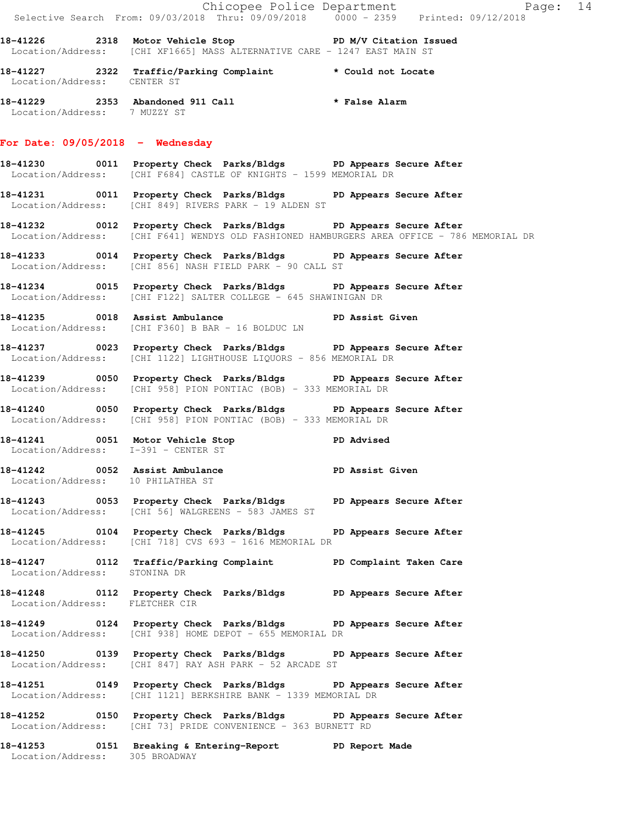|                                                                     | Chicopee Police Department<br>Selective Search From: 09/03/2018 Thru: 09/09/2018 0000 - 2359 Printed: 09/12/2018                                                  |                 |  |
|---------------------------------------------------------------------|-------------------------------------------------------------------------------------------------------------------------------------------------------------------|-----------------|--|
|                                                                     | 18-41226 2318 Motor Vehicle Stop ND M/V Citation Issued<br>Location/Address: [CHI XF1665] MASS ALTERNATIVE CARE - 1247 EAST MAIN ST                               |                 |  |
| Location/Address: CENTER ST                                         | 18-41227 2322 Traffic/Parking Complaint * Could not Locate                                                                                                        |                 |  |
| Location/Address: 7 MUZZY ST                                        | 18-41229 2353 Abandoned 911 Call <b>the fact of the State Alarm</b>                                                                                               |                 |  |
| For Date: $09/05/2018$ - Wednesday                                  |                                                                                                                                                                   |                 |  |
|                                                                     | 18-41230 0011 Property Check Parks/Bldgs PD Appears Secure After<br>Location/Address: [CHI F684] CASTLE OF KNIGHTS - 1599 MEMORIAL DR                             |                 |  |
|                                                                     | 18-41231 0011 Property Check Parks/Bldgs PD Appears Secure After<br>Location/Address: [CHI 849] RIVERS PARK - 19 ALDEN ST                                         |                 |  |
|                                                                     | 18-41232 18-0012 Property Check Parks/Bldgs PD Appears Secure After<br>Location/Address: [CHI F641] WENDYS OLD FASHIONED HAMBURGERS AREA OFFICE - 786 MEMORIAL DR |                 |  |
|                                                                     | 18-41233 0014 Property Check Parks/Bldgs PD Appears Secure After<br>Location/Address: [CHI 856] NASH FIELD PARK - 90 CALL ST                                      |                 |  |
|                                                                     | 18-41234 0015 Property Check Parks/Bldgs PD Appears Secure After<br>Location/Address: [CHI F122] SALTER COLLEGE - 645 SHAWINIGAN DR                               |                 |  |
|                                                                     | <br>18-41235              0018   Assist Ambulance                                 PD Assist Given<br>Location/Address: [CHI F360] B BAR - 16 BOLDUC LN            |                 |  |
|                                                                     | 18-41237 0023 Property Check Parks/Bldgs PD Appears Secure After<br>Location/Address: [CHI 1122] LIGHTHOUSE LIQUORS - 856 MEMORIAL DR                             |                 |  |
|                                                                     | 18-41239 0050 Property Check Parks/Bldgs PD Appears Secure After<br>Location/Address: [CHI 958] PION PONTIAC (BOB) - 333 MEMORIAL DR                              |                 |  |
|                                                                     | 18-41240 0050 Property Check Parks/Bldgs PD Appears Secure After<br>Location/Address: [CHI 958] PION PONTIAC (BOB) - 333 MEMORIAL DR                              |                 |  |
| Location/Address: I-391 - CENTER ST                                 | 18-41241 0051 Motor Vehicle Stop TD Advised                                                                                                                       |                 |  |
| 18-41242 0052 Assist Ambulance<br>Location/Address: 10 PHILATHEA ST |                                                                                                                                                                   | PD Assist Given |  |
|                                                                     | 18-41243 0053 Property Check Parks/Bldgs PD Appears Secure After<br>Location/Address: [CHI 56] WALGREENS - 583 JAMES ST                                           |                 |  |
|                                                                     | 18-41245 0104 Property Check Parks/Bldgs PD Appears Secure After<br>Location/Address: [CHI 718] CVS 693 - 1616 MEMORIAL DR                                        |                 |  |
| Location/Address: STONINA DR                                        | 18-41247 0112 Traffic/Parking Complaint PD Complaint Taken Care                                                                                                   |                 |  |
| Location/Address: FLETCHER CIR                                      | 18-41248 0112 Property Check Parks/Bldgs PD Appears Secure After                                                                                                  |                 |  |
|                                                                     | 18-41249 0124 Property Check Parks/Bldgs PD Appears Secure After<br>Location/Address: [CHI 938] HOME DEPOT - 655 MEMORIAL DR                                      |                 |  |
|                                                                     | 18-41250 		 0139 Property Check Parks/Bldgs 		 PD Appears Secure After<br>Location/Address: [CHI 847] RAY ASH PARK - 52 ARCADE ST                                 |                 |  |
|                                                                     | 18-41251 0149 Property Check Parks/Bldgs PD Appears Secure After<br>Location/Address: [CHI 1121] BERKSHIRE BANK - 1339 MEMORIAL DR                                |                 |  |
|                                                                     | 18-41252 		 0150 Property Check Parks/Bldgs 		 PD Appears Secure After<br>Location/Address: [CHI 73] PRIDE CONVENIENCE - 363 BURNETT RD                           |                 |  |
|                                                                     | 18-41253 0151 Breaking & Entering-Report PD Report Made<br>Location/Address: 305 BROADWAY                                                                         |                 |  |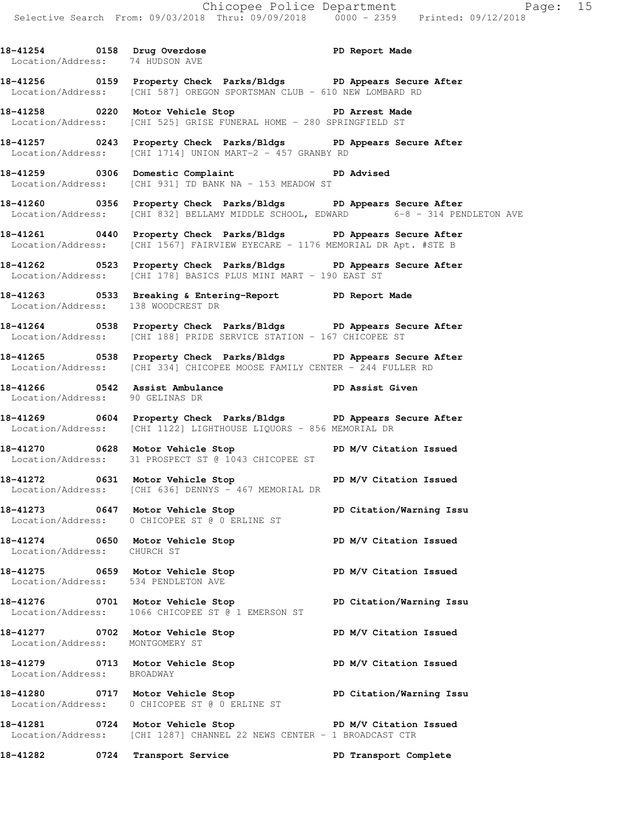18-41254 0158 Drug Overdose **PD Report Made** 

 Location/Address: 74 HUDSON AVE **18-41256 0159 Property Check Parks/Bldgs PD Appears Secure After**  Location/Address: [CHI 587] OREGON SPORTSMAN CLUB - 610 NEW LOMBARD RD **18-41258 0220 Motor Vehicle Stop PD Arrest Made**  Location/Address: [CHI 525] GRISE FUNERAL HOME - 280 SPRINGFIELD ST **18-41257 0243 Property Check Parks/Bldgs PD Appears Secure After**  Location/Address: [CHI 1714] UNION MART-2 - 457 GRANBY RD **18-41259 0306 Domestic Complaint PD Advised**  Location/Address: [CHI 931] TD BANK NA - 153 MEADOW ST **18-41260 0356 Property Check Parks/Bldgs PD Appears Secure After**  Location/Address: [CHI 832] BELLAMY MIDDLE SCHOOL, EDWARD 6-8 - 314 PENDLETON AVE **18-41261 0440 Property Check Parks/Bldgs PD Appears Secure After**  Location/Address: [CHI 1567] FAIRVIEW EYECARE - 1176 MEMORIAL DR Apt. #STE B **18-41262 0523 Property Check Parks/Bldgs PD Appears Secure After**  Location/Address: [CHI 178] BASICS PLUS MINI MART - 190 EAST ST **18-41263 0533 Breaking & Entering-Report PD Report Made**  Location/Address: 138 WOODCREST DR **18-41264 0538 Property Check Parks/Bldgs PD Appears Secure After**  Location/Address: [CHI 188] PRIDE SERVICE STATION - 167 CHICOPEE ST **18-41265 0538 Property Check Parks/Bldgs PD Appears Secure After**  Location/Address: [CHI 334] CHICOPEE MOOSE FAMILY CENTER - 244 FULLER RD **18-41266 0542 Assist Ambulance PD Assist Given**  Location/Address: 90 GELINAS DR **18-41269 0604 Property Check Parks/Bldgs PD Appears Secure After**  Location/Address: [CHI 1122] LIGHTHOUSE LIQUORS - 856 MEMORIAL DR **18-41270 0628 Motor Vehicle Stop PD M/V Citation Issued**  Location/Address: 31 PROSPECT ST @ 1043 CHICOPEE ST 18-41272 0631 Motor Vehicle Stop **PD M/V Citation Issued**  Location/Address: [CHI 636] DENNYS - 467 MEMORIAL DR **18-41273 0647 Motor Vehicle Stop PD Citation/Warning Issu**  Location/Address: 0 CHICOPEE ST @ 0 ERLINE ST **18-41274 0650 Motor Vehicle Stop PD M/V Citation Issued**  Location/Address: CHURCH ST **18-41275 0659 Motor Vehicle Stop PD M/V Citation Issued**  Location/Address: 534 PENDLETON AVE **18-41276 0701 Motor Vehicle Stop PD Citation/Warning Issu**  Location/Address: 1066 CHICOPEE ST @ 1 EMERSON ST **18-41277 0702 Motor Vehicle Stop PD M/V Citation Issued**  Location/Address: MONTGOMERY ST **18-41279 0713 Motor Vehicle Stop PD M/V Citation Issued**  Location/Address: BROADWAY **18-41280 0717 Motor Vehicle Stop PD Citation/Warning Issu**  Location/Address: 0 CHICOPEE ST @ 0 ERLINE ST **18-41281 0724 Motor Vehicle Stop PD M/V Citation Issued**  Location/Address: [CHI 1287] CHANNEL 22 NEWS CENTER - 1 BROADCAST CTR **18-41282 0724 Transport Service PD Transport Complete**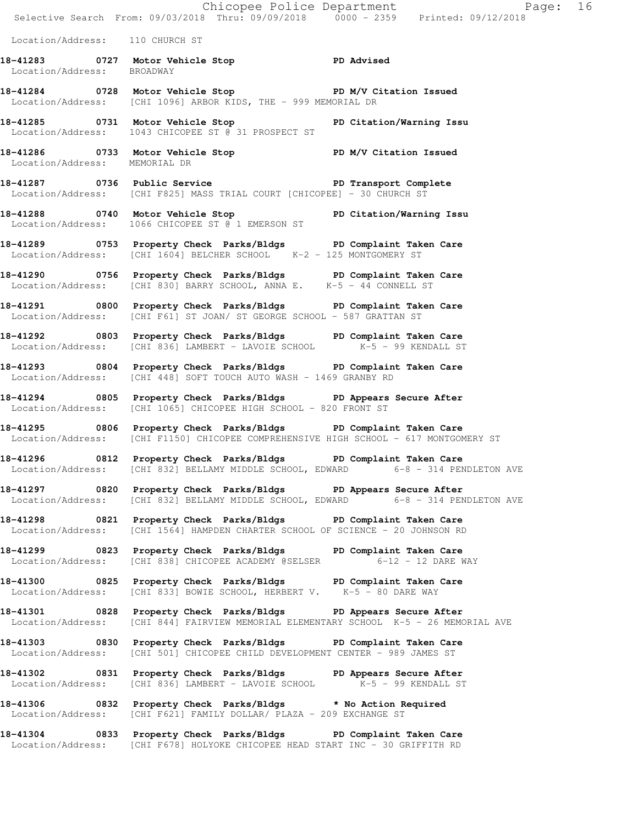|                                 | E<br>Chicopee Police Department<br>Selective Search From: 09/03/2018 Thru: 09/09/2018 0000 - 2359 Printed: 09/12/2018<br>Page: 16                         |  |
|---------------------------------|-----------------------------------------------------------------------------------------------------------------------------------------------------------|--|
| Location/Address: 110 CHURCH ST |                                                                                                                                                           |  |
| Location/Address: BROADWAY      | 18-41283 0727 Motor Vehicle Stop PD Advised                                                                                                               |  |
|                                 | 18-41284 0728 Motor Vehicle Stop ND PD M/V Citation Issued<br>Location/Address: [CHI 1096] ARBOR KIDS, THE - 999 MEMORIAL DR                              |  |
|                                 | 18-41285 0731 Motor Vehicle Stop PD Citation/Warning Issu<br>Location/Address: 1043 CHICOPEE ST @ 31 PROSPECT ST                                          |  |
| Location/Address: MEMORIAL DR   | 18-41286 0733 Motor Vehicle Stop New Yorkitation Issued                                                                                                   |  |
|                                 | 18-41287 18-41287 0736 Public Service 1980 1991 PD Transport Complete<br>Location/Address: [CHI F825] MASS TRIAL COURT [CHICOPEE] - 30 CHURCH ST          |  |
|                                 | 18-41288 0740 Motor Vehicle Stop PD Citation/Warning Issu<br>Location/Address: 1066 CHICOPEE ST @ 1 EMERSON ST                                            |  |
|                                 | 18-41289 18753 Property Check Parks/Bldgs PD Complaint Taken Care<br>Location/Address: [CHI 1604] BELCHER SCHOOL K-2 - 125 MONTGOMERY ST                  |  |
|                                 | 18-41290 0756 Property Check Parks/Bldgs PD Complaint Taken Care<br>Location/Address: [CHI 830] BARRY SCHOOL, ANNA E. K-5 - 44 CONNELL ST                 |  |
|                                 | 18-41291 0800 Property Check Parks/Bldgs PD Complaint Taken Care<br>Location/Address: [CHI F61] ST JOAN/ ST GEORGE SCHOOL - 587 GRATTAN ST                |  |
|                                 | 18-41292 0803 Property Check Parks/Bldgs PD Complaint Taken Care<br>$Location/Address:$ [CHI 836] LAMBERT - LAVOIE SCHOOL $K-5$ - 99 KENDALL ST           |  |
|                                 | 18-41293 0804 Property Check Parks/Bldgs PD Complaint Taken Care<br>Location/Address: [CHI 448] SOFT TOUCH AUTO WASH - 1469 GRANBY RD                     |  |
|                                 | 18-41294 0805 Property Check Parks/Bldgs PD Appears Secure After<br>Location/Address: [CHI 1065] CHICOPEE HIGH SCHOOL - 820 FRONT ST                      |  |
|                                 | 18-41295 0806 Property Check Parks/Bldgs PD Complaint Taken Care<br>Location/Address: [CHI F1150] CHICOPEE COMPREHENSIVE HIGH SCHOOL - 617 MONTGOMERY ST  |  |
|                                 | 18-41296 0812 Property Check Parks/Bldgs PD Complaint Taken Care<br>Location/Address: [CHI 832] BELLAMY MIDDLE SCHOOL, EDWARD 6-8 - 314 PENDLETON AVE     |  |
|                                 | 18-41297 0820 Property Check Parks/Bldgs PD Appears Secure After<br>Location/Address: [CHI 832] BELLAMY MIDDLE SCHOOL, EDWARD 6-8 - 314 PENDLETON AVE     |  |
|                                 | 18-41298 0821 Property Check Parks/Bldgs PD Complaint Taken Care<br>Location/Address: [CHI 1564] HAMPDEN CHARTER SCHOOL OF SCIENCE - 20 JOHNSON RD        |  |
|                                 | 18-41299 0823 Property Check Parks/Bldgs PD Complaint Taken Care<br>Location/Address: [CHI 838] CHICOPEE ACADEMY @SELSER 6-12 - 12 DARE WAY               |  |
|                                 | 18-41300 0825 Property Check Parks/Bldgs PD Complaint Taken Care<br>Location/Address: [CHI 833] BOWIE SCHOOL, HERBERT V. K-5 - 80 DARE WAY                |  |
|                                 | 18-41301 0828 Property Check Parks/Bldgs PD Appears Secure After<br>Location/Address: [CHI 844] FAIRVIEW MEMORIAL ELEMENTARY SCHOOL K-5 - 26 MEMORIAL AVE |  |
|                                 | 18-41303 0830 Property Check Parks/Bldgs PD Complaint Taken Care<br>Location/Address: [CHI 501] CHICOPEE CHILD DEVELOPMENT CENTER - 989 JAMES ST          |  |
|                                 | 18-41302 0831 Property Check Parks/Bldgs PD Appears Secure After<br>Location/Address: [CHI 836] LAMBERT - LAVOIE SCHOOL K-5 - 99 KENDALL ST               |  |
|                                 | 18-41306 0832 Property Check Parks/Bldgs * No Action Required<br>Location/Address: [CHI F621] FAMILY DOLLAR/ PLAZA - 209 EXCHANGE ST                      |  |
|                                 | 18-41304 0833 Property Check Parks/Bldgs PD Complaint Taken Care<br>Location/Address: [CHI F678] HOLYOKE CHICOPEE HEAD START INC - 30 GRIFFITH RD         |  |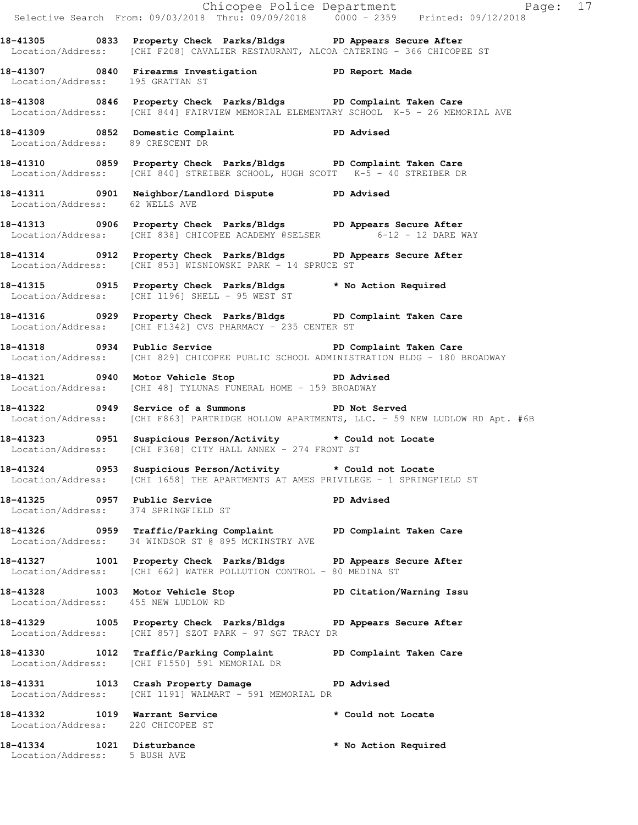|                                                                      |                                                                                                                                                           | Chicopee Police Department<br>Selective Search From: 09/03/2018 Thru: 09/09/2018 0000 - 2359 Printed: 09/12/2018 |
|----------------------------------------------------------------------|-----------------------------------------------------------------------------------------------------------------------------------------------------------|------------------------------------------------------------------------------------------------------------------|
|                                                                      | 18-41305 0833 Property Check Parks/Bldgs PD Appears Secure After<br>Location/Address: [CHI F208] CAVALIER RESTAURANT, ALCOA CATERING - 366 CHICOPEE ST    |                                                                                                                  |
| Location/Address: 195 GRATTAN ST                                     | 18-41307 0840 Firearms Investigation DD Report Made                                                                                                       |                                                                                                                  |
|                                                                      | 18-41308 0846 Property Check Parks/Bldgs PD Complaint Taken Care<br>Location/Address: [CHI 844] FAIRVIEW MEMORIAL ELEMENTARY SCHOOL K-5 - 26 MEMORIAL AVE |                                                                                                                  |
| Location/Address: 89 CRESCENT DR                                     | 18-41309 0852 Domestic Complaint (PD Advised                                                                                                              |                                                                                                                  |
|                                                                      | 18-41310 0859 Property Check Parks/Bldgs PD Complaint Taken Care<br>Location/Address: [CHI 840] STREIBER SCHOOL, HUGH SCOTT K-5 - 40 STREIBER DR          |                                                                                                                  |
| Location/Address: 62 WELLS AVE                                       | 18-41311 0901 Neighbor/Landlord Dispute PD Advised                                                                                                        |                                                                                                                  |
|                                                                      | 18-41313      0906 Property Check Parks/Bldgs     PD Appears Secure After<br>Location/Address: [CHI 838] CHICOPEE ACADEMY @SELSER 6-12 - 12 DARE WAY      |                                                                                                                  |
|                                                                      | 18-41314 0912 Property Check Parks/Bldgs PD Appears Secure After<br>Location/Address: [CHI 853] WISNIOWSKI PARK - 14 SPRUCE ST                            |                                                                                                                  |
|                                                                      | 18-41315 0915 Property Check Parks/Bldgs * No Action Required<br>Location/Address: [CHI 1196] SHELL - 95 WEST ST                                          |                                                                                                                  |
|                                                                      | 18-41316 		 0929 Property Check Parks/Bldgs 		 PD Complaint Taken Care<br>Location/Address: [CHI F1342] CVS PHARMACY - 235 CENTER ST                      |                                                                                                                  |
|                                                                      | 18-41318 		 0934 Public Service 		 PD Complaint Taken Care<br>Location/Address: [CHI 829] CHICOPEE PUBLIC SCHOOL ADMINISTRATION BLDG - 180 BROADWAY       |                                                                                                                  |
|                                                                      | 18-41321 0940 Motor Vehicle Stop North PD Advised<br>Location/Address: [CHI 48] TYLUNAS FUNERAL HOME - 159 BROADWAY                                       |                                                                                                                  |
|                                                                      | 18-41322 0949 Service of a Summons TPD Not Served                                                                                                         | Location/Address: [CHI F863] PARTRIDGE HOLLOW APARTMENTS, LLC. - 59 NEW LUDLOW RD Apt. #6B                       |
|                                                                      | 18-41323 0951 Suspicious Person/Activity * Could not Locate<br>Location/Address: [CHI F368] CITY HALL ANNEX - 274 FRONT ST                                |                                                                                                                  |
|                                                                      | 18-41324 0953 Suspicious Person/Activity tould not Locate<br>Location/Address: [CHI 1658] THE APARTMENTS AT AMES PRIVILEGE - 1 SPRINGFIELD ST             |                                                                                                                  |
| 18-41325 0957 Public Service<br>Location/Address: 374 SPRINGFIELD ST |                                                                                                                                                           | PD Advised                                                                                                       |
|                                                                      | 18-41326 		 0959 Traffic/Parking Complaint 		 PD Complaint Taken Care<br>Location/Address: 34 WINDSOR ST @ 895 MCKINSTRY AVE                              |                                                                                                                  |
|                                                                      | 18-41327 1001 Property Check Parks/Bldgs PD Appears Secure After<br>Location/Address: [CHI 662] WATER POLLUTION CONTROL - 80 MEDINA ST                    |                                                                                                                  |
| Location/Address: 455 NEW LUDLOW RD                                  | 18-41328 1003 Motor Vehicle Stop North PD Citation/Warning Issu                                                                                           |                                                                                                                  |
|                                                                      | 18-41329 1005 Property Check Parks/Bldgs PD Appears Secure After<br>Location/Address: [CHI 857] SZOT PARK - 97 SGT TRACY DR                               |                                                                                                                  |
|                                                                      | 18-41330 1012 Traffic/Parking Complaint PD Complaint Taken Care<br>Location/Address: [CHI F1550] 591 MEMORIAL DR                                          |                                                                                                                  |
|                                                                      | 18-41331 1013 Crash Property Damage 18-41331<br>Location/Address: [CHI 1191] WALMART - 591 MEMORIAL DR                                                    |                                                                                                                  |
| 18-41332 1019 Warrant Service<br>Location/Address: 220 CHICOPEE ST   |                                                                                                                                                           | * Could not Locate                                                                                               |
| 18-41334 1021 Disturbance<br>Location/Address: 5 BUSH AVE            |                                                                                                                                                           | * No Action Required                                                                                             |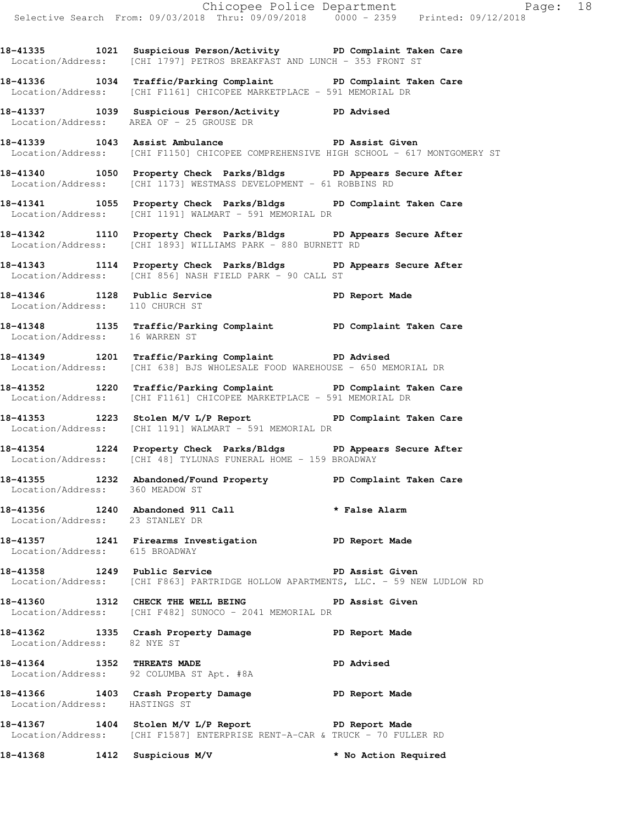**18-41335 1021 Suspicious Person/Activity PD Complaint Taken Care**  Location/Address: [CHI 1797] PETROS BREAKFAST AND LUNCH - 353 FRONT ST

**18-41336 1034 Traffic/Parking Complaint PD Complaint Taken Care**  Location/Address: [CHI F1161] CHICOPEE MARKETPLACE - 591 MEMORIAL DR

**18-41337 1039 Suspicious Person/Activity PD Advised**  Location/Address: AREA OF - 25 GROUSE DR

**18-41339 1043 Assist Ambulance PD Assist Given**  Location/Address: [CHI F1150] CHICOPEE COMPREHENSIVE HIGH SCHOOL - 617 MONTGOMERY ST

**18-41340 1050 Property Check Parks/Bldgs PD Appears Secure After**  Location/Address: [CHI 1173] WESTMASS DEVELOPMENT - 61 ROBBINS RD

**18-41341 1055 Property Check Parks/Bldgs PD Complaint Taken Care**  Location/Address: [CHI 1191] WALMART - 591 MEMORIAL DR

**18-41342 1110 Property Check Parks/Bldgs PD Appears Secure After**  Location/Address: [CHI 1893] WILLIAMS PARK - 880 BURNETT RD

**18-41343 1114 Property Check Parks/Bldgs PD Appears Secure After**  Location/Address: [CHI 856] NASH FIELD PARK - 90 CALL ST

**18-41346 1128 Public Service PD Report Made**  Location/Address: 110 CHURCH ST

**18-41348 1135 Traffic/Parking Complaint PD Complaint Taken Care**  Location/Address: 16 WARREN ST

**18-41349 1201 Traffic/Parking Complaint PD Advised**  Location/Address: [CHI 638] BJS WHOLESALE FOOD WAREHOUSE - 650 MEMORIAL DR

**18-41352 1220 Traffic/Parking Complaint PD Complaint Taken Care**  Location/Address: [CHI F1161] CHICOPEE MARKETPLACE - 591 MEMORIAL DR

18-41353 1223 Stolen M/V L/P Report **PD Complaint Taken Care** Location/Address: [CHI 1191] WALMART - 591 MEMORIAL DR

**18-41354 1224 Property Check Parks/Bldgs PD Appears Secure After**  Location/Address: [CHI 48] TYLUNAS FUNERAL HOME - 159 BROADWAY

**18-41355 1232 Abandoned/Found Property PD Complaint Taken Care**  Location/Address: 360 MEADOW ST

**18-41356 1240 Abandoned 911 Call \* False Alarm**  Location/Address: 23 STANLEY DR

**18-41357 1241 Firearms Investigation PD Report Made**  Location/Address: 615 BROADWAY

**18-41358 1249 Public Service PD Assist Given**  Location/Address: [CHI F863] PARTRIDGE HOLLOW APARTMENTS, LLC. - 59 NEW LUDLOW RD

18-41360 **1312** CHECK THE WELL BEING **PD** Assist Given Location/Address: [CHI F482] SUNOCO - 2041 MEMORIAL DR

**18-41362 1335 Crash Property Damage PD Report Made**  Location/Address: 82 NYE ST

**18-41364 1352 THREATS MADE PD Advised**  Location/Address: 92 COLUMBA ST Apt. #8A

**18-41366 1403 Crash Property Damage PD Report Made**  Location/Address: HASTINGS ST

**18-41367 1404 Stolen M/V L/P Report PD Report Made**  Location/Address: [CHI F1587] ENTERPRISE RENT-A-CAR & TRUCK - 70 FULLER RD

**18-41368 1412 Suspicious M/V \* No Action Required**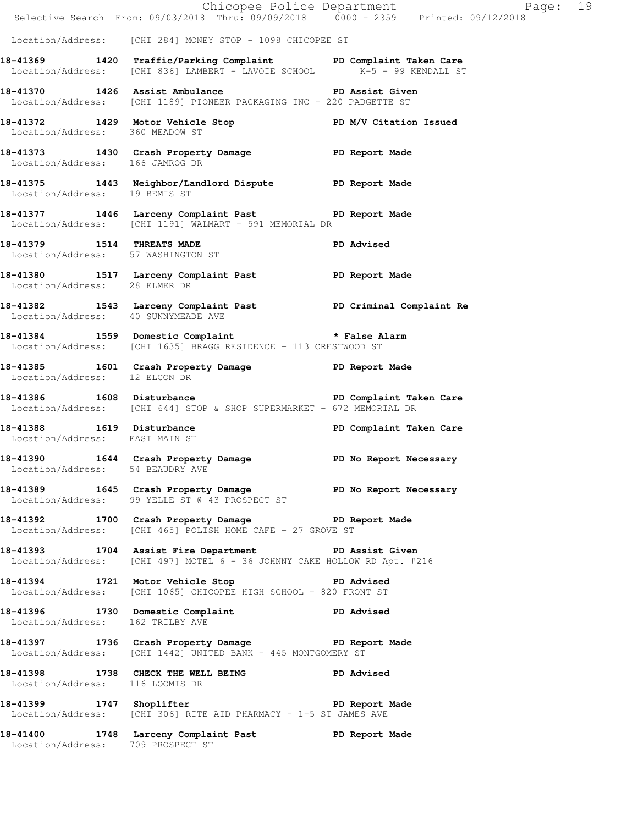|                                                                  |                                                                                                                                                  | Chicopee Police Department<br>Selective Search From: 09/03/2018 Thru: 09/09/2018 0000 - 2359 Printed: 09/12/2018<br>Page: 19 |  |
|------------------------------------------------------------------|--------------------------------------------------------------------------------------------------------------------------------------------------|------------------------------------------------------------------------------------------------------------------------------|--|
|                                                                  | Location/Address: [CHI 284] MONEY STOP - 1098 CHICOPEE ST                                                                                        |                                                                                                                              |  |
|                                                                  | 18-41369 1420 Traffic/Parking Complaint PD Complaint Taken Care<br>$Location/Address:$ [CHI 836] $LAMBERT - LAVOIE$ SCHOOL $K-5 - 99$ KENDALL ST |                                                                                                                              |  |
|                                                                  | 18-41370 1426 Assist Ambulance No PD Assist Given<br>Location/Address: [CHI 1189] PIONEER PACKAGING INC - 220 PADGETTE ST                        |                                                                                                                              |  |
| Location/Address: 360 MEADOW ST                                  | 18-41372 1429 Motor Vehicle Stop N/V Citation Issued                                                                                             |                                                                                                                              |  |
| Location/Address: 166 JAMROG DR                                  | 18-41373 1430 Crash Property Damage PD Report Made                                                                                               |                                                                                                                              |  |
| Location/Address: 19 BEMIS ST                                    | 18-41375 1443 Neighbor/Landlord Dispute PD Report Made                                                                                           |                                                                                                                              |  |
|                                                                  | 18-41377 1446 Larceny Complaint Past PD Report Made<br>Location/Address: [CHI 1191] WALMART - 591 MEMORIAL DR                                    |                                                                                                                              |  |
| 18-41379 1514 THREATS MADE<br>Location/Address: 57 WASHINGTON ST |                                                                                                                                                  | <b>PD Advised</b>                                                                                                            |  |
|                                                                  | 18-41380 1517 Larceny Complaint Past PD Report Made<br>Location/Address: 28 ELMER DR                                                             |                                                                                                                              |  |
| Location/Address: 40 SUNNYMEADE AVE                              | 18-41382 1543 Larceny Complaint Past PD Criminal Complaint Re                                                                                    |                                                                                                                              |  |
|                                                                  | 18-41384 1559 Domestic Complaint * False Alarm<br>Location/Address: [CHI 1635] BRAGG RESIDENCE - 113 CRESTWOOD ST                                |                                                                                                                              |  |
| Location/Address: 12 ELCON DR                                    | 18-41385 1601 Crash Property Damage PD Report Made                                                                                               |                                                                                                                              |  |
|                                                                  | 18-41386 1608 Disturbance 18 PD Complaint Taken Care<br>Location/Address: [CHI 644] STOP & SHOP SUPERMARKET - 672 MEMORIAL DR                    |                                                                                                                              |  |
| Location/Address: EAST MAIN ST                                   | 18-41388 1619 Disturbance                                                                                                                        | PD Complaint Taken Care                                                                                                      |  |
| Location/Address: 54 BEAUDRY AVE                                 | 18-41390 1644 Crash Property Damage PD No Report Necessary                                                                                       |                                                                                                                              |  |
|                                                                  | 18-41389 1645 Crash Property Damage New PD No Report Necessary<br>Location/Address: 99 YELLE ST @ 43 PROSPECT ST                                 |                                                                                                                              |  |
|                                                                  | 18-41392 1700 Crash Property Damage PD Report Made<br>Location/Address: [CHI 465] POLISH HOME CAFE - 27 GROVE ST                                 |                                                                                                                              |  |
|                                                                  | 18-41393 1704 Assist Fire Department PD Assist Given<br>Location/Address: [CHI 497] MOTEL 6 - 36 JOHNNY CAKE HOLLOW RD Apt. #216                 |                                                                                                                              |  |
|                                                                  | 18-41394 1721 Motor Vehicle Stop 5 PD Advised<br>Location/Address: [CHI 1065] CHICOPEE HIGH SCHOOL - 820 FRONT ST                                |                                                                                                                              |  |
| Location/Address: 162 TRILBY AVE                                 | 18-41396 1730 Domestic Complaint PD Advised                                                                                                      |                                                                                                                              |  |
|                                                                  | 18-41397 1736 Crash Property Damage PD Report Made<br>Location/Address: [CHI 1442] UNITED BANK - 445 MONTGOMERY ST                               |                                                                                                                              |  |
| Location/Address: 116 LOOMIS DR                                  | 18-41398 1738 CHECK THE WELL BEING PD Advised                                                                                                    |                                                                                                                              |  |
|                                                                  | 18-41399 1747 Shoplifter 2008 1747 PD Report Made<br>Location/Address: [CHI 306] RITE AID PHARMACY - 1-5 ST JAMES AVE                            |                                                                                                                              |  |
| Location/Address: 709 PROSPECT ST                                | 18-41400 1748 Larceny Complaint Past PD Report Made                                                                                              |                                                                                                                              |  |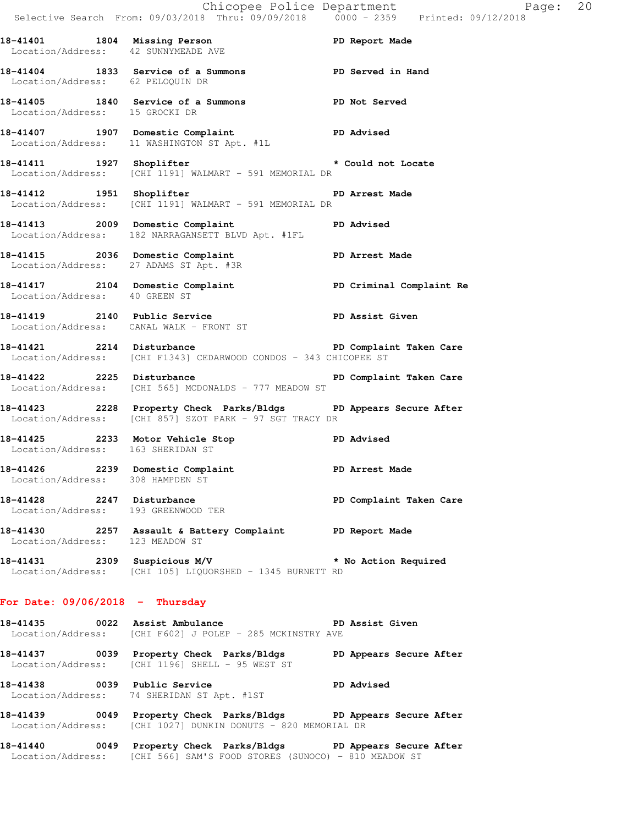|                                     |                                                                                                                                  | E Chicopee Police Department<br>Selective Search From: 09/03/2018 Thru: 09/09/2018 0000 - 2359 Printed: 09/12/2018<br>Page: 20 |  |
|-------------------------------------|----------------------------------------------------------------------------------------------------------------------------------|--------------------------------------------------------------------------------------------------------------------------------|--|
| Location/Address: 42 SUNNYMEADE AVE | 18-41401 1804 Missing Person Neport Made                                                                                         |                                                                                                                                |  |
| Location/Address: 62 PELOQUIN DR    | 18-41404 1833 Service of a Summons TPD Served in Hand                                                                            |                                                                                                                                |  |
| Location/Address: 15 GROCKI DR      | 18-41405 1840 Service of a Summons PD Not Served                                                                                 |                                                                                                                                |  |
|                                     | 18-41407 1907 Domestic Complaint PD Advised<br>Location/Address: 11 WASHINGTON ST Apt. #1L                                       |                                                                                                                                |  |
|                                     | 18-41411   1927   Shoplifter   * Could not Locate<br>Location/Address: [CHI 1191] WALMART - 591 MEMORIAL DR                      |                                                                                                                                |  |
|                                     | 18-41412 1951 Shoplifter 2008 PD Arrest Made<br>Location/Address: [CHI 1191] WALMART - 591 MEMORIAL DR                           |                                                                                                                                |  |
|                                     | 18-41413 2009 Domestic Complaint PD Advised<br>Location/Address: 182 NARRAGANSETT BLVD Apt. #1FL                                 |                                                                                                                                |  |
|                                     | 18-41415 2036 Domestic Complaint PD Arrest Made<br>Location/Address: 27 ADAMS ST Apt. #3R                                        |                                                                                                                                |  |
| Location/Address: 40 GREEN ST       | 18-41417 2104 Domestic Complaint (2008) PD Criminal Complaint Re                                                                 |                                                                                                                                |  |
|                                     | 18-41419 2140 Public Service New PD Assist Given<br>Location/Address: CANAL WALK - FRONT ST                                      |                                                                                                                                |  |
|                                     | 18-41421 2214 Disturbance PD Complaint Taken Care<br>Location/Address: [CHI F1343] CEDARWOOD CONDOS - 343 CHICOPEE ST            |                                                                                                                                |  |
|                                     | 18-41422 2225 Disturbance<br>Location/Address: [CHI 565] MCDONALDS - 777 MEADOW ST                                               | PD Complaint Taken Care                                                                                                        |  |
|                                     | 18-41423 2228 Property Check Parks/Bldgs PD Appears Secure After<br>Location/Address: [CHI 857] SZOT PARK - 97 SGT TRACY DR      |                                                                                                                                |  |
|                                     | 18-41425 2233 Motor Vehicle Stop PD Advised<br>Location/Address: 163 SHERIDAN ST                                                 |                                                                                                                                |  |
|                                     | 18-41426 2239 Domestic Complaint<br>Location/Address: 308 HAMPDEN ST                                                             | PD Arrest Made                                                                                                                 |  |
| Location/Address: 193 GREENWOOD TER | 18-41428 2247 Disturbance PD Complaint Taken Care                                                                                |                                                                                                                                |  |
| Location/Address: 123 MEADOW ST     | 18-41430 2257 Assault & Battery Complaint PD Report Made                                                                         |                                                                                                                                |  |
|                                     | 18-41431 2309 Suspicious M/V * No Action Required<br>Location/Address: [CHI 105] LIQUORSHED - 1345 BURNETT RD                    |                                                                                                                                |  |
| For Date: $09/06/2018$ - Thursday   |                                                                                                                                  |                                                                                                                                |  |
|                                     | 18-41435 0022 Assist Ambulance New PD Assist Given<br>Location/Address: [CHI F602] J POLEP - 285 MCKINSTRY AVE                   |                                                                                                                                |  |
|                                     | 18-41437 18-0039 Property Check Parks/Bldgs 1 PD Appears Secure After<br>Location/Address: [CHI 1196] SHELL - 95 WEST ST         |                                                                                                                                |  |
| 18-41438 0039 Public Service        | <b>PD</b> Advised<br>Location/Address: 74 SHERIDAN ST Apt. #1ST                                                                  |                                                                                                                                |  |
|                                     | 18-41439 0049 Property Check Parks/Bldgs PD Appears Secure After<br>Location/Address: [CHI 1027] DUNKIN DONUTS - 820 MEMORIAL DR |                                                                                                                                |  |

**18-41440 0049 Property Check Parks/Bldgs PD Appears Secure After**  Location/Address: [CHI 566] SAM'S FOOD STORES (SUNOCO) - 810 MEADOW ST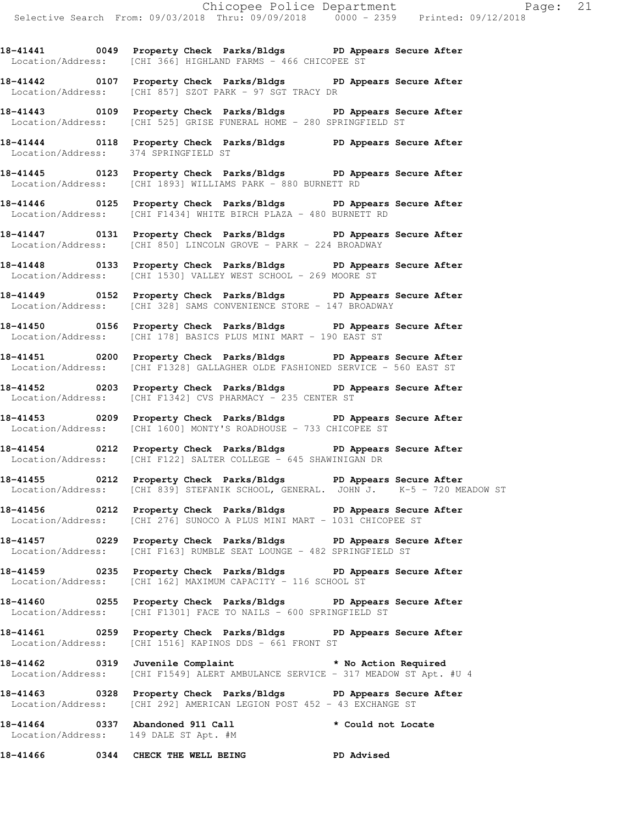**18-41441 0049 Property Check Parks/Bldgs PD Appears Secure After**  Location/Address: [CHI 366] HIGHLAND FARMS - 466 CHICOPEE ST

**18-41442 0107 Property Check Parks/Bldgs PD Appears Secure After**  Location/Address: [CHI 857] SZOT PARK - 97 SGT TRACY DR

**18-41443 0109 Property Check Parks/Bldgs PD Appears Secure After**  Location/Address: [CHI 525] GRISE FUNERAL HOME - 280 SPRINGFIELD ST

**18-41444 0118 Property Check Parks/Bldgs PD Appears Secure After**  Location/Address: 374 SPRINGFIELD ST

**18-41445 0123 Property Check Parks/Bldgs PD Appears Secure After**  Location/Address: [CHI 1893] WILLIAMS PARK - 880 BURNETT RD

**18-41446 0125 Property Check Parks/Bldgs PD Appears Secure After**  Location/Address: [CHI F1434] WHITE BIRCH PLAZA - 480 BURNETT RD

**18-41447 0131 Property Check Parks/Bldgs PD Appears Secure After**  Location/Address: [CHI 850] LINCOLN GROVE - PARK - 224 BROADWAY

**18-41448 0133 Property Check Parks/Bldgs PD Appears Secure After**  Location/Address: [CHI 1530] VALLEY WEST SCHOOL - 269 MOORE ST

**18-41449 0152 Property Check Parks/Bldgs PD Appears Secure After**  Location/Address: [CHI 328] SAMS CONVENIENCE STORE - 147 BROADWAY

**18-41450 0156 Property Check Parks/Bldgs PD Appears Secure After**  Location/Address: [CHI 178] BASICS PLUS MINI MART - 190 EAST ST

**18-41451 0200 Property Check Parks/Bldgs PD Appears Secure After**  Location/Address: [CHI F1328] GALLAGHER OLDE FASHIONED SERVICE - 560 EAST ST

**18-41452 0203 Property Check Parks/Bldgs PD Appears Secure After**  Location/Address: [CHI F1342] CVS PHARMACY - 235 CENTER ST

**18-41453 0209 Property Check Parks/Bldgs PD Appears Secure After**  Location/Address: [CHI 1600] MONTY'S ROADHOUSE - 733 CHICOPEE ST

**18-41454 0212 Property Check Parks/Bldgs PD Appears Secure After**  Location/Address: [CHI F122] SALTER COLLEGE - 645 SHAWINIGAN DR

**18-41455 0212 Property Check Parks/Bldgs PD Appears Secure After**  Location/Address: [CHI 839] STEFANIK SCHOOL, GENERAL. JOHN J. K-5 - 720 MEADOW ST

**18-41456 0212 Property Check Parks/Bldgs PD Appears Secure After**  Location/Address: [CHI 276] SUNOCO A PLUS MINI MART - 1031 CHICOPEE ST

**18-41457 0229 Property Check Parks/Bldgs PD Appears Secure After**  Location/Address: [CHI F163] RUMBLE SEAT LOUNGE - 482 SPRINGFIELD ST

**18-41459 0235 Property Check Parks/Bldgs PD Appears Secure After**  Location/Address: [CHI 162] MAXIMUM CAPACITY - 116 SCHOOL ST

**18-41460 0255 Property Check Parks/Bldgs PD Appears Secure After**  Location/Address: [CHI F1301] FACE TO NAILS - 600 SPRINGFIELD ST

**18-41461 0259 Property Check Parks/Bldgs PD Appears Secure After**  Location/Address: [CHI 1516] KAPINOS DDS - 661 FRONT ST

**18-41462 0319 Juvenile Complaint \* No Action Required**  Location/Address: [CHI F1549] ALERT AMBULANCE SERVICE - 317 MEADOW ST Apt. #U 4

**18-41463 0328 Property Check Parks/Bldgs PD Appears Secure After**  Location/Address: [CHI 292] AMERICAN LEGION POST 452 - 43 EXCHANGE ST

**18-41464 0337 Abandoned 911 Call \* Could not Locate**  Location/Address: 149 DALE ST Apt. #M

**18-41466 0344 CHECK THE WELL BEING PD Advised**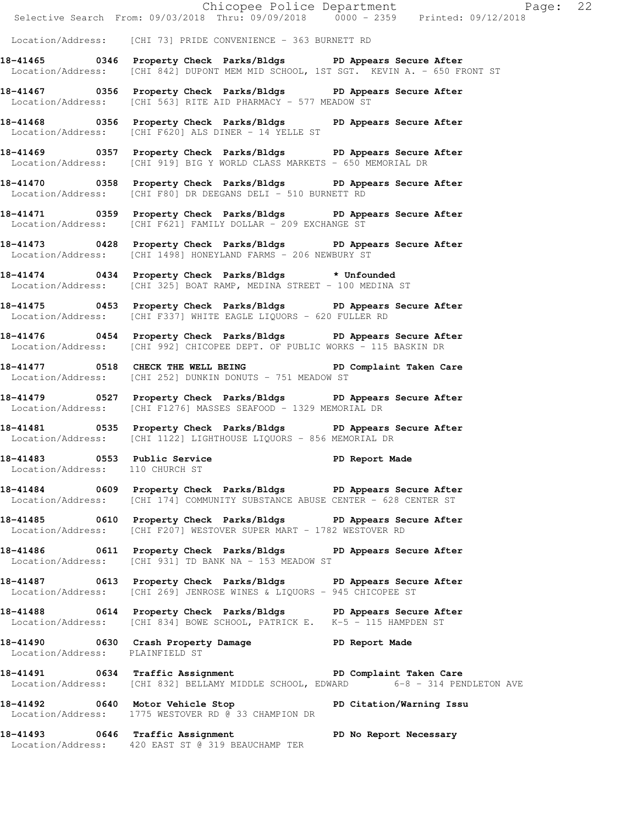Chicopee Police Department Page: 22 Selective Search From: 09/03/2018 Thru: 09/09/2018 0000 - 2359 Printed: 09/12/2018 Location/Address: [CHI 73] PRIDE CONVENIENCE - 363 BURNETT RD **18-41465 0346 Property Check Parks/Bldgs PD Appears Secure After**  Location/Address: [CHI 842] DUPONT MEM MID SCHOOL, 1ST SGT. KEVIN A. - 650 FRONT ST **18-41467 0356 Property Check Parks/Bldgs PD Appears Secure After**  Location/Address: [CHI 563] RITE AID PHARMACY - 577 MEADOW ST **18-41468 0356 Property Check Parks/Bldgs PD Appears Secure After**  Location/Address: [CHI F620] ALS DINER - 14 YELLE ST **18-41469 0357 Property Check Parks/Bldgs PD Appears Secure After**  Location/Address: [CHI 919] BIG Y WORLD CLASS MARKETS - 650 MEMORIAL DR **18-41470 0358 Property Check Parks/Bldgs PD Appears Secure After**  Location/Address: [CHI F80] DR DEEGANS DELI - 510 BURNETT RD **18-41471 0359 Property Check Parks/Bldgs PD Appears Secure After**  Location/Address: [CHI F621] FAMILY DOLLAR - 209 EXCHANGE ST **18-41473 0428 Property Check Parks/Bldgs PD Appears Secure After**  Location/Address: [CHI 1498] HONEYLAND FARMS - 206 NEWBURY ST **18-41474 0434 Property Check Parks/Bldgs \* Unfounded**  Location/Address: [CHI 325] BOAT RAMP, MEDINA STREET - 100 MEDINA ST **18-41475 0453 Property Check Parks/Bldgs PD Appears Secure After**  Location/Address: [CHI F337] WHITE EAGLE LIQUORS - 620 FULLER RD **18-41476 0454 Property Check Parks/Bldgs PD Appears Secure After**  Location/Address: [CHI 992] CHICOPEE DEPT. OF PUBLIC WORKS - 115 BASKIN DR **18-41477 0518 CHECK THE WELL BEING PD Complaint Taken Care**  Location/Address: [CHI 252] DUNKIN DONUTS - 751 MEADOW ST **18-41479 0527 Property Check Parks/Bldgs PD Appears Secure After**  Location/Address: [CHI F1276] MASSES SEAFOOD - 1329 MEMORIAL DR **18-41481 0535 Property Check Parks/Bldgs PD Appears Secure After**  Location/Address: [CHI 1122] LIGHTHOUSE LIQUORS - 856 MEMORIAL DR **18-41483 0553 Public Service PD Report Made**  Location/Address: 110 CHURCH ST **18-41484 0609 Property Check Parks/Bldgs PD Appears Secure After**  Location/Address: [CHI 174] COMMUNITY SUBSTANCE ABUSE CENTER - 628 CENTER ST **18-41485 0610 Property Check Parks/Bldgs PD Appears Secure After**  Location/Address: [CHI F207] WESTOVER SUPER MART - 1782 WESTOVER RD **18-41486 0611 Property Check Parks/Bldgs PD Appears Secure After**  Location/Address: [CHI 931] TD BANK NA - 153 MEADOW ST **18-41487 0613 Property Check Parks/Bldgs PD Appears Secure After**  Location/Address: [CHI 269] JENROSE WINES & LIQUORS - 945 CHICOPEE ST **18-41488 0614 Property Check Parks/Bldgs PD Appears Secure After**  Location/Address: [CHI 834] BOWE SCHOOL, PATRICK E. K-5 - 115 HAMPDEN ST **18-41490 0630 Crash Property Damage PD Report Made**  Location/Address: PLAINFIELD ST **18-41491 0634 Traffic Assignment PD Complaint Taken Care**  Location/Address: [CHI 832] BELLAMY MIDDLE SCHOOL, EDWARD 6-8 - 314 PENDLETON AVE **18-41492 0640 Motor Vehicle Stop PD Citation/Warning Issu**  Location/Address: 1775 WESTOVER RD @ 33 CHAMPION DR

**18-41493 0646 Traffic Assignment PD No Report Necessary**  Location/Address: 420 EAST ST @ 319 BEAUCHAMP TER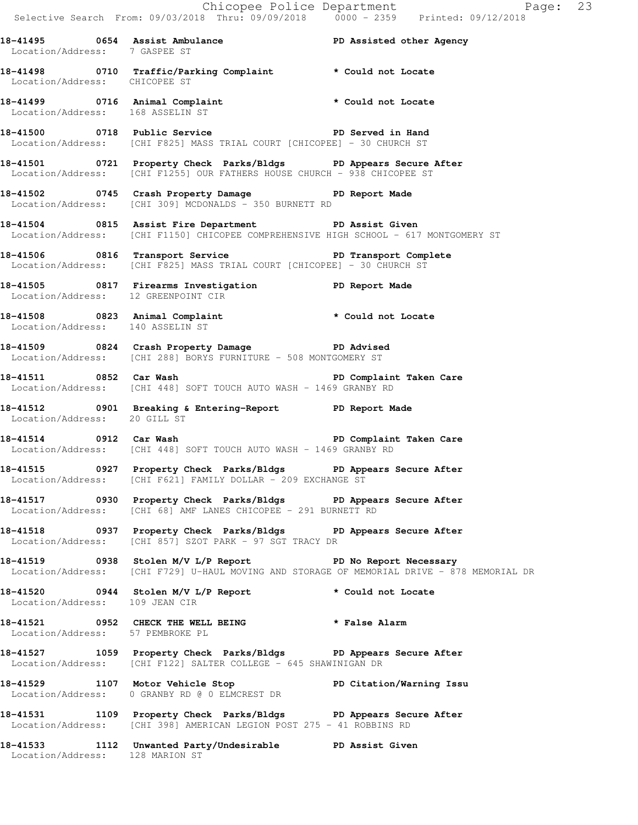Chicopee Police Department Fage: 23 Selective Search From: 09/03/2018 Thru: 09/09/2018 0000 - 2359 Printed: 09/12/2018 **18-41495 0654 Assist Ambulance PD Assisted other Agency**  Location/Address: 7 GASPEE ST **18-41498 0710 Traffic/Parking Complaint \* Could not Locate**  Location/Address: CHICOPEE ST **18-41499 0716 Animal Complaint \* Could not Locate**  Location/Address: 168 ASSELIN ST **18-41500 0718 Public Service PD Served in Hand**  Location/Address: [CHI F825] MASS TRIAL COURT [CHICOPEE] - 30 CHURCH ST **18-41501 0721 Property Check Parks/Bldgs PD Appears Secure After**  Location/Address: [CHI F1255] OUR FATHERS HOUSE CHURCH - 938 CHICOPEE ST **18-41502 0745 Crash Property Damage PD Report Made**  Location/Address: [CHI 309] MCDONALDS - 350 BURNETT RD **18-41504 0815 Assist Fire Department PD Assist Given**  Location/Address: [CHI F1150] CHICOPEE COMPREHENSIVE HIGH SCHOOL - 617 MONTGOMERY ST 18-41506 **0816** Transport Service **PED PERS** PD Transport Complete Location/Address: [CHI F825] MASS TRIAL COURT [CHICOPEE] - 30 CHURCH ST **18-41505 0817 Firearms Investigation PD Report Made**  Location/Address: 12 GREENPOINT CIR **18-41508 0823 Animal Complaint \* Could not Locate**  Location/Address: 140 ASSELIN ST **18-41509 0824 Crash Property Damage PD Advised**  Location/Address: [CHI 288] BORYS FURNITURE - 508 MONTGOMERY ST **18-41511 0852 Car Wash PD Complaint Taken Care**  Location/Address: [CHI 448] SOFT TOUCH AUTO WASH - 1469 GRANBY RD **18-41512 0901 Breaking & Entering-Report PD Report Made**  Location/Address: 20 GILL ST **18-41514 0912 Car Wash PD Complaint Taken Care**  Location/Address: [CHI 448] SOFT TOUCH AUTO WASH - 1469 GRANBY RD **18-41515 0927 Property Check Parks/Bldgs PD Appears Secure After**  Location/Address: [CHI F621] FAMILY DOLLAR - 209 EXCHANGE ST **18-41517 0930 Property Check Parks/Bldgs PD Appears Secure After**  Location/Address: [CHI 68] AMF LANES CHICOPEE - 291 BURNETT RD **18-41518 0937 Property Check Parks/Bldgs PD Appears Secure After**  Location/Address: [CHI 857] SZOT PARK - 97 SGT TRACY DR **18-41519 0938 Stolen M/V L/P Report PD No Report Necessary**  Location/Address: [CHI F729] U-HAUL MOVING AND STORAGE OF MEMORIAL DRIVE - 878 MEMORIAL DR **18-41520 0944 Stolen M/V L/P Report \* Could not Locate**  Location/Address: 109 JEAN CIR **18-41521 0952 CHECK THE WELL BEING \* False Alarm**  Location/Address: 57 PEMBROKE PL **18-41527 1059 Property Check Parks/Bldgs PD Appears Secure After**  Location/Address: [CHI F122] SALTER COLLEGE - 645 SHAWINIGAN DR **18-41529 1107 Motor Vehicle Stop PD Citation/Warning Issu**  Location/Address: 0 GRANBY RD @ 0 ELMCREST DR **18-41531 1109 Property Check Parks/Bldgs PD Appears Secure After**  Location/Address: [CHI 398] AMERICAN LEGION POST 275 - 41 ROBBINS RD **18-41533 1112 Unwanted Party/Undesirable PD Assist Given** 

Location/Address: 128 MARION ST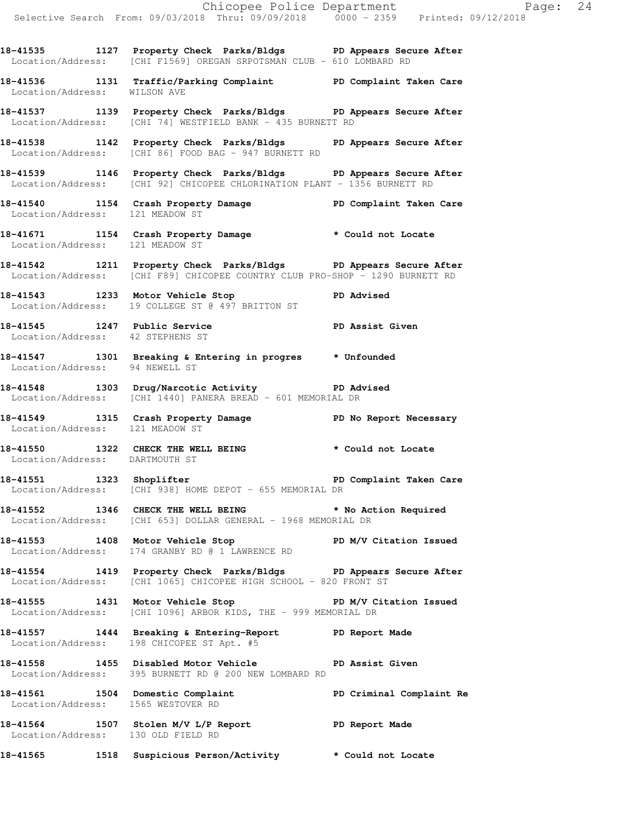**18-41535 1127 Property Check Parks/Bldgs PD Appears Secure After** 

 Location/Address: [CHI F1569] OREGAN SRPOTSMAN CLUB - 610 LOMBARD RD **18-41536 1131 Traffic/Parking Complaint PD Complaint Taken Care**  Location/Address: WILSON AVE **18-41537 1139 Property Check Parks/Bldgs PD Appears Secure After**  Location/Address: [CHI 74] WESTFIELD BANK - 435 BURNETT RD **18-41538 1142 Property Check Parks/Bldgs PD Appears Secure After**  Location/Address: [CHI 86] FOOD BAG - 947 BURNETT RD **18-41539 1146 Property Check Parks/Bldgs PD Appears Secure After**  Location/Address: [CHI 92] CHICOPEE CHLORINATION PLANT - 1356 BURNETT RD **18-41540 1154 Crash Property Damage PD Complaint Taken Care**  Location/Address: 121 MEADOW ST **18-41671 1154 Crash Property Damage \* Could not Locate**  Location/Address: 121 MEADOW ST **18-41542 1211 Property Check Parks/Bldgs PD Appears Secure After**  Location/Address: [CHI F89] CHICOPEE COUNTRY CLUB PRO-SHOP - 1290 BURNETT RD **18-41543 1233 Motor Vehicle Stop PD Advised**  Location/Address: 19 COLLEGE ST @ 497 BRITTON ST **18-41545 1247 Public Service PD Assist Given**  Location/Address: 42 STEPHENS ST **18-41547 1301 Breaking & Entering in progres \* Unfounded**  Location/Address: 94 NEWELL ST **18-41548 1303 Drug/Narcotic Activity PD Advised**  Location/Address: [CHI 1440] PANERA BREAD - 601 MEMORIAL DR **18-41549 1315 Crash Property Damage PD No Report Necessary**  Location/Address: 121 MEADOW ST **18-41550 1322 CHECK THE WELL BEING \* Could not Locate**  Location/Address: DARTMOUTH ST **18-41551 1323 Shoplifter PD Complaint Taken Care**  Location/Address: [CHI 938] HOME DEPOT - 655 MEMORIAL DR **18-41552 1346 CHECK THE WELL BEING \* No Action Required**  Location/Address: [CHI 653] DOLLAR GENERAL - 1968 MEMORIAL DR **18-41553 1408 Motor Vehicle Stop PD M/V Citation Issued**  Location/Address: 174 GRANBY RD @ 1 LAWRENCE RD **18-41554 1419 Property Check Parks/Bldgs PD Appears Secure After**  Location/Address: [CHI 1065] CHICOPEE HIGH SCHOOL - 820 FRONT ST **18-41555 1431 Motor Vehicle Stop PD M/V Citation Issued**  Location/Address: [CHI 1096] ARBOR KIDS, THE - 999 MEMORIAL DR **18-41557 1444 Breaking & Entering-Report PD Report Made**  Location/Address: 198 CHICOPEE ST Apt. #5 **18-41558 1455 Disabled Motor Vehicle PD Assist Given**  Location/Address: 395 BURNETT RD @ 200 NEW LOMBARD RD **18-41561 1504 Domestic Complaint PD Criminal Complaint Re**  Location/Address: 1565 WESTOVER RD **18-41564 1507 Stolen M/V L/P Report PD Report Made**  Location/Address: 130 OLD FIELD RD **18-41565 1518 Suspicious Person/Activity \* Could not Locate**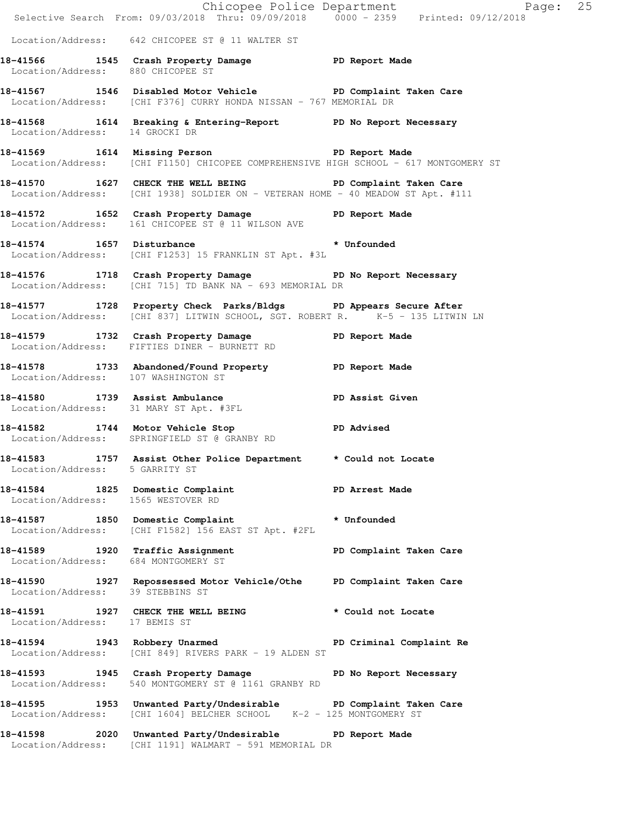|                                                                         | Chicopee Police Department<br>Selective Search From: 09/03/2018 Thru: 09/09/2018 0000 - 2359 Printed: 09/12/2018                                  | Page: 25                |
|-------------------------------------------------------------------------|---------------------------------------------------------------------------------------------------------------------------------------------------|-------------------------|
|                                                                         | Location/Address: 642 CHICOPEE ST @ 11 WALTER ST                                                                                                  |                         |
| Location/Address: 880 CHICOPEE ST                                       | 18-41566 1545 Crash Property Damage PD Report Made                                                                                                |                         |
|                                                                         | 18-41567 1546 Disabled Motor Vehicle PD Complaint Taken Care<br>Location/Address: [CHI F376] CURRY HONDA NISSAN - 767 MEMORIAL DR                 |                         |
| Location/Address: 14 GROCKI DR                                          | 18-41568 1614 Breaking & Entering-Report PD No Report Necessary                                                                                   |                         |
|                                                                         | 18-41569 1614 Missing Person Neport Made<br>Location/Address: [CHI F1150] CHICOPEE COMPREHENSIVE HIGH SCHOOL - 617 MONTGOMERY ST                  |                         |
|                                                                         | 18-41570 1627 CHECK THE WELL BEING PD Complaint Taken Care<br>Location/Address: [CHI 1938] SOLDIER ON - VETERAN HOME - 40 MEADOW ST Apt. #111     |                         |
|                                                                         | 18-41572   1652   Crash Property Damage   PD Report Made Location/Address:   161   CHICOPEE ST @ 11   WILSON AVE                                  |                         |
| 18-41574 1657 Disturbance                                               | Location/Address: [CHI F1253] 15 FRANKLIN ST Apt. #3L                                                                                             | * Unfounded             |
|                                                                         | 18-41576 1718 Crash Property Damage No Report Necessary<br>Location/Address: [CHI 715] TD BANK NA - 693 MEMORIAL DR                               |                         |
|                                                                         | 18-41577 1728 Property Check Parks/Bldgs PD Appears Secure After<br>Location/Address: [CHI 837] LITWIN SCHOOL, SGT. ROBERT R. X-5 - 135 LITWIN LN |                         |
|                                                                         | 18-41579 1732 Crash Property Damage 5 PD Report Made<br>Location/Address: FIFTIES DINER - BURNETT RD                                              |                         |
| Location/Address: 107 WASHINGTON ST                                     | 18-41578 1733 Abandoned/Found Property PD Report Made                                                                                             |                         |
|                                                                         | 18-41580 1739 Assist Ambulance No PD Assist Given<br>Location/Address: 31 MARY ST Apt. #3FL                                                       |                         |
|                                                                         | 18-41582 1744 Motor Vehicle Stop<br>Location/Address: SPRINGFIELD ST @ GRANBY RD                                                                  | <b>PD Advised</b>       |
| Location/Address: 5 GARRITY ST                                          | 18-41583 1757 Assist Other Police Department * Could not Locate                                                                                   |                         |
| Location/Address: 1565 WESTOVER RD                                      | 18-41584 1825 Domestic Complaint PD Arrest Made                                                                                                   |                         |
|                                                                         | 18-41587 1850 Domestic Complaint * Unfounded<br>Location/Address: [CHI F1582] 156 EAST ST Apt. #2FL                                               |                         |
| 18-41589 1920 Traffic Assignment<br>Location/Address: 684 MONTGOMERY ST |                                                                                                                                                   | PD Complaint Taken Care |
|                                                                         | 18-41590 1927 Repossessed Motor Vehicle/Othe PD Complaint Taken Care<br>Location/Address: 39 STEBBINS ST                                          |                         |
| Location/Address: 17 BEMIS ST                                           | 18-41591 1927 CHECK THE WELL BEING                                                                                                                | * Could not Locate      |
|                                                                         | 18-41594 1943 Robbery Unarmed PD Criminal Complaint Re<br>Location/Address: [CHI 849] RIVERS PARK - 19 ALDEN ST                                   |                         |
|                                                                         | 18-41593 1945 Crash Property Damage No Report Necessary<br>Location/Address: 540 MONTGOMERY ST @ 1161 GRANBY RD                                   |                         |
|                                                                         | 18-41595 1953 Unwanted Party/Undesirable PD Complaint Taken Care<br>Location/Address: [CHI 1604] BELCHER SCHOOL K-2 - 125 MONTGOMERY ST           |                         |
|                                                                         | 18-41598 2020 Unwanted Party/Undesirable PD Report Made<br>Location/Address: [CHI 1191] WALMART - 591 MEMORIAL DR                                 |                         |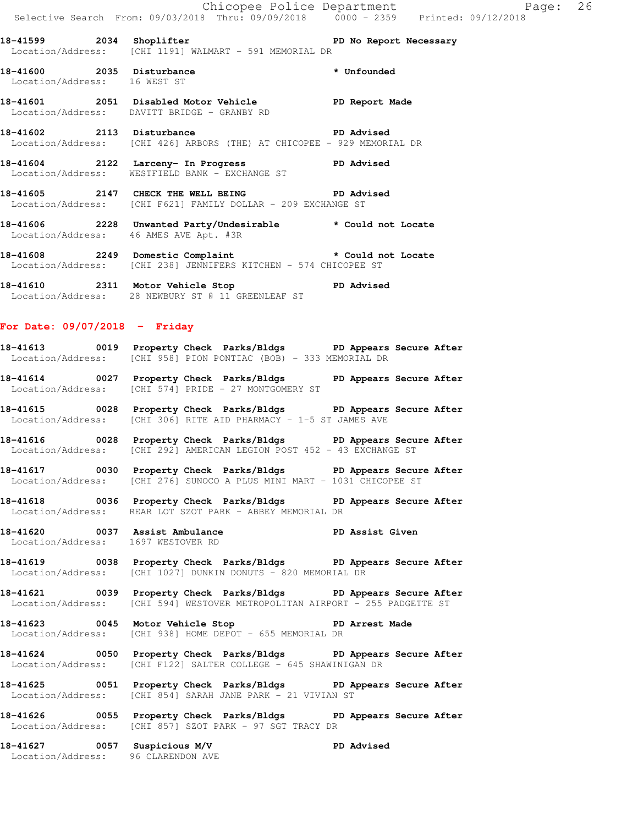**18-41599 2034 Shoplifter PD No Report Necessary**  Location/Address: [CHI 1191] WALMART - 591 MEMORIAL DR

**18-41600 2035 Disturbance \* Unfounded**  Location/Address: 16 WEST ST

**18-41601 2051 Disabled Motor Vehicle PD Report Made**  Location/Address: DAVITT BRIDGE - GRANBY RD

**18-41602 2113 Disturbance PD Advised**  Location/Address: [CHI 426] ARBORS (THE) AT CHICOPEE - 929 MEMORIAL DR

**18-41604 2122 Larceny- In Progress PD Advised**  Location/Address: WESTFIELD BANK - EXCHANGE ST

**18-41605 2147 CHECK THE WELL BEING PD Advised**  Location/Address: [CHI F621] FAMILY DOLLAR - 209 EXCHANGE ST

**18-41606 2228 Unwanted Party/Undesirable \* Could not Locate**  Location/Address: 46 AMES AVE Apt. #3R

**18-41608 2249 Domestic Complaint \* Could not Locate**  Location/Address: [CHI 238] JENNIFERS KITCHEN - 574 CHICOPEE ST

**18-41610 2311 Motor Vehicle Stop PD Advised**  Location/Address: 28 NEWBURY ST @ 11 GREENLEAF ST

# **For Date: 09/07/2018 - Friday**

**18-41613 0019 Property Check Parks/Bldgs PD Appears Secure After**  Location/Address: [CHI 958] PION PONTIAC (BOB) - 333 MEMORIAL DR

**18-41614 0027 Property Check Parks/Bldgs PD Appears Secure After**  Location/Address: [CHI 574] PRIDE - 27 MONTGOMERY ST

**18-41615 0028 Property Check Parks/Bldgs PD Appears Secure After**  Location/Address: [CHI 306] RITE AID PHARMACY - 1-5 ST JAMES AVE

**18-41616 0028 Property Check Parks/Bldgs PD Appears Secure After**  Location/Address: [CHI 292] AMERICAN LEGION POST 452 - 43 EXCHANGE ST

**18-41617 0030 Property Check Parks/Bldgs PD Appears Secure After**  Location/Address: [CHI 276] SUNOCO A PLUS MINI MART - 1031 CHICOPEE ST

**18-41618 0036 Property Check Parks/Bldgs PD Appears Secure After**  Location/Address: REAR LOT SZOT PARK - ABBEY MEMORIAL DR

**18-41620 0037 Assist Ambulance PD Assist Given**  Location/Address: 1697 WESTOVER RD

**18-41619 0038 Property Check Parks/Bldgs PD Appears Secure After**  Location/Address: [CHI 1027] DUNKIN DONUTS - 820 MEMORIAL DR

**18-41621 0039 Property Check Parks/Bldgs PD Appears Secure After**  Location/Address: [CHI 594] WESTOVER METROPOLITAN AIRPORT - 255 PADGETTE ST

**18-41623 0045 Motor Vehicle Stop PD Arrest Made**  Location/Address: [CHI 938] HOME DEPOT - 655 MEMORIAL DR

**18-41624 0050 Property Check Parks/Bldgs PD Appears Secure After**  Location/Address: [CHI F122] SALTER COLLEGE - 645 SHAWINIGAN DR

**18-41625 0051 Property Check Parks/Bldgs PD Appears Secure After**  Location/Address: [CHI 854] SARAH JANE PARK - 21 VIVIAN ST

**18-41626 0055 Property Check Parks/Bldgs PD Appears Secure After**  Location/Address: [CHI 857] SZOT PARK - 97 SGT TRACY DR

**18-41627 0057 Suspicious M/V PD Advised**  Location/Address: 96 CLARENDON AVE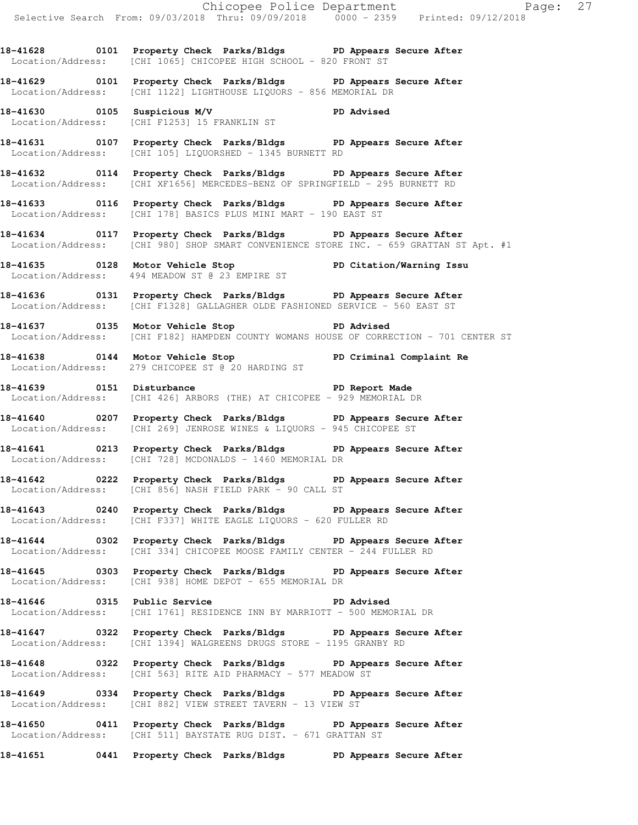**18-41628 0101 Property Check Parks/Bldgs PD Appears Secure After**  Location/Address: [CHI 1065] CHICOPEE HIGH SCHOOL - 820 FRONT ST

**18-41629 0101 Property Check Parks/Bldgs PD Appears Secure After**  Location/Address: [CHI 1122] LIGHTHOUSE LIQUORS - 856 MEMORIAL DR

**18-41630 0105 Suspicious M/V PD Advised**  Location/Address: [CHI F1253] 15 FRANKLIN ST

**18-41631 0107 Property Check Parks/Bldgs PD Appears Secure After**  Location/Address: [CHI 105] LIQUORSHED - 1345 BURNETT RD

**18-41632 0114 Property Check Parks/Bldgs PD Appears Secure After**  Location/Address: [CHI XF1656] MERCEDES-BENZ OF SPRINGFIELD - 295 BURNETT RD

**18-41633 0116 Property Check Parks/Bldgs PD Appears Secure After**  Location/Address: [CHI 178] BASICS PLUS MINI MART - 190 EAST ST

**18-41634 0117 Property Check Parks/Bldgs PD Appears Secure After**  Location/Address: [CHI 980] SHOP SMART CONVENIENCE STORE INC. - 659 GRATTAN ST Apt. #1

**18-41635 0128 Motor Vehicle Stop PD Citation/Warning Issu**  Location/Address: 494 MEADOW ST @ 23 EMPIRE ST

**18-41636 0131 Property Check Parks/Bldgs PD Appears Secure After**  Location/Address: [CHI F1328] GALLAGHER OLDE FASHIONED SERVICE - 560 EAST ST

**18-41637 0135 Motor Vehicle Stop PD Advised**  Location/Address: [CHI F182] HAMPDEN COUNTY WOMANS HOUSE OF CORRECTION - 701 CENTER ST

**18-41638 0144 Motor Vehicle Stop PD Criminal Complaint Re**  Location/Address: 279 CHICOPEE ST @ 20 HARDING ST

**18-41639 0151 Disturbance PD Report Made**  Location/Address: [CHI 426] ARBORS (THE) AT CHICOPEE - 929 MEMORIAL DR

**18-41640 0207 Property Check Parks/Bldgs PD Appears Secure After**  Location/Address: [CHI 269] JENROSE WINES & LIQUORS - 945 CHICOPEE ST

**18-41641 0213 Property Check Parks/Bldgs PD Appears Secure After**  Location/Address: [CHI 728] MCDONALDS - 1460 MEMORIAL DR

**18-41642 0222 Property Check Parks/Bldgs PD Appears Secure After**  Location/Address: [CHI 856] NASH FIELD PARK - 90 CALL ST

**18-41643 0240 Property Check Parks/Bldgs PD Appears Secure After**  Location/Address: [CHI F337] WHITE EAGLE LIQUORS - 620 FULLER RD

**18-41644 0302 Property Check Parks/Bldgs PD Appears Secure After**  Location/Address: [CHI 334] CHICOPEE MOOSE FAMILY CENTER  $-\overline{2}44$  FULLER RD

**18-41645 0303 Property Check Parks/Bldgs PD Appears Secure After**  Location/Address: [CHI 938] HOME DEPOT - 655 MEMORIAL DR

**18-41646 0315 Public Service PD Advised**  Location/Address: [CHI 1761] RESIDENCE INN BY MARRIOTT - 500 MEMORIAL DR

**18-41647 0322 Property Check Parks/Bldgs PD Appears Secure After**  Location/Address: [CHI 1394] WALGREENS DRUGS STORE - 1195 GRANBY RD

**18-41648 0322 Property Check Parks/Bldgs PD Appears Secure After**  Location/Address: [CHI 563] RITE AID PHARMACY - 577 MEADOW ST

**18-41649 0334 Property Check Parks/Bldgs PD Appears Secure After**  Location/Address: [CHI 882] VIEW STREET TAVERN - 13 VIEW ST

**18-41650 0411 Property Check Parks/Bldgs PD Appears Secure After**  Location/Address: [CHI 511] BAYSTATE RUG DIST. - 671 GRATTAN ST

**18-41651 0441 Property Check Parks/Bldgs PD Appears Secure After**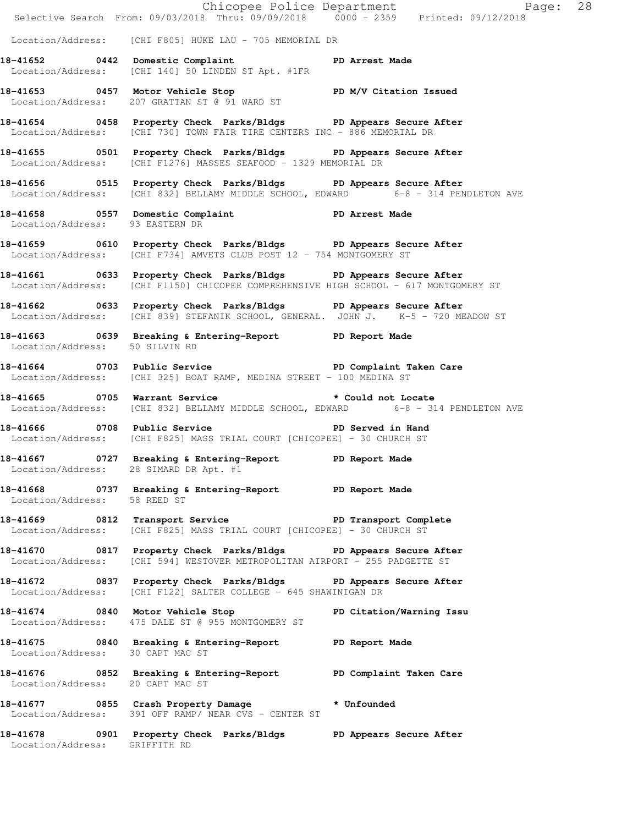|                                  |                                                                                                                                                          | Chicopee Police Department<br>Selective Search From: 09/03/2018 Thru: 09/09/2018 0000 - 2359 Printed: 09/12/2018 |  |
|----------------------------------|----------------------------------------------------------------------------------------------------------------------------------------------------------|------------------------------------------------------------------------------------------------------------------|--|
|                                  | Location/Address: [CHI F805] HUKE LAU - 705 MEMORIAL DR                                                                                                  |                                                                                                                  |  |
|                                  | 18-41652 0442 Domestic Complaint PD Arrest Made<br>Location/Address: [CHI 140] 50 LINDEN ST Apt. #1FR                                                    |                                                                                                                  |  |
|                                  | 18-41653 0457 Motor Vehicle Stop N/V Citation Issued<br>Location/Address: 207 GRATTAN ST @ 91 WARD ST                                                    |                                                                                                                  |  |
|                                  | 18-41654 0458 Property Check Parks/Bldgs PD Appears Secure After<br>Location/Address: [CHI 730] TOWN FAIR TIRE CENTERS INC - 886 MEMORIAL DR             |                                                                                                                  |  |
|                                  | 18-41655 0501 Property Check Parks/Bldgs PD Appears Secure After<br>Location/Address: [CHI F1276] MASSES SEAFOOD - 1329 MEMORIAL DR                      |                                                                                                                  |  |
|                                  | 18-41656 0515 Property Check Parks/Bldgs PD Appears Secure After<br>Location/Address: [CHI 832] BELLAMY MIDDLE SCHOOL, EDWARD 6-8 - 314 PENDLETON AVE    |                                                                                                                  |  |
|                                  | 18-41658 0557 Domestic Complaint PD Arrest Made<br>Location/Address: 93 EASTERN DR                                                                       |                                                                                                                  |  |
|                                  | 18-41659 0610 Property Check Parks/Bldgs PD Appears Secure After<br>Location/Address: [CHI F734] AMVETS CLUB POST 12 - 754 MONTGOMERY ST                 |                                                                                                                  |  |
|                                  | 18-41661 0633 Property Check Parks/Bldgs PD Appears Secure After<br>Location/Address: [CHI F1150] CHICOPEE COMPREHENSIVE HIGH SCHOOL - 617 MONTGOMERY ST |                                                                                                                  |  |
|                                  | 18-41662 0633 Property Check Parks/Bldgs PD Appears Secure After<br>Location/Address: [CHI 839] STEFANIK SCHOOL, GENERAL. JOHN J. K-5 - 720 MEADOW ST    |                                                                                                                  |  |
| Location/Address: 50 SILVIN RD   | 18-41663 0639 Breaking & Entering-Report TPD Report Made                                                                                                 |                                                                                                                  |  |
|                                  | 18-41664 0703 Public Service New PD Complaint Taken Care<br>Location/Address: [CHI 325] BOAT RAMP, MEDINA STREET - 100 MEDINA ST                         |                                                                                                                  |  |
|                                  | 18-41665 0705 Warrant Service<br>Location/Address: [CHI 832] BELLAMY MIDDLE SCHOOL, EDWARD 6-8 - 314 PENDLETON AVE                                       | * Could not Locate                                                                                               |  |
|                                  | 18-41666 0708 Public Service New PD Served in Hand<br>Location/Address: [CHI F825] MASS TRIAL COURT [CHICOPEE] - 30 CHURCH ST                            |                                                                                                                  |  |
|                                  | 18-41667 0727 Breaking & Entering-Report PD Report Made<br>Location/Address: 28 SIMARD DR Apt. #1                                                        |                                                                                                                  |  |
|                                  | 18-41668 0737 Breaking & Entering-Report PD Report Made<br>Location/Address: 58 REED ST                                                                  |                                                                                                                  |  |
|                                  | 18-41669 0812 Transport Service PD Transport Complete<br>Location/Address: [CHI F825] MASS TRIAL COURT [CHICOPEE] - 30 CHURCH ST                         |                                                                                                                  |  |
|                                  | 18-41670 0817 Property Check Parks/Bldgs PD Appears Secure After<br>Location/Address: [CHI 594] WESTOVER METROPOLITAN AIRPORT - 255 PADGETTE ST          |                                                                                                                  |  |
|                                  | 18-41672 		 0837 Property Check Parks/Bldgs 		 PD Appears Secure After<br>Location/Address: [CHI F122] SALTER COLLEGE - 645 SHAWINIGAN DR                |                                                                                                                  |  |
|                                  | 18-41674 0840 Motor Vehicle Stop North PD Citation/Warning Issu<br>Location/Address: 475 DALE ST @ 955 MONTGOMERY ST                                     |                                                                                                                  |  |
| Location/Address: 30 CAPT MAC ST | 18-41675 0840 Breaking & Entering-Report TPD Report Made                                                                                                 |                                                                                                                  |  |
| Location/Address: 20 CAPT MAC ST | 18-41676 6852 Breaking & Entering-Report PD Complaint Taken Care                                                                                         |                                                                                                                  |  |
|                                  | 18-41677 0855 Crash Property Damage * Unfounded<br>Location/Address: 391 OFF RAMP/ NEAR CVS - CENTER ST                                                  |                                                                                                                  |  |
| Location/Address: GRIFFITH RD    | 18-41678 0901 Property Check Parks/Bldgs PD Appears Secure After                                                                                         |                                                                                                                  |  |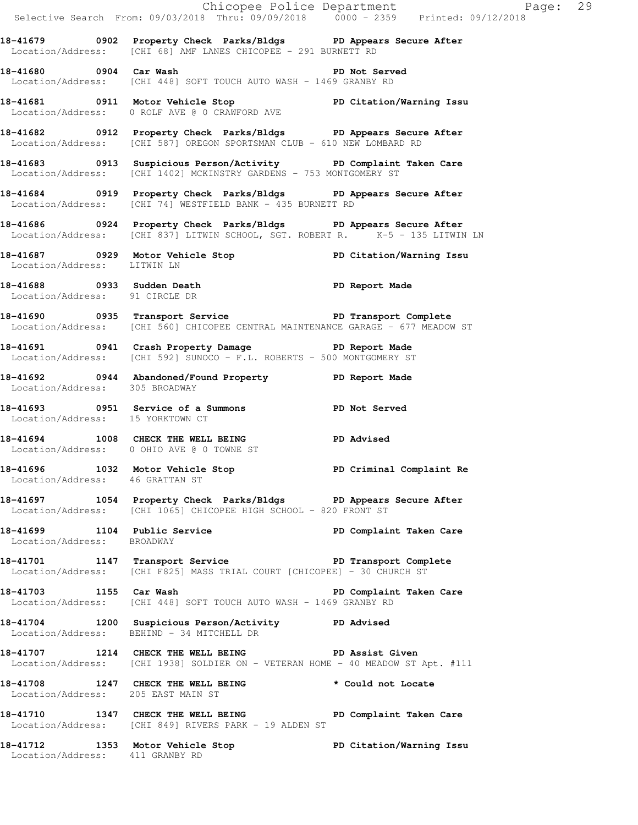|                                    | E Chicopee Police Department<br>Selective Search From: 09/03/2018 Thru: 09/09/2018 0000 - 2359 Printed: 09/12/2018                                      | Page: 29                |  |
|------------------------------------|---------------------------------------------------------------------------------------------------------------------------------------------------------|-------------------------|--|
|                                    | 18-41679 0902 Property Check Parks/Bldgs PD Appears Secure After<br>Location/Address: [CHI 68] AMF LANES CHICOPEE - 291 BURNETT RD                      |                         |  |
| 18-41680 0904 Car Wash             | Location/Address: [CHI 448] SOFT TOUCH AUTO WASH - 1469 GRANBY RD                                                                                       | PD Not Served           |  |
|                                    | 18-41681   0911   Motor Vehicle Stop   PD Citation/Warning Issu<br>Location/Address:   0 ROLF AVE @ 0 CRAWFORD AVE                                      |                         |  |
|                                    | 18-41682 0912 Property Check Parks/Bldgs PD Appears Secure After<br>Location/Address: [CHI 587] OREGON SPORTSMAN CLUB - 610 NEW LOMBARD RD              |                         |  |
|                                    | 18-41683<br>0913 Suspicious Person/Activity<br>PD Complaint Taken Care<br>Location/Address: [CHI 1402] MCKINSTRY GARDENS - 753 MONTGOMERY ST            |                         |  |
|                                    | 18-41684 0919 Property Check Parks/Bldgs PD Appears Secure After<br>Location/Address: [CHI 74] WESTFIELD BANK - 435 BURNETT RD                          |                         |  |
|                                    | 18-41686 		 0924 Property Check Parks/Bldgs 		 PD Appears Secure After<br>Location/Address: [CHI 837] LITWIN SCHOOL, SGT. ROBERT R. K-5 - 135 LITWIN LN |                         |  |
| Location/Address: LITWIN LN        | 18-41687 18929 Motor Vehicle Stop 1890 PD Citation/Warning Issu                                                                                         |                         |  |
| Location/Address: 91 CIRCLE DR     | 18-41688 0933 Sudden Death<br>Location (Address: 01 GIDGES PD                                                                                           |                         |  |
|                                    | 18-41690 0935 Transport Service New PD Transport Complete<br>Location/Address: [CHI 560] CHICOPEE CENTRAL MAINTENANCE GARAGE - 677 MEADOW ST            |                         |  |
|                                    | 18-41691 0941 Crash Property Damage Name PD Report Made<br>Location/Address: [CHI 592] SUNOCO - F.L. ROBERTS - 500 MONTGOMERY ST                        |                         |  |
| Location/Address: 305 BROADWAY     | 18-41692 0944 Abandoned/Found Property PD Report Made                                                                                                   |                         |  |
| Location/Address: 15 YORKTOWN CT   | 18-41693 0951 Service of a Summons PD Not Served                                                                                                        |                         |  |
|                                    | 18-41694 1008 CHECK THE WELL BEING PD Advised<br>Location/Address: 0 OHIO AVE @ 0 TOWNE ST                                                              |                         |  |
| Location/Address: 46 GRATTAN ST    | 18-41696 1032 Motor Vehicle Stop North PD Criminal Complaint Re                                                                                         |                         |  |
|                                    | 18-41697 1054 Property Check Parks/Bldgs PD Appears Secure After<br>Location/Address: [CHI 1065] CHICOPEE HIGH SCHOOL - 820 FRONT ST                    |                         |  |
| Location/Address: BROADWAY         | 18-41699 1104 Public Service 20 PD Complaint Taken Care                                                                                                 |                         |  |
|                                    | 18-41701 1147 Transport Service The PD Transport Complete<br>Location/Address: [CHI F825] MASS TRIAL COURT [CHICOPEE] - 30 CHURCH ST                    |                         |  |
| 18-41703 1155 Car Wash             | Location/Address: [CHI 448] SOFT TOUCH AUTO WASH - 1469 GRANBY RD                                                                                       | PD Complaint Taken Care |  |
|                                    | 18-41704 1200 Suspicious Person/Activity PD Advised<br>Location/Address: BEHIND - 34 MITCHELL DR                                                        |                         |  |
|                                    | 18-41707 1214 CHECK THE WELL BEING PD Assist Given<br>Location/Address: [CHI 1938] SOLDIER ON - VETERAN HOME - 40 MEADOW ST Apt. #111                   |                         |  |
| Location/Address: 205 EAST MAIN ST | 18-41708 1247 CHECK THE WELL BEING * Could not Locate                                                                                                   |                         |  |
|                                    | 18-41710 1347 CHECK THE WELL BEING PD Complaint Taken Care<br>Location/Address: [CHI 849] RIVERS PARK - 19 ALDEN ST                                     |                         |  |
|                                    | 18-41712   1353   Motor Vehicle Stop   PD Citation/Warning Issu<br>Location/Address: 411   GRANBY RD                                                    |                         |  |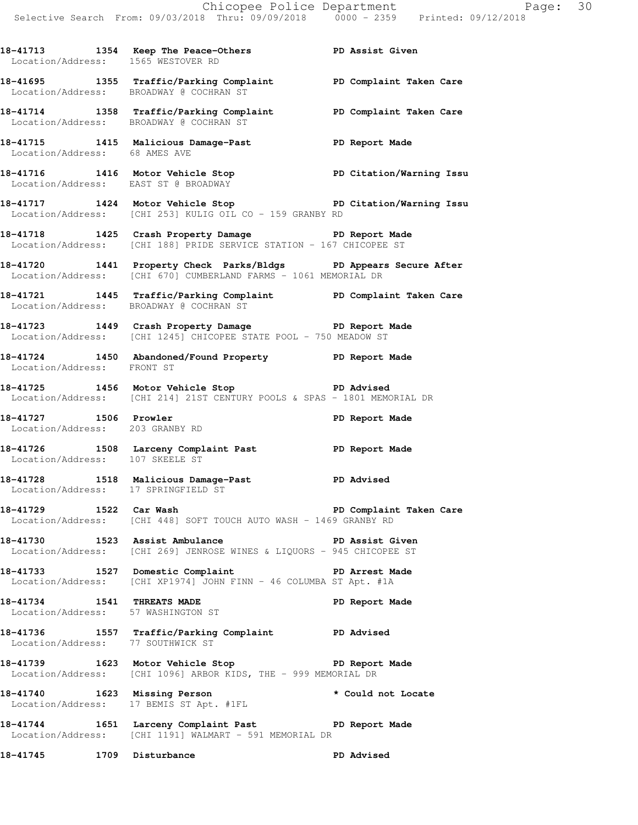**18-41713 1354 Keep The Peace-Others PD Assist Given** 

 Location/Address: 1565 WESTOVER RD **18-41695 1355 Traffic/Parking Complaint PD Complaint Taken Care**  Location/Address: BROADWAY @ COCHRAN ST **18-41714 1358 Traffic/Parking Complaint PD Complaint Taken Care**  Location/Address: BROADWAY @ COCHRAN ST **18-41715 1415 Malicious Damage-Past PD Report Made**  Location/Address: 68 AMES AVE **18-41716 1416 Motor Vehicle Stop PD Citation/Warning Issu**  Location/Address: EAST ST @ BROADWAY **18-41717 1424 Motor Vehicle Stop PD Citation/Warning Issu**  Location/Address: [CHI 253] KULIG OIL CO - 159 GRANBY RD **18-41718 1425 Crash Property Damage PD Report Made**  Location/Address: [CHI 188] PRIDE SERVICE STATION - 167 CHICOPEE ST **18-41720 1441 Property Check Parks/Bldgs PD Appears Secure After**  Location/Address: [CHI 670] CUMBERLAND FARMS - 1061 MEMORIAL DR **18-41721 1445 Traffic/Parking Complaint PD Complaint Taken Care**  Location/Address: BROADWAY @ COCHRAN ST **18-41723 1449 Crash Property Damage PD Report Made**  Location/Address: [CHI 1245] CHICOPEE STATE POOL - 750 MEADOW ST **18-41724 1450 Abandoned/Found Property PD Report Made**  Location/Address: FRONT ST **18-41725 1456 Motor Vehicle Stop PD Advised**  Location/Address: [CHI 214] 21ST CENTURY POOLS & SPAS - 1801 MEMORIAL DR 18-41727 1506 Prowler **18-41727** 1506 Prowler Location/Address: 203 GRANBY RD 18-41726 1508 Larceny Complaint Past **PD Report Made**  Location/Address: 107 SKEELE ST **18-41728 1518 Malicious Damage-Past PD Advised**  Location/Address: 17 SPRINGFIELD ST **18-41729 1522 Car Wash PD Complaint Taken Care**  Location/Address: [CHI 448] SOFT TOUCH AUTO WASH - 1469 GRANBY RD **18-41730 1523 Assist Ambulance PD Assist Given**  Location/Address: [CHI 269] JENROSE WINES & LIQUORS - 945 CHICOPEE ST **18-41733 1527 Domestic Complaint PD Arrest Made**  Location/Address: [CHI XP1974] JOHN FINN - 46 COLUMBA ST Apt. #1A **18-41734 1541 THREATS MADE PD Report Made**  Location/Address: 57 WASHINGTON ST **18-41736 1557 Traffic/Parking Complaint PD Advised**  Location/Address: 77 SOUTHWICK ST **18-41739 1623 Motor Vehicle Stop PD Report Made**  Location/Address: [CHI 1096] ARBOR KIDS, THE - 999 MEMORIAL DR **18-41740 1623 Missing Person \* Could not Locate**  Location/Address: 17 BEMIS ST Apt. #1FL **18-41744 1651 Larceny Complaint Past PD Report Made**  Location/Address: [CHI 1191] WALMART - 591 MEMORIAL DR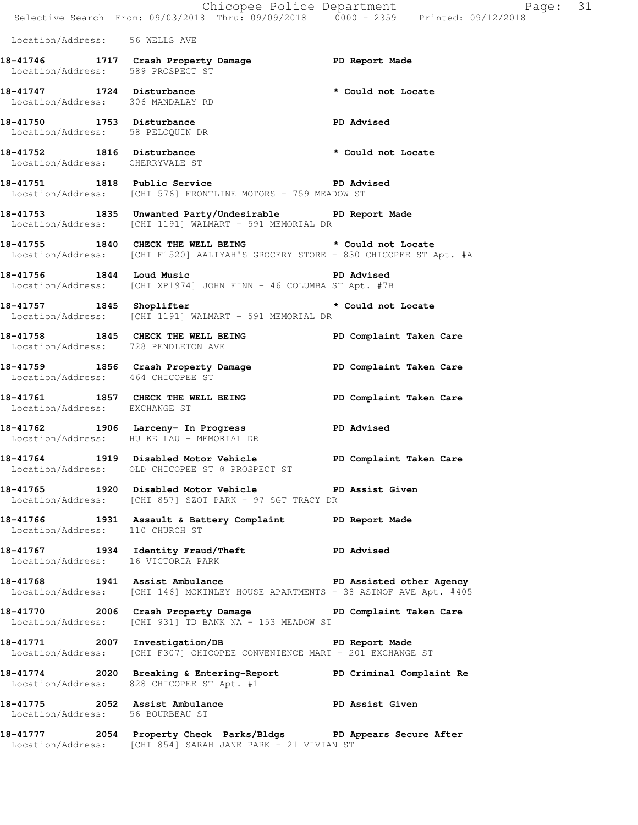Chicopee Police Department Page: 31 Selective Search From: 09/03/2018 Thru: 09/09/2018 0000 - 2359 Printed: 09/12/2018 Location/Address: 56 WELLS AVE **18-41746 1717 Crash Property Damage PD Report Made**  Location/Address: 589 PROSPECT ST **18-41747 1724 Disturbance \* Could not Locate**  Location/Address: 306 MANDALAY RD **18-41750 1753 Disturbance PD Advised**  Location/Address: 58 PELOQUIN DR **18-41752 1816 Disturbance \* Could not Locate**  Location/Address: CHERRYVALE ST 18-41751 1818 Public Service **PD** Advised Location/Address: [CHI 576] FRONTLINE MOTORS - 759 MEADOW ST **18-41753 1835 Unwanted Party/Undesirable PD Report Made**  Location/Address: [CHI 1191] WALMART - 591 MEMORIAL DR **18-41755 1840 CHECK THE WELL BEING \* Could not Locate**  Location/Address: [CHI F1520] AALIYAH'S GROCERY STORE - 830 CHICOPEE ST Apt. #A **18-41756 1844 Loud Music PD Advised**  Location/Address: [CHI XP1974] JOHN FINN - 46 COLUMBA ST Apt. #7B **18-41757 1845 Shoplifter \* Could not Locate**  Location/Address: [CHI 1191] WALMART - 591 MEMORIAL DR 18-41758 **1845** CHECK THE WELL BEING **PD** Complaint Taken Care Location/Address: 728 PENDLETON AVE 18-41759 **1856** Crash Property Damage **PD Complaint Taken Care**  Location/Address: 464 CHICOPEE ST 18-41761 1857 CHECK THE WELL BEING **PD** Complaint Taken Care Location/Address: EXCHANGE ST **18-41762 1906 Larceny- In Progress PD Advised**  Location/Address: HU KE LAU - MEMORIAL DR **18-41764 1919 Disabled Motor Vehicle PD Complaint Taken Care**  Location/Address: OLD CHICOPEE ST @ PROSPECT ST **18-41765 1920 Disabled Motor Vehicle PD Assist Given**  Location/Address: [CHI 857] SZOT PARK - 97 SGT TRACY DR **18-41766 1931 Assault & Battery Complaint PD Report Made**  Location/Address: 110 CHURCH ST **18-41767 1934 Identity Fraud/Theft PD Advised**  Location/Address: 16 VICTORIA PARK **18-41768 1941 Assist Ambulance PD Assisted other Agency**  Location/Address: [CHI 146] MCKINLEY HOUSE APARTMENTS - 38 ASINOF AVE Apt. #405 18-41770 **2006** Crash Property Damage **PD Complaint Taken Care** Location/Address: [CHI 931] TD BANK NA - 153 MEADOW ST **18-41771 2007 Investigation/DB PD Report Made**  Location/Address: [CHI F307] CHICOPEE CONVENIENCE MART - 201 EXCHANGE ST **18-41774 2020 Breaking & Entering-Report PD Criminal Complaint Re**  Location/Address: 828 CHICOPEE ST Apt. #1 18-41775 2052 Assist Ambulance **PD Assist Given**  Location/Address: 56 BOURBEAU ST **18-41777 2054 Property Check Parks/Bldgs PD Appears Secure After** 

Location/Address: [CHI 854] SARAH JANE PARK - 21 VIVIAN ST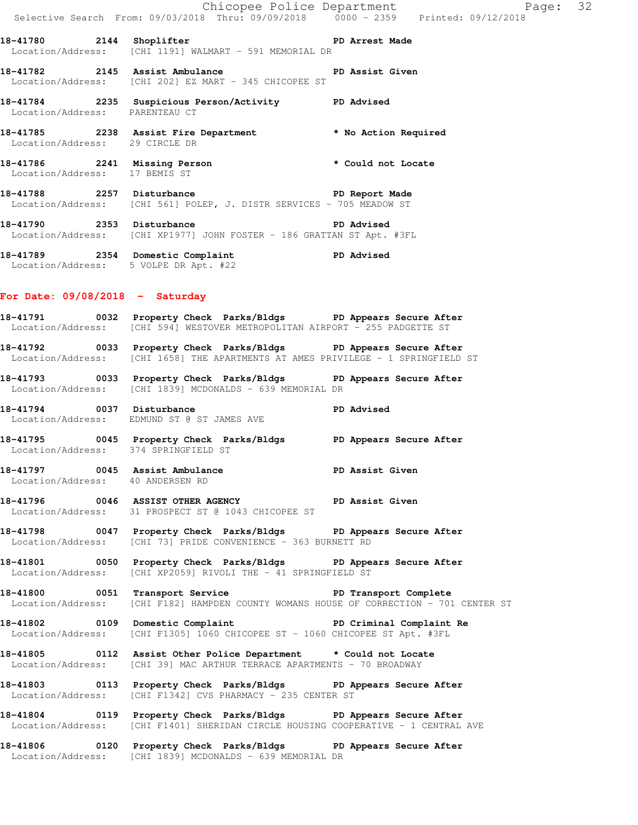|                                                               | Chicopee Police Department<br>Selective Search From: 09/03/2018 Thru: 09/09/2018 0000 - 2359 Printed: 09/12/2018 | Page: 32             |  |
|---------------------------------------------------------------|------------------------------------------------------------------------------------------------------------------|----------------------|--|
| 18-41780 2144 Shoplifter                                      | <b>PD</b> Arrest Made<br>Location/Address: [CHI 1191] WALMART - 591 MEMORIAL DR                                  |                      |  |
|                                                               | <b>PD Assist Given</b><br>Location/Address: [CHI 202] EZ MART - 345 CHICOPEE ST                                  |                      |  |
| Location/Address:                                             | PARENTEAU CT                                                                                                     |                      |  |
| Location/Address: 29 CIRCLE DR                                | 18-41785 2238 Assist Fire Department                                                                             | * No Action Required |  |
| 18-41786 2241 Missing Person<br>Location/Address: 17 BEMIS ST |                                                                                                                  | * Could not Locate   |  |
| 18-41788 2257 Disturbance                                     | Location/Address: [CHI 561] POLEP, J. DISTR SERVICES - 705 MEADOW ST                                             | PD Report Made       |  |
| 18-41790                                                      | 2353 Disturbance                                                                                                 | PD Advised           |  |

Location/Address: [CHI XP1977] JOHN FOSTER - 186 GRATTAN ST Apt. #3FL

**18-41789 2354 Domestic Complaint PD Advised**  Location/Address: 5 VOLPE DR Apt. #22

#### **For Date: 09/08/2018 - Saturday**

**18-41791 0032 Property Check Parks/Bldgs PD Appears Secure After**  Location/Address: [CHI 594] WESTOVER METROPOLITAN AIRPORT - 255 PADGETTE ST

**18-41792 0033 Property Check Parks/Bldgs PD Appears Secure After**  Location/Address: [CHI 1658] THE APARTMENTS AT AMES PRIVILEGE - 1 SPRINGFIELD ST

**18-41793 0033 Property Check Parks/Bldgs PD Appears Secure After**  Location/Address: [CHI 1839] MCDONALDS - 639 MEMORIAL DR

**18-41794 0037 Disturbance PD Advised**  Location/Address: EDMUND ST @ ST JAMES AVE

**18-41795 0045 Property Check Parks/Bldgs PD Appears Secure After**  Location/Address: 374 SPRINGFIELD ST

**18-41797 0045 Assist Ambulance PD Assist Given**  Location/Address: 40 ANDERSEN RD

**18-41796 0046 ASSIST OTHER AGENCY PD Assist Given**  Location/Address: 31 PROSPECT ST @ 1043 CHICOPEE ST

**18-41798 0047 Property Check Parks/Bldgs PD Appears Secure After**  Location/Address: [CHI 73] PRIDE CONVENIENCE - 363 BURNETT RD

**18-41801 0050 Property Check Parks/Bldgs PD Appears Secure After**  Location/Address: [CHI XP2059] RIVOLI THE - 41 SPRINGFIELD ST

**18-41800 0051 Transport Service PD Transport Complete**  Location/Address: [CHI F182] HAMPDEN COUNTY WOMANS HOUSE OF CORRECTION - 701 CENTER ST

**18-41802 0109 Domestic Complaint PD Criminal Complaint Re**  Location/Address: [CHI F1305] 1060 CHICOPEE ST - 1060 CHICOPEE ST Apt. #3FL

**18-41805 0112 Assist Other Police Department \* Could not Locate**  Location/Address: [CHI 39] MAC ARTHUR TERRACE APARTMENTS - 70 BROADWAY

**18-41803 0113 Property Check Parks/Bldgs PD Appears Secure After**  Location/Address: [CHI F1342] CVS PHARMACY - 235 CENTER ST

**18-41804 0119 Property Check Parks/Bldgs PD Appears Secure After**  Location/Address: [CHI F1401] SHERIDAN CIRCLE HOUSING COOPERATIVE - 1 CENTRAL AVE

**18-41806 0120 Property Check Parks/Bldgs PD Appears Secure After**  Location/Address: [CHI 1839] MCDONALDS - 639 MEMORIAL DR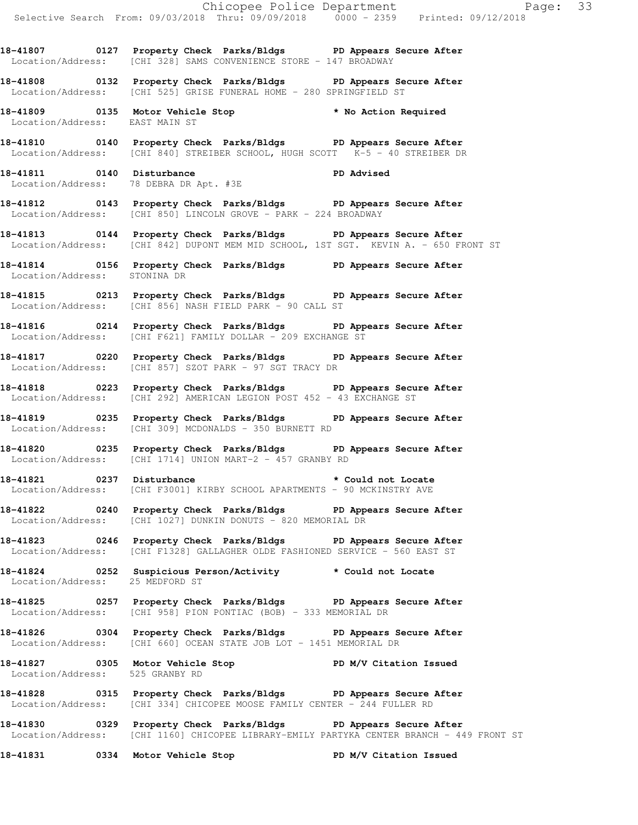**18-41807 0127 Property Check Parks/Bldgs PD Appears Secure After**  Location/Address: [CHI 328] SAMS CONVENIENCE STORE - 147 BROADWAY

**18-41808 0132 Property Check Parks/Bldgs PD Appears Secure After**  Location/Address: [CHI 525] GRISE FUNERAL HOME - 280 SPRINGFIELD ST

**18-41809 0135 Motor Vehicle Stop \* No Action Required**  Location/Address: EAST MAIN ST

**18-41810 0140 Property Check Parks/Bldgs PD Appears Secure After**  Location/Address: [CHI 840] STREIBER SCHOOL, HUGH SCOTT K-5 - 40 STREIBER DR

**18-41811 0140 Disturbance PD Advised**  Location/Address: 78 DEBRA DR Apt. #3E

**18-41812 0143 Property Check Parks/Bldgs PD Appears Secure After**  Location/Address: [CHI 850] LINCOLN GROVE - PARK - 224 BROADWAY

**18-41813 0144 Property Check Parks/Bldgs PD Appears Secure After**  Location/Address: [CHI 842] DUPONT MEM MID SCHOOL, 1ST SGT. KEVIN A. - 650 FRONT ST

**18-41814 0156 Property Check Parks/Bldgs PD Appears Secure After**  Location/Address: STONINA DR

**18-41815 0213 Property Check Parks/Bldgs PD Appears Secure After**  Location/Address: [CHI 856] NASH FIELD PARK - 90 CALL ST

**18-41816 0214 Property Check Parks/Bldgs PD Appears Secure After**  Location/Address: [CHI F621] FAMILY DOLLAR - 209 EXCHANGE ST

**18-41817 0220 Property Check Parks/Bldgs PD Appears Secure After**  Location/Address: [CHI 857] SZOT PARK - 97 SGT TRACY DR

**18-41818 0223 Property Check Parks/Bldgs PD Appears Secure After**  Location/Address: [CHI 292] AMERICAN LEGION POST 452 - 43 EXCHANGE ST

**18-41819 0235 Property Check Parks/Bldgs PD Appears Secure After**  Location/Address: [CHI 309] MCDONALDS - 350 BURNETT RD

**18-41820 0235 Property Check Parks/Bldgs PD Appears Secure After**  Location/Address: [CHI 1714] UNION MART-2 - 457 GRANBY RD

**18-41821 0237 Disturbance \* Could not Locate**  Location/Address: [CHI F3001] KIRBY SCHOOL APARTMENTS - 90 MCKINSTRY AVE

**18-41822 0240 Property Check Parks/Bldgs PD Appears Secure After**  Location/Address: [CHI 1027] DUNKIN DONUTS - 820 MEMORIAL DR

**18-41823 0246 Property Check Parks/Bldgs PD Appears Secure After**  Location/Address: [CHI F1328] GALLAGHER OLDE FASHIONED SERVICE - 560 EAST ST

**18-41824 0252 Suspicious Person/Activity \* Could not Locate**  Location/Address: 25 MEDFORD ST

**18-41825 0257 Property Check Parks/Bldgs PD Appears Secure After**  Location/Address: [CHI 958] PION PONTIAC (BOB) - 333 MEMORIAL DR

**18-41826 0304 Property Check Parks/Bldgs PD Appears Secure After**  Location/Address: [CHI 660] OCEAN STATE JOB LOT - 1451 MEMORIAL DR

**18-41827 0305 Motor Vehicle Stop PD M/V Citation Issued**  Location/Address: 525 GRANBY RD

**18-41828 0315 Property Check Parks/Bldgs PD Appears Secure After**  Location/Address: [CHI 334] CHICOPEE MOOSE FAMILY CENTER - 244 FULLER RD

**18-41830 0329 Property Check Parks/Bldgs PD Appears Secure After**  Location/Address: [CHI 1160] CHICOPEE LIBRARY-EMILY PARTYKA CENTER BRANCH - 449 FRONT ST

**18-41831 0334 Motor Vehicle Stop PD M/V Citation Issued**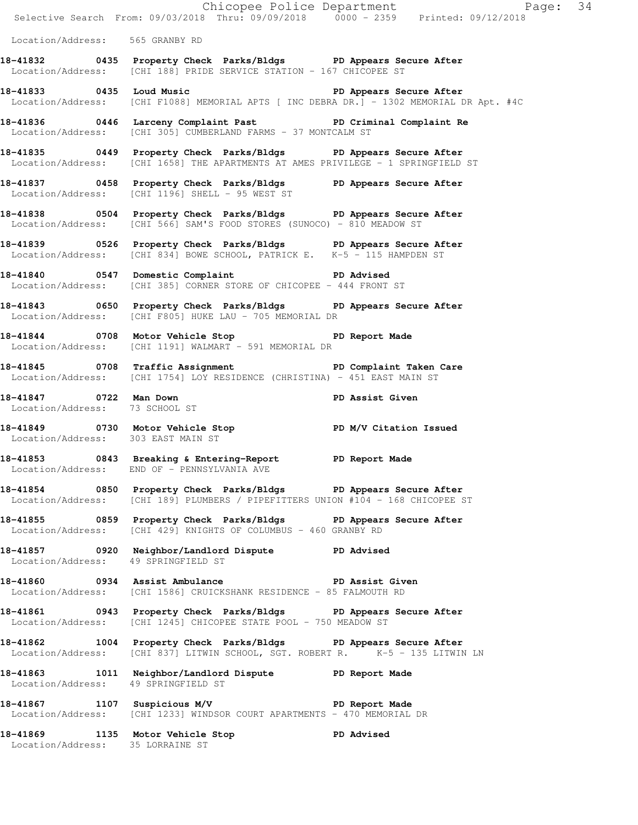|                                     |                                                                                                                                                       | Chicopee Police Department<br>Page: 34<br>Selective Search From: 09/03/2018 Thru: 09/09/2018  0000 - 2359  Printed: 09/12/2018 |  |
|-------------------------------------|-------------------------------------------------------------------------------------------------------------------------------------------------------|--------------------------------------------------------------------------------------------------------------------------------|--|
| Location/Address: 565 GRANBY RD     |                                                                                                                                                       |                                                                                                                                |  |
|                                     | 18-41832 		 0435 Property Check Parks/Bldgs 		 PD Appears Secure After<br>Location/Address: [CHI 188] PRIDE SERVICE STATION - 167 CHICOPEE ST         |                                                                                                                                |  |
|                                     | 18-41833 10435 Loud Music 2008 10 PD Appears Secure After<br>Location/Address: [CHI F1088] MEMORIAL APTS [ INC DEBRA DR.] - 1302 MEMORIAL DR Apt. #4C |                                                                                                                                |  |
|                                     | 18-41836 0446 Larceny Complaint Past PD Criminal Complaint Re<br>Location/Address: [CHI 305] CUMBERLAND FARMS - 37 MONTCALM ST                        |                                                                                                                                |  |
|                                     | 18-41835 0449 Property Check Parks/Bldgs PD Appears Secure After<br>Location/Address: [CHI 1658] THE APARTMENTS AT AMES PRIVILEGE - 1 SPRINGFIELD ST  |                                                                                                                                |  |
|                                     | 18-41837 18958 Property Check Parks/Bldgs PD Appears Secure After<br>Location/Address: [CHI 1196] SHELL - 95 WEST ST                                  |                                                                                                                                |  |
|                                     | 18-41838 0504 Property Check Parks/Bldgs PD Appears Secure After<br>Location/Address: [CHI 566] SAM'S FOOD STORES (SUNOCO) - 810 MEADOW ST            |                                                                                                                                |  |
|                                     | 18-41839 0526 Property Check Parks/Bldgs PD Appears Secure After<br>Location/Address: [CHI 834] BOWE SCHOOL, PATRICK E. K-5 - 115 HAMPDEN ST          |                                                                                                                                |  |
|                                     | 18-41840 0547 Domestic Complaint PD Advised<br>Location/Address: [CHI 385] CORNER STORE OF CHICOPEE - 444 FRONT ST                                    |                                                                                                                                |  |
|                                     | 18-41843 0650 Property Check Parks/Bldgs PD Appears Secure After<br>Location/Address: [CHI F805] HUKE LAU - 705 MEMORIAL DR                           |                                                                                                                                |  |
|                                     | 18-41844 0708 Motor Vehicle Stop 50 PD Report Made<br>Location/Address: [CHI 1191] WALMART - 591 MEMORIAL DR                                          |                                                                                                                                |  |
|                                     | 18-41845 0708 Traffic Assignment New PD Complaint Taken Care<br>Location/Address: [CHI 1754] LOY RESIDENCE (CHRISTINA) - 451 EAST MAIN ST             |                                                                                                                                |  |
|                                     |                                                                                                                                                       |                                                                                                                                |  |
| Location/Address: 303 EAST MAIN ST  | 18-41849 0730 Motor Vehicle Stop N/V Citation Issued                                                                                                  |                                                                                                                                |  |
|                                     | 18-41853 0843 Breaking & Entering-Report PD Report Made<br>Location/Address: END OF - PENNSYLVANIA AVE                                                |                                                                                                                                |  |
|                                     | 18-41854 0850 Property Check Parks/Bldgs PD Appears Secure After<br>Location/Address: [CHI 189] PLUMBERS / PIPEFITTERS UNION #104 - 168 CHICOPEE ST   |                                                                                                                                |  |
|                                     | 18-41855 0859 Property Check Parks/Bldgs PD Appears Secure After<br>Location/Address: [CHI 429] KNIGHTS OF COLUMBUS - 460 GRANBY RD                   |                                                                                                                                |  |
| Location/Address: 49 SPRINGFIELD ST | 18-41857 0920 Neighbor/Landlord Dispute PD Advised                                                                                                    |                                                                                                                                |  |
|                                     | 18-41860 0934 Assist Ambulance New PD Assist Given<br>Location/Address: [CHI 1586] CRUICKSHANK RESIDENCE - 85 FALMOUTH RD                             |                                                                                                                                |  |
|                                     | 18-41861 0943 Property Check Parks/Bldgs PD Appears Secure After<br>Location/Address: [CHI 1245] CHICOPEE STATE POOL - 750 MEADOW ST                  |                                                                                                                                |  |
|                                     | 18-41862 1004 Property Check Parks/Bldgs PD Appears Secure After<br>Location/Address: $[CHI 837]$ LITWIN SCHOOL, SGT. ROBERT R. $K-5$ - 135 LITWIN LN |                                                                                                                                |  |
| Location/Address: 49 SPRINGFIELD ST | 18-41863 1011 Neighbor/Landlord Dispute PD Report Made                                                                                                |                                                                                                                                |  |
|                                     | 18-41867 1107 Suspicious M/V 18-41867 PD Report Made<br>Location/Address: [CHI 1233] WINDSOR COURT APARTMENTS - 470 MEMORIAL DR                       |                                                                                                                                |  |
| Location/Address: 35 LORRAINE ST    | 18-41869 1135 Motor Vehicle Stop 5 PD Advised                                                                                                         |                                                                                                                                |  |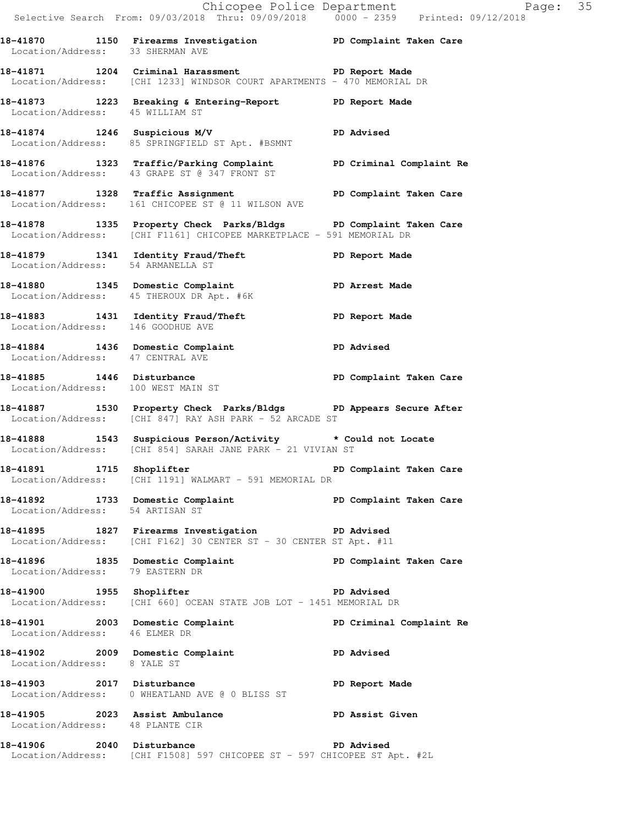**18-41870 1150 Firearms Investigation PD Complaint Taken Care**  Location/Address: 33 SHERMAN AVE **18-41871 1204 Criminal Harassment PD Report Made**  Location/Address: [CHI 1233] WINDSOR COURT APARTMENTS - 470 MEMORIAL DR **18-41873 1223 Breaking & Entering-Report PD Report Made**  Location/Address: 45 WILLIAM ST **18-41874 1246 Suspicious M/V PD Advised**  Location/Address: 85 SPRINGFIELD ST Apt. #BSMNT **18-41876 1323 Traffic/Parking Complaint PD Criminal Complaint Re**  Location/Address: 43 GRAPE ST @ 347 FRONT ST 18-41877 1328 Traffic Assignment **PD Complaint Taken Care**  Location/Address: 161 CHICOPEE ST @ 11 WILSON AVE **18-41878 1335 Property Check Parks/Bldgs PD Complaint Taken Care**  Location/Address: [CHI F1161] CHICOPEE MARKETPLACE - 591 MEMORIAL DR **18-41879 1341 Identity Fraud/Theft PD Report Made**  Location/Address: 54 ARMANELLA ST **18-41880 1345 Domestic Complaint PD Arrest Made**  Location/Address: 45 THEROUX DR Apt. #6K **18-41883 1431 Identity Fraud/Theft PD Report Made**  Location/Address: 146 GOODHUE AVE **18-41884 1436 Domestic Complaint PD Advised**  Location/Address: 47 CENTRAL AVE **18-41885 1446 Disturbance PD Complaint Taken Care**  Location/Address: 100 WEST MAIN ST **18-41887 1530 Property Check Parks/Bldgs PD Appears Secure After**  Location/Address: [CHI 847] RAY ASH PARK - 52 ARCADE ST **18-41888 1543 Suspicious Person/Activity \* Could not Locate**  Location/Address: [CHI 854] SARAH JANE PARK - 21 VIVIAN ST 18-41891 1715 Shoplifter **18-41891** PD Complaint Taken Care Location/Address: [CHI 1191] WALMART - 591 MEMORIAL DR **18-41892 1733 Domestic Complaint PD Complaint Taken Care**  Location/Address: 54 ARTISAN ST **18-41895 1827 Firearms Investigation PD Advised**  Location/Address: [CHI F162] 30 CENTER ST - 30 CENTER ST Apt. #11 18-41896 1835 Domestic Complaint **18-41896** PD Complaint Taken Care Location/Address: 79 EASTERN DR **18-41900 1955 Shoplifter PD Advised**  Location/Address: [CHI 660] OCEAN STATE JOB LOT - 1451 MEMORIAL DR **18-41901 2003 Domestic Complaint PD Criminal Complaint Re**  Location/Address: 46 ELMER DR **18-41902 2009 Domestic Complaint PD Advised**  Location/Address: 8 YALE ST 18-41903 2017 Disturbance **PD** Report Made Location/Address: 0 WHEATLAND AVE @ 0 BLISS ST **18-41905 2023 Assist Ambulance PD Assist Given**  Location/Address: 48 PLANTE CIR **18-41906 2040 Disturbance PD Advised** 

Location/Address: [CHI F1508] 597 CHICOPEE ST - 597 CHICOPEE ST Apt. #2L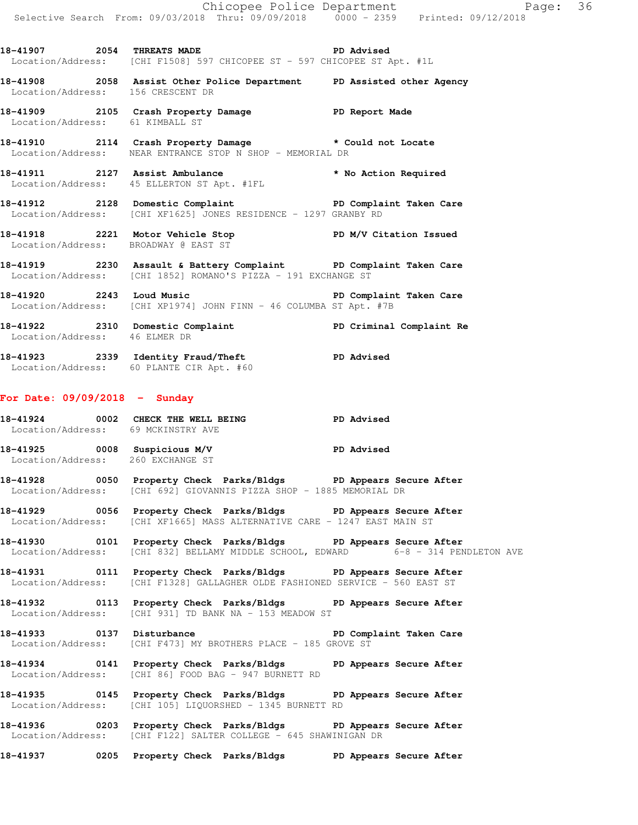**18-41907 2054 THREATS MADE PD Advised**  Location/Address: [CHI F1508] 597 CHICOPEE ST - 597 CHICOPEE ST Apt. #1L **18-41908 2058 Assist Other Police Department PD Assisted other Agency**  Location/Address: 156 CRESCENT DR **18-41909 2105 Crash Property Damage PD Report Made**  Location/Address: 61 KIMBALL ST

**18-41910 2114 Crash Property Damage \* Could not Locate**  Location/Address: NEAR ENTRANCE STOP N SHOP - MEMORIAL DR

**18-41911 2127 Assist Ambulance \* No Action Required**  Location/Address: 45 ELLERTON ST Apt. #1FL

**18-41912 2128 Domestic Complaint PD Complaint Taken Care**  Location/Address: [CHI XF1625] JONES RESIDENCE - 1297 GRANBY RD

**18-41918 2221 Motor Vehicle Stop PD M/V Citation Issued**  Location/Address: BROADWAY @ EAST ST

**18-41919 2230 Assault & Battery Complaint PD Complaint Taken Care**  Location/Address: [CHI 1852] ROMANO'S PIZZA - 191 EXCHANGE ST

**18-41920 2243 Loud Music PD Complaint Taken Care**  Location/Address: [CHI XP1974] JOHN FINN - 46 COLUMBA ST Apt. #7B

**18-41922 2310 Domestic Complaint PD Criminal Complaint Re**  Location/Address: 46 ELMER DR

**18-41923 2339 Identity Fraud/Theft PD Advised**  Location/Address: 60 PLANTE CIR Apt. #60

### **For Date: 09/09/2018 - Sunday**

**18-41924 0002 CHECK THE WELL BEING PD Advised**  Location/Address: 69 MCKINSTRY AVE

**18-41925 0008 Suspicious M/V PD Advised**  Location/Address: 260 EXCHANGE ST

**18-41928 0050 Property Check Parks/Bldgs PD Appears Secure After**  Location/Address: [CHI 692] GIOVANNIS PIZZA SHOP - 1885 MEMORIAL DR

**18-41929 0056 Property Check Parks/Bldgs PD Appears Secure After**  Location/Address: [CHI XF1665] MASS ALTERNATIVE CARE - 1247 EAST MAIN ST

**18-41930 0101 Property Check Parks/Bldgs PD Appears Secure After**  Location/Address: [CHI 832] BELLAMY MIDDLE SCHOOL, EDWARD 6-8 - 314 PENDLETON AVE

**18-41931 0111 Property Check Parks/Bldgs PD Appears Secure After**  Location/Address: [CHI F1328] GALLAGHER OLDE FASHIONED SERVICE - 560 EAST ST

**18-41932 0113 Property Check Parks/Bldgs PD Appears Secure After**  Location/Address: [CHI 931] TD BANK NA - 153 MEADOW ST

**18-41933 0137 Disturbance PD Complaint Taken Care**  Location/Address: [CHI F473] MY BROTHERS PLACE - 185 GROVE ST

**18-41934 0141 Property Check Parks/Bldgs PD Appears Secure After**  Location/Address: [CHI 86] FOOD BAG - 947 BURNETT RD

**18-41935 0145 Property Check Parks/Bldgs PD Appears Secure After**  Location/Address: [CHI 105] LIQUORSHED - 1345 BURNETT RD

**18-41936 0203 Property Check Parks/Bldgs PD Appears Secure After**  Location/Address: [CHI F122] SALTER COLLEGE - 645 SHAWINIGAN DR

**18-41937 0205 Property Check Parks/Bldgs PD Appears Secure After**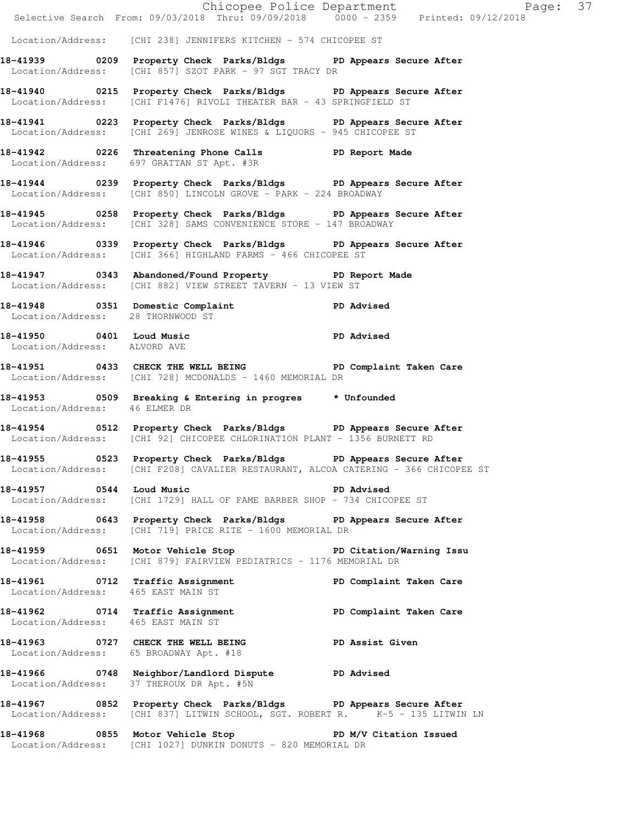|                                    | E Chicopee Police Department<br>Selective Search From: 09/03/2018 Thru: 09/09/2018 0000 - 2359 Printed: 09/12/2018                                     | Page: 37                |
|------------------------------------|--------------------------------------------------------------------------------------------------------------------------------------------------------|-------------------------|
|                                    | Location/Address: [CHI 238] JENNIFERS KITCHEN - 574 CHICOPEE ST                                                                                        |                         |
|                                    | 18-41939 		 0209 Property Check Parks/Bldgs 		 PD Appears Secure After<br>Location/Address: [CHI 857] SZOT PARK - 97 SGT TRACY DR                      |                         |
|                                    | 18-41940 0215 Property Check Parks/Bldgs PD Appears Secure After<br>Location/Address: [CHI F1476] RIVOLI THEATER BAR - 43 SPRINGFIELD ST               |                         |
|                                    | 18-41941 0223 Property Check Parks/Bldgs PD Appears Secure After<br>Location/Address: [CHI 269] JENROSE WINES & LIQUORS - 945 CHICOPEE ST              |                         |
|                                    | 18-41942 0226 Threatening Phone Calls 5 PD Report Made<br>Location/Address: 697 GRATTAN ST Apt. #3R                                                    |                         |
|                                    | 18-41944 0239 Property Check Parks/Bldgs PD Appears Secure After<br>Location/Address: [CHI 850] LINCOLN GROVE - PARK - 224 BROADWAY                    |                         |
|                                    | 18-41945 0258 Property Check Parks/Bldgs PD Appears Secure After<br>Location/Address: [CHI 328] SAMS CONVENIENCE STORE - 147 BROADWAY                  |                         |
|                                    | 18-41946 		 0339 Property Check Parks/Bldgs 		 PD Appears Secure After<br>Location/Address: [CHI 366] HIGHLAND FARMS - 466 CHICOPEE ST                 |                         |
|                                    | 18-41947 		 0343 Abandoned/Found Property 		 PD Report Made<br>Location/Address: [CHI 882] VIEW STREET TAVERN - 13 VIEW ST                             |                         |
| Location/Address: 28 THORNWOOD ST  | 18-41948 0351 Domestic Complaint PD Advised                                                                                                            |                         |
| Location/Address: ALVORD AVE       | 18-41950 0401 Loud Music<br>Institute of the Music of the Music PD Advised                                                                             |                         |
|                                    | 18-41951 0433 CHECK THE WELL BEING PD Complaint Taken Care<br>Location/Address: [CHI 728] MCDONALDS - 1460 MEMORIAL DR                                 |                         |
| Location/Address: 46 ELMER DR      | 18-41953 6509 Breaking & Entering in progres the Unfounded                                                                                             |                         |
|                                    | 18-41954 0512 Property Check Parks/Bldgs PD Appears Secure After<br>Location/Address: [CHI 92] CHICOPEE CHLORINATION PLANT - 1356 BURNETT RD           |                         |
|                                    | 18-41955 6523 Property Check Parks/Bldgs PD Appears Secure After<br>Location/Address: [CHI F208] CAVALIER RESTAURANT, ALCOA CATERING - 366 CHICOPEE ST |                         |
|                                    | Location/Address: [CHI 1729] HALL OF FAME BARBER SHOP - 734 CHICOPEE ST                                                                                | PD Advised              |
|                                    | 18-41958 0643 Property Check Parks/Bldgs PD Appears Secure After<br>Location/Address: [CHI 719] PRICE RITE - 1600 MEMORIAL DR                          |                         |
|                                    | 18-41959 0651 Motor Vehicle Stop 30 PD Citation/Warning Issu<br>Location/Address: [CHI 879] FAIRVIEW PEDIATRICS - 1176 MEMORIAL DR                     |                         |
| Location/Address: 465 EAST MAIN ST | 18-41961 0712 Traffic Assignment PD Complaint Taken Care<br>Location/Address: 465 FAST MAIN ST                                                         |                         |
| Location/Address: 465 EAST MAIN ST | 18-41962 0714 Traffic Assignment                                                                                                                       | PD Complaint Taken Care |
|                                    | 18-41963 0727 CHECK THE WELL BEING PD Assist Given<br>Location/Address: 65 BROADWAY Apt. #18                                                           |                         |
| Location/Address:                  | 18-41966 0748 Neighbor/Landlord Dispute PD Advised<br>37 THEROUX DR Apt. #5N                                                                           |                         |
|                                    | 18-41967 0852 Property Check Parks/Bldgs PD Appears Secure After<br>Location/Address: [CHI 837] LITWIN SCHOOL, SGT. ROBERT R. K-5 - 135 LITWIN LN      |                         |
|                                    | 18-41968 0855 Motor Vehicle Stop N/V Citation Issued<br>Location/Address: [CHI 1027] DUNKIN DONUTS - 820 MEMORIAL DR                                   |                         |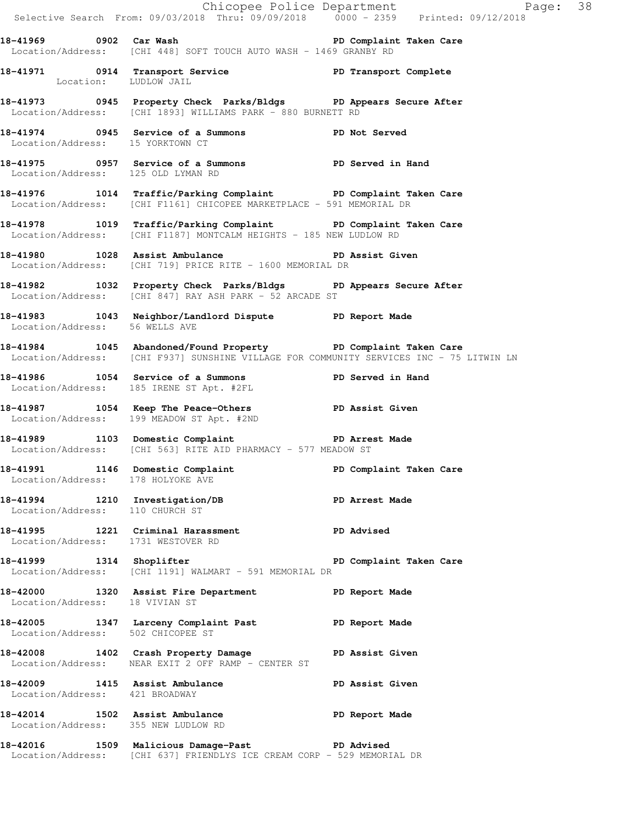|                                     | Chicopee Police Department<br>Selective Search From: 09/03/2018 Thru: 09/09/2018   0000 - 2359   Printed: 09/12/2018                                      | Page: 38                |  |
|-------------------------------------|-----------------------------------------------------------------------------------------------------------------------------------------------------------|-------------------------|--|
|                                     | 18-41969 0902 Car Wash the Sea of PD Complaint Taken Care<br>Location/Address: [CHI 448] SOFT TOUCH AUTO WASH - 1469 GRANBY RD                            |                         |  |
| Location: LUDLOW JAIL               | 18-41971 0914 Transport Service New PD Transport Complete                                                                                                 |                         |  |
|                                     | 18-41973 0945 Property Check Parks/Bldgs PD Appears Secure After<br>Location/Address: [CHI 1893] WILLIAMS PARK - 880 BURNETT RD                           |                         |  |
| Location/Address: 15 YORKTOWN CT    | 18-41974 0945 Service of a Summons PD Not Served                                                                                                          |                         |  |
| Location/Address: 125 OLD LYMAN RD  | 18-41975 0957 Service of a Summons TPD Served in Hand                                                                                                     |                         |  |
|                                     | 18-41976 1014 Traffic/Parking Complaint PD Complaint Taken Care<br>Location/Address: [CHI F1161] CHICOPEE MARKETPLACE - 591 MEMORIAL DR                   |                         |  |
|                                     | 18-41978 1019 Traffic/Parking Complaint PD Complaint Taken Care<br>Location/Address: [CHI F1187] MONTCALM HEIGHTS - 185 NEW LUDLOW RD                     |                         |  |
|                                     | 18-41980 1028 Assist Ambulance New PD Assist Given<br>Location/Address: [CHI 719] PRICE RITE - 1600 MEMORIAL DR                                           |                         |  |
|                                     | 18-41982 1032 Property Check Parks/Bldgs PD Appears Secure After<br>Location/Address: [CHI 847] RAY ASH PARK - 52 ARCADE ST                               |                         |  |
| Location/Address: 56 WELLS AVE      | 18-41983 1043 Neighbor/Landlord Dispute PD Report Made                                                                                                    |                         |  |
|                                     | 18-41984 1045 Abandoned/Found Property PD Complaint Taken Care<br>Location/Address: [CHI F937] SUNSHINE VILLAGE FOR COMMUNITY SERVICES INC - 75 LITWIN LN |                         |  |
|                                     | 18-41986 1054 Service of a Summons PD Served in Hand<br>Location/Address: 185 IRENE ST Apt. #2FL                                                          |                         |  |
|                                     | 18-41987 1054 Keep The Peace-Others PD Assist Given<br>Location/Address: 199 MEADOW ST Apt. #2ND                                                          |                         |  |
|                                     | 18-41989 1103 Domestic Complaint PD Arrest Made<br>Location/Address: [CHI 563] RITE AID PHARMACY - 577 MEADOW ST                                          |                         |  |
| Location/Address: 178 HOLYOKE AVE   | 18-41991 1146 Domestic Complaint                                                                                                                          | PD Complaint Taken Care |  |
|                                     | 18-41994 1210 Investigation/DB PD Arrest Made<br>Location/Address: 110 CHURCH ST                                                                          |                         |  |
| Location/Address: 1731 WESTOVER RD  | 18-41995 1221 Criminal Harassment PD Advised                                                                                                              |                         |  |
|                                     | 18-41999 1314 Shoplifter 1888 PD Complaint Taken Care<br>Location/Address: [CHI 1191] WALMART - 591 MEMORIAL DR                                           |                         |  |
| Location/Address: 18 VIVIAN ST      | 18-42000 1320 Assist Fire Department PD Report Made                                                                                                       |                         |  |
| Location/Address: 502 CHICOPEE ST   | 18-42005 1347 Larceny Complaint Past PD Report Made                                                                                                       |                         |  |
|                                     | 18-42008 1402 Crash Property Damage PD Assist Given<br>Location/Address: NEAR EXIT 2 OFF RAMP - CENTER ST                                                 |                         |  |
| Location/Address: 421 BROADWAY      | 18-42009 1415 Assist Ambulance No PD Assist Given                                                                                                         |                         |  |
| Location/Address: 355 NEW LUDLOW RD | 18-42014 1502 Assist Ambulance No PD Report Made                                                                                                          |                         |  |
|                                     | 18-42016 1509 Malicious Damage-Past PD Advised<br>Location/Address: [CHI 637] FRIENDLYS ICE CREAM CORP - 529 MEMORIAL DR                                  |                         |  |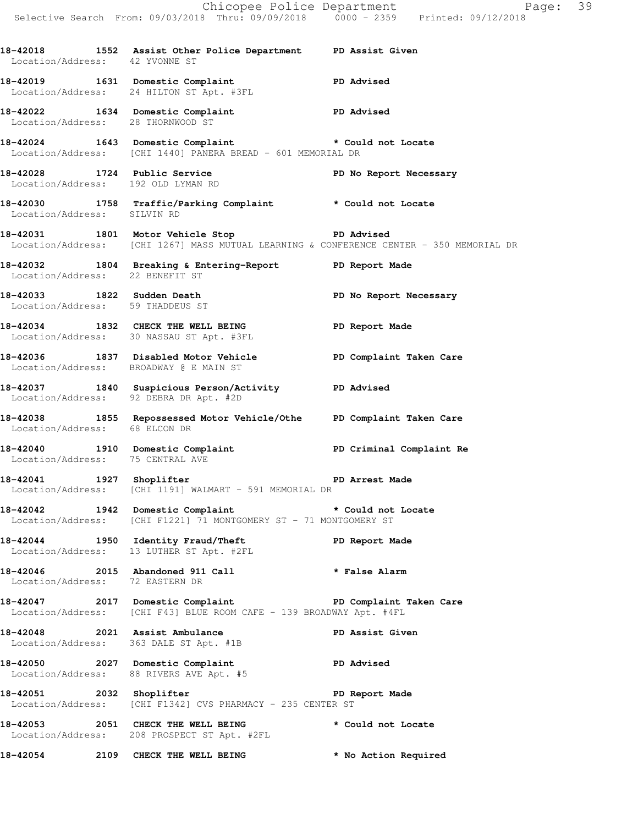|                                   |                                                                                                                                                 | Chicopee Police Department<br>Page: 39<br>Selective Search From: 09/03/2018 Thru: 09/09/2018 0000 - 2359 Printed: 09/12/2018 |  |
|-----------------------------------|-------------------------------------------------------------------------------------------------------------------------------------------------|------------------------------------------------------------------------------------------------------------------------------|--|
|                                   | 18-42018 1552 Assist Other Police Department PD Assist Given<br>Location/Address: 42 YVONNE ST                                                  |                                                                                                                              |  |
|                                   | 18-42019 1631 Domestic Complaint PD Advised<br>Location/Address: 24 HILTON ST Apt. #3FL                                                         |                                                                                                                              |  |
| Location/Address: 28 THORNWOOD ST | 18-42022 1634 Domestic Complaint PD Advised                                                                                                     |                                                                                                                              |  |
|                                   | 18-42024 1643 Domestic Complaint * Could not Locate<br>Location/Address: [CHI 1440] PANERA BREAD - 601 MEMORIAL DR                              |                                                                                                                              |  |
|                                   | 18-42028 1724 Public Service<br>Location/Address: 192 OLD LYMAN RD                                                                              | PD No Report Necessary                                                                                                       |  |
| Location/Address: SILVIN RD       | 18-42030 1758 Traffic/Parking Complaint * Could not Locate                                                                                      |                                                                                                                              |  |
|                                   | 18-42031 1801 Motor Vehicle Stop 180 PD Advised<br>Location/Address: [CHI 1267] MASS MUTUAL LEARNING & CONFERENCE CENTER - 350 MEMORIAL DR      |                                                                                                                              |  |
| Location/Address: 22 BENEFIT ST   | 18-42032 1804 Breaking & Entering-Report PD Report Made                                                                                         |                                                                                                                              |  |
| Location/Address: 59 THADDEUS ST  | 18-42033 1822 Sudden Death                                                                                                                      | PD No Report Necessary                                                                                                       |  |
|                                   | 18-42034 1832 CHECK THE WELL BEING<br>Location/Address: 30 NASSAU ST Apt. #3FL                                                                  | PD Report Made                                                                                                               |  |
|                                   | 18-42036 1837 Disabled Motor Vehicle PD Complaint Taken Care<br>Location/Address: BROADWAY @ E MAIN ST                                          |                                                                                                                              |  |
|                                   | 18-42037 1840 Suspicious Person/Activity PD Advised<br>Location/Address: 92 DEBRA DR Apt. #2D                                                   |                                                                                                                              |  |
| Location/Address: 68 ELCON DR     | 18-42038 1855 Repossessed Motor Vehicle/Othe PD Complaint Taken Care                                                                            |                                                                                                                              |  |
| Location/Address: 75 CENTRAL AVE  | 18-42040 1910 Domestic Complaint                                                                                                                | PD Criminal Complaint Re                                                                                                     |  |
| 18-42041 1927 Shoplifter          | Location/Address: [CHI 1191] WALMART - 591 MEMORIAL DR                                                                                          | PD Arrest Made                                                                                                               |  |
| Location/Address:                 | 18-42042 1942 Domestic Complaint * Could not Locate<br>[CHI F1221] 71 MONTGOMERY ST - 71 MONTGOMERY ST                                          |                                                                                                                              |  |
|                                   | 18-42044 1950 Identity Fraud/Theft<br>Location/Address: 13 LUTHER ST Apt. #2FL                                                                  | PD Report Made                                                                                                               |  |
| Location/Address: 72 EASTERN DR   | 18-42046 2015 Abandoned 911 Call                                                                                                                | * False Alarm                                                                                                                |  |
|                                   | 18-42047 2017 Domestic Complaint <b>18-42047</b> PD Complaint Taken Care<br>Location/Address: [CHI F43] BLUE ROOM CAFE - 139 BROADWAY Apt. #4FL |                                                                                                                              |  |
|                                   | 18-42048 2021 Assist Ambulance<br>Location/Address: 363 DALE ST Apt. #1B                                                                        | PD Assist Given                                                                                                              |  |
|                                   | 18-42050 2027 Domestic Complaint<br>Location/Address: 88 RIVERS AVE Apt. #5                                                                     | <b>PD Advised</b>                                                                                                            |  |
|                                   | 18-42051 2032 Shoplifter<br>Location/Address: [CHI F1342] CVS PHARMACY - 235 CENTER ST                                                          | PD Report Made                                                                                                               |  |
|                                   | 18-42053 2051 CHECK THE WELL BEING<br>Location/Address: 208 PROSPECT ST Apt. #2FL                                                               | * Could not Locate                                                                                                           |  |
| 18-42054                          | 2109 CHECK THE WELL BEING                                                                                                                       | * No Action Required                                                                                                         |  |